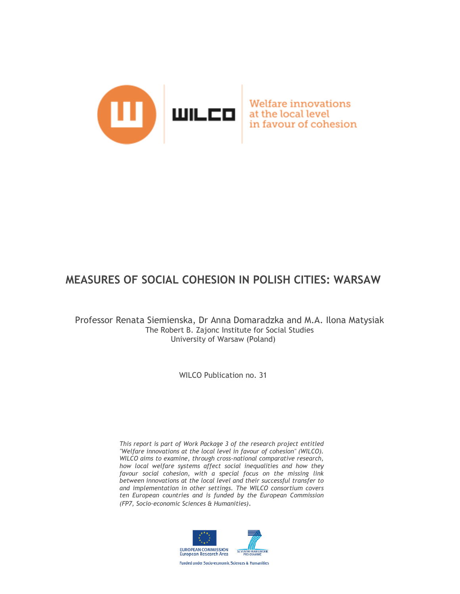

Welfare innovations at the local level in favour of cohesion

# **MEASURES OF SOCIAL COHESION IN POLISH CITIES: WARSAW**

Professor Renata Siemienska, Dr Anna Domaradzka and M.A. Ilona Matysiak The Robert B. Zajonc Institute for Social Studies University of Warsaw (Poland)

WILCO Publication no. 31

*This report is part of Work Package 3 of the research project entitled "Welfare innovations at the local level in favour of cohesion" (WILCO). WILCO aims to examine, through cross-national comparative research, how local welfare systems affect social inequalities and how they favour social cohesion, with a special focus on the missing link between innovations at the local level and their successful transfer to and implementation in other settings. The WILCO consortium covers ten European countries and is funded by the European Commission (FP7, Socio-economic Sciences & Humanities).* 

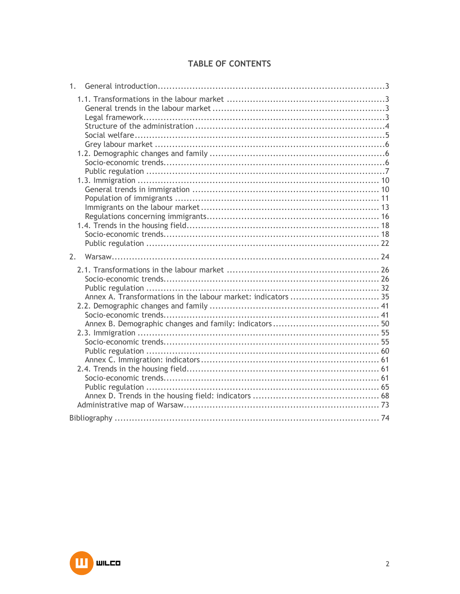# TABLE OF CONTENTS

| 1. |  |
|----|--|
|    |  |
| 2. |  |
|    |  |
|    |  |

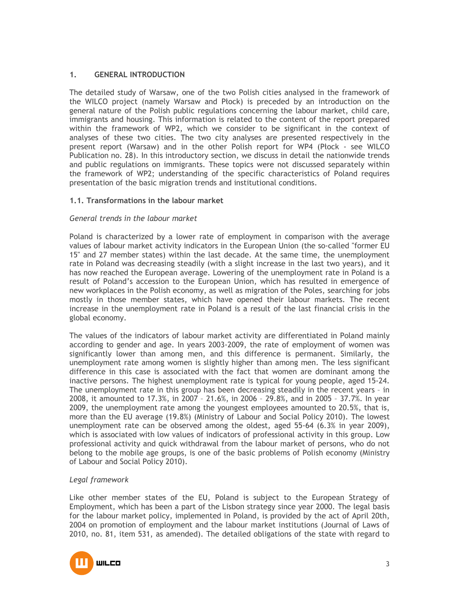# **1. GENERAL INTRODUCTION**

The detailed study of Warsaw, one of the two Polish cities analysed in the framework of the WILCO project (namely Warsaw and Płock) is preceded by an introduction on the general nature of the Polish public regulations concerning the labour market, child care, immigrants and housing. This information is related to the content of the report prepared within the framework of WP2, which we consider to be significant in the context of analyses of these two cities. The two city analyses are presented respectively in the present report (Warsaw) and in the other Polish report for WP4 (Płock - see WILCO Publication no. 28). In this introductory section, we discuss in detail the nationwide trends and public regulations on immigrants. These topics were not discussed separately within the framework of WP2; understanding of the specific characteristics of Poland requires presentation of the basic migration trends and institutional conditions.

# **1.1. Transformations in the labour market**

# *General trends in the labour market*

Poland is characterized by a lower rate of employment in comparison with the average values of labour market activity indicators in the European Union (the so-called "former EU 15" and 27 member states) within the last decade. At the same time, the unemployment rate in Poland was decreasing steadily (with a slight increase in the last two years), and it has now reached the European average. Lowering of the unemployment rate in Poland is a result of Poland's accession to the European Union, which has resulted in emergence of new workplaces in the Polish economy, as well as migration of the Poles, searching for jobs mostly in those member states, which have opened their labour markets. The recent increase in the unemployment rate in Poland is a result of the last financial crisis in the global economy.

The values of the indicators of labour market activity are differentiated in Poland mainly according to gender and age. In years 2003-2009, the rate of employment of women was significantly lower than among men, and this difference is permanent. Similarly, the unemployment rate among women is slightly higher than among men. The less significant difference in this case is associated with the fact that women are dominant among the inactive persons. The highest unemployment rate is typical for young people, aged 15-24. The unemployment rate in this group has been decreasing steadily in the recent years – in 2008, it amounted to 17.3%, in 2007 – 21.6%, in 2006 – 29.8%, and in 2005 – 37.7%. In year 2009, the unemployment rate among the youngest employees amounted to 20.5%, that is, more than the EU average (19.8%) (Ministry of Labour and Social Policy 2010). The lowest unemployment rate can be observed among the oldest, aged 55-64 (6.3% in year 2009), which is associated with low values of indicators of professional activity in this group. Low professional activity and quick withdrawal from the labour market of persons, who do not belong to the mobile age groups, is one of the basic problems of Polish economy (Ministry of Labour and Social Policy 2010).

#### *Legal framework*

Like other member states of the EU, Poland is subject to the European Strategy of Employment, which has been a part of the Lisbon strategy since year 2000. The legal basis for the labour market policy, implemented in Poland, is provided by the act of April 20th, 2004 on promotion of employment and the labour market institutions (Journal of Laws of 2010, no. 81, item 531, as amended). The detailed obligations of the state with regard to

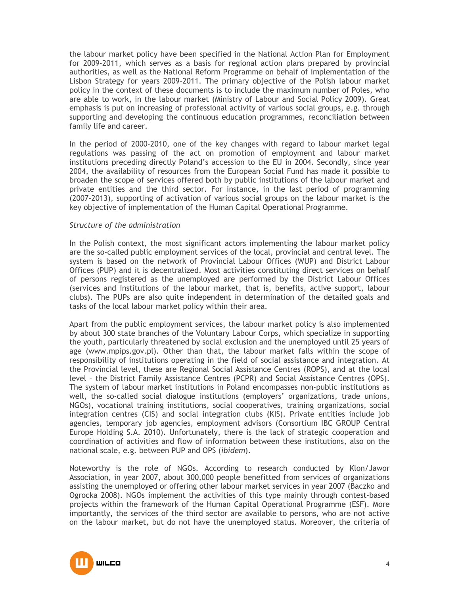the labour market policy have been specified in the National Action Plan for Employment for 2009-2011, which serves as a basis for regional action plans prepared by provincial authorities, as well as the National Reform Programme on behalf of implementation of the Lisbon Strategy for years 2009-2011. The primary objective of the Polish labour market policy in the context of these documents is to include the maximum number of Poles, who are able to work, in the labour market (Ministry of Labour and Social Policy 2009). Great emphasis is put on increasing of professional activity of various social groups, e.g. through supporting and developing the continuous education programmes, reconciliation between family life and career.

In the period of 2000-2010, one of the key changes with regard to labour market legal regulations was passing of the act on promotion of employment and labour market institutions preceding directly Poland's accession to the EU in 2004. Secondly, since year 2004, the availability of resources from the European Social Fund has made it possible to broaden the scope of services offered both by public institutions of the labour market and private entities and the third sector. For instance, in the last period of programming (2007-2013), supporting of activation of various social groups on the labour market is the key objective of implementation of the Human Capital Operational Programme.

# *Structure of the administration*

In the Polish context, the most significant actors implementing the labour market policy are the so-called public employment services of the local, provincial and central level. The system is based on the network of Provincial Labour Offices (WUP) and District Labour Offices (PUP) and it is decentralized. Most activities constituting direct services on behalf of persons registered as the unemployed are performed by the District Labour Offices (services and institutions of the labour market, that is, benefits, active support, labour clubs). The PUPs are also quite independent in determination of the detailed goals and tasks of the local labour market policy within their area.

Apart from the public employment services, the labour market policy is also implemented by about 300 state branches of the Voluntary Labour Corps, which specialize in supporting the youth, particularly threatened by social exclusion and the unemployed until 25 years of age (www.mpips.gov.pl). Other than that, the labour market falls within the scope of responsibility of institutions operating in the field of social assistance and integration. At the Provincial level, these are Regional Social Assistance Centres (ROPS), and at the local level – the District Family Assistance Centres (PCPR) and Social Assistance Centres (OPS). The system of labour market institutions in Poland encompasses non-public institutions as well, the so-called social dialogue institutions (employers' organizations, trade unions, NGOs), vocational training institutions, social cooperatives, training organizations, social integration centres (CIS) and social integration clubs (KIS). Private entities include job agencies, temporary job agencies, employment advisors (Consortium IBC GROUP Central Europe Holding S.A. 2010). Unfortunately, there is the lack of strategic cooperation and coordination of activities and flow of information between these institutions, also on the national scale, e.g. between PUP and OPS (*ibidem*).

Noteworthy is the role of NGOs. According to research conducted by Klon/Jawor Association, in year 2007, about 300,000 people benefitted from services of organizations assisting the unemployed or offering other labour market services in year 2007 (Baczko and Ogrocka 2008). NGOs implement the activities of this type mainly through contest-based projects within the framework of the Human Capital Operational Programme (ESF). More importantly, the services of the third sector are available to persons, who are not active on the labour market, but do not have the unemployed status. Moreover, the criteria of

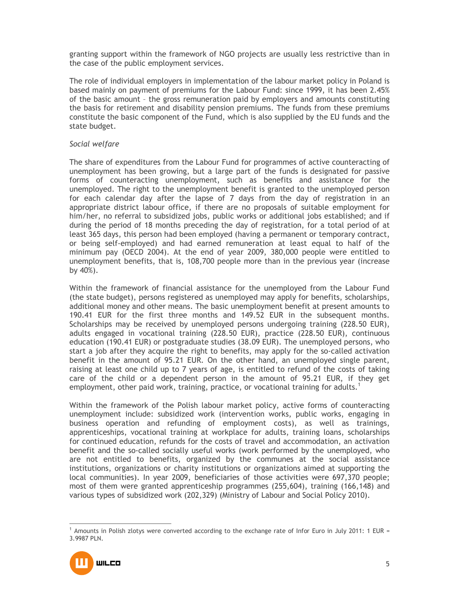granting support within the framework of NGO projects are usually less restrictive than in the case of the public employment services.

The role of individual employers in implementation of the labour market policy in Poland is based mainly on payment of premiums for the Labour Fund: since 1999, it has been 2.45% of the basic amount – the gross remuneration paid by employers and amounts constituting the basis for retirement and disability pension premiums. The funds from these premiums constitute the basic component of the Fund, which is also supplied by the EU funds and the state budget.

# *Social welfare*

The share of expenditures from the Labour Fund for programmes of active counteracting of unemployment has been growing, but a large part of the funds is designated for passive forms of counteracting unemployment, such as benefits and assistance for the unemployed. The right to the unemployment benefit is granted to the unemployed person for each calendar day after the lapse of 7 days from the day of registration in an appropriate district labour office, if there are no proposals of suitable employment for him/her, no referral to subsidized jobs, public works or additional jobs established; and if during the period of 18 months preceding the day of registration, for a total period of at least 365 days, this person had been employed (having a permanent or temporary contract, or being self-employed) and had earned remuneration at least equal to half of the minimum pay (OECD 2004). At the end of year 2009, 380,000 people were entitled to unemployment benefits, that is, 108,700 people more than in the previous year (increase by 40%).

Within the framework of financial assistance for the unemployed from the Labour Fund (the state budget), persons registered as unemployed may apply for benefits, scholarships, additional money and other means. The basic unemployment benefit at present amounts to 190.41 EUR for the first three months and 149.52 EUR in the subsequent months. Scholarships may be received by unemployed persons undergoing training (228.50 EUR), adults engaged in vocational training (228.50 EUR), practice (228.50 EUR), continuous education (190.41 EUR) or postgraduate studies (38.09 EUR). The unemployed persons, who start a job after they acquire the right to benefits, may apply for the so-called activation benefit in the amount of 95.21 EUR. On the other hand, an unemployed single parent, raising at least one child up to 7 years of age, is entitled to refund of the costs of taking care of the child or a dependent person in the amount of 95.21 EUR, if they get employment, other paid work, training, practice, or vocational training for adults.<sup>1</sup>

Within the framework of the Polish labour market policy, active forms of counteracting unemployment include: subsidized work (intervention works, public works, engaging in business operation and refunding of employment costs), as well as trainings, apprenticeships, vocational training at workplace for adults, training loans, scholarships for continued education, refunds for the costs of travel and accommodation, an activation benefit and the so-called socially useful works (work performed by the unemployed, who are not entitled to benefits, organized by the communes at the social assistance institutions, organizations or charity institutions or organizations aimed at supporting the local communities). In year 2009, beneficiaries of those activities were 697,370 people; most of them were granted apprenticeship programmes (255,604), training (166,148) and various types of subsidized work (202,329) (Ministry of Labour and Social Policy 2010).

 $\overline{a}$ 1 Amounts in Polish zlotys were converted according to the exchange rate of Infor Euro in July 2011: 1 EUR = 3.9987 PLN.

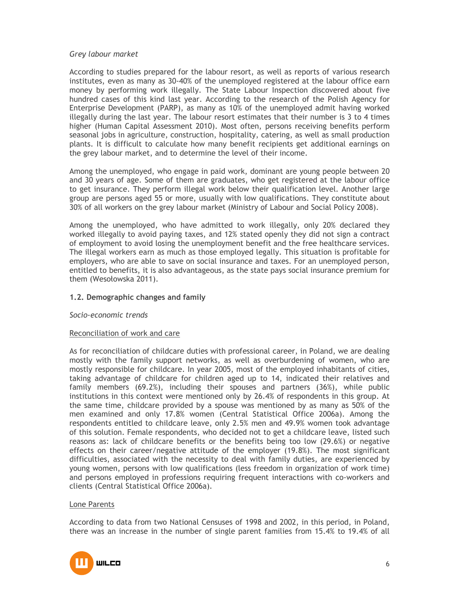# *Grey labour market*

According to studies prepared for the labour resort, as well as reports of various research institutes, even as many as 30-40% of the unemployed registered at the labour office earn money by performing work illegally. The State Labour Inspection discovered about five hundred cases of this kind last year. According to the research of the Polish Agency for Enterprise Development (PARP), as many as 10% of the unemployed admit having worked illegally during the last year. The labour resort estimates that their number is 3 to 4 times higher (Human Capital Assessment 2010). Most often, persons receiving benefits perform seasonal jobs in agriculture, construction, hospitality, catering, as well as small production plants. It is difficult to calculate how many benefit recipients get additional earnings on the grey labour market, and to determine the level of their income.

Among the unemployed, who engage in paid work, dominant are young people between 20 and 30 years of age. Some of them are graduates, who get registered at the labour office to get insurance. They perform illegal work below their qualification level. Another large group are persons aged 55 or more, usually with low qualifications. They constitute about 30% of all workers on the grey labour market (Ministry of Labour and Social Policy 2008).

Among the unemployed, who have admitted to work illegally, only 20% declared they worked illegally to avoid paying taxes, and 12% stated openly they did not sign a contract of employment to avoid losing the unemployment benefit and the free healthcare services. The illegal workers earn as much as those employed legally. This situation is profitable for employers, who are able to save on social insurance and taxes. For an unemployed person, entitled to benefits, it is also advantageous, as the state pays social insurance premium for them (Wesołowska 2011).

# **1.2. Demographic changes and family**

#### *Socio-economic trends*

#### Reconciliation of work and care

As for reconciliation of childcare duties with professional career, in Poland, we are dealing mostly with the family support networks, as well as overburdening of women, who are mostly responsible for childcare. In year 2005, most of the employed inhabitants of cities, taking advantage of childcare for children aged up to 14, indicated their relatives and family members (69.2%), including their spouses and partners (36%), while public institutions in this context were mentioned only by 26.4% of respondents in this group. At the same time, childcare provided by a spouse was mentioned by as many as 50% of the men examined and only 17.8% women (Central Statistical Office 2006a). Among the respondents entitled to childcare leave, only 2.5% men and 49.9% women took advantage of this solution. Female respondents, who decided not to get a childcare leave, listed such reasons as: lack of childcare benefits or the benefits being too low (29.6%) or negative effects on their career/negative attitude of the employer (19.8%). The most significant difficulties, associated with the necessity to deal with family duties, are experienced by young women, persons with low qualifications (less freedom in organization of work time) and persons employed in professions requiring frequent interactions with co-workers and clients (Central Statistical Office 2006a).

#### Lone Parents

According to data from two National Censuses of 1998 and 2002, in this period, in Poland, there was an increase in the number of single parent families from 15.4% to 19.4% of all

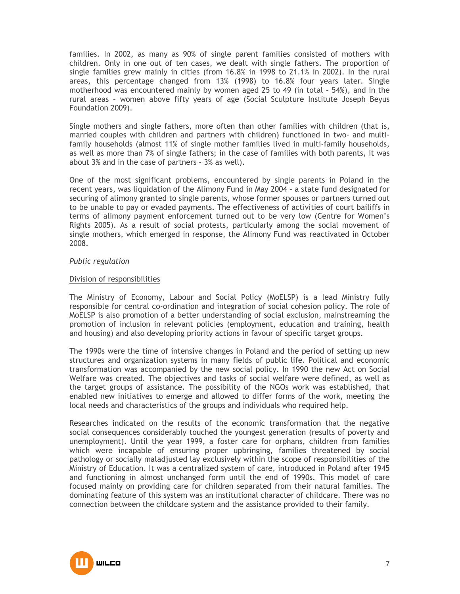families. In 2002, as many as 90% of single parent families consisted of mothers with children. Only in one out of ten cases, we dealt with single fathers. The proportion of single families grew mainly in cities (from 16.8% in 1998 to 21.1% in 2002). In the rural areas, this percentage changed from 13% (1998) to 16.8% four years later. Single motherhood was encountered mainly by women aged 25 to 49 (in total – 54%), and in the rural areas – women above fifty years of age (Social Sculpture Institute Joseph Beyus Foundation 2009).

Single mothers and single fathers, more often than other families with children (that is, married couples with children and partners with children) functioned in two- and multifamily households (almost 11% of single mother families lived in multi-family households, as well as more than 7% of single fathers; in the case of families with both parents, it was about 3% and in the case of partners – 3% as well).

One of the most significant problems, encountered by single parents in Poland in the recent years, was liquidation of the Alimony Fund in May 2004 – a state fund designated for securing of alimony granted to single parents, whose former spouses or partners turned out to be unable to pay or evaded payments. The effectiveness of activities of court bailiffs in terms of alimony payment enforcement turned out to be very low (Centre for Women's Rights 2005). As a result of social protests, particularly among the social movement of single mothers, which emerged in response, the Alimony Fund was reactivated in October 2008.

# *Public regulation*

# Division of responsibilities

The Ministry of Economy, Labour and Social Policy (MoELSP) is a lead Ministry fully responsible for central co-ordination and integration of social cohesion policy. The role of MoELSP is also promotion of a better understanding of social exclusion, mainstreaming the promotion of inclusion in relevant policies (employment, education and training, health and housing) and also developing priority actions in favour of specific target groups.

The 1990s were the time of intensive changes in Poland and the period of setting up new structures and organization systems in many fields of public life. Political and economic transformation was accompanied by the new social policy. In 1990 the new Act on Social Welfare was created. The objectives and tasks of social welfare were defined, as well as the target groups of assistance. The possibility of the NGOs work was established, that enabled new initiatives to emerge and allowed to differ forms of the work, meeting the local needs and characteristics of the groups and individuals who required help.

Researches indicated on the results of the economic transformation that the negative social consequences considerably touched the youngest generation (results of poverty and unemployment). Until the year 1999, a foster care for orphans, children from families which were incapable of ensuring proper upbringing, families threatened by social pathology or socially maladjusted lay exclusively within the scope of responsibilities of the Ministry of Education. It was a centralized system of care, introduced in Poland after 1945 and functioning in almost unchanged form until the end of 1990s. This model of care focused mainly on providing care for children separated from their natural families. The dominating feature of this system was an institutional character of childcare. There was no connection between the childcare system and the assistance provided to their family.

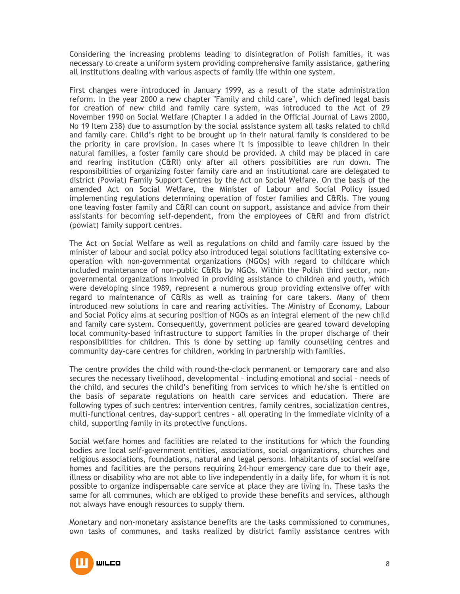Considering the increasing problems leading to disintegration of Polish families, it was necessary to create a uniform system providing comprehensive family assistance, gathering all institutions dealing with various aspects of family life within one system.

First changes were introduced in January 1999, as a result of the state administration reform. In the year 2000 a new chapter "Family and child care", which defined legal basis for creation of new child and family care system, was introduced to the Act of 29 November 1990 on Social Welfare (Chapter I a added in the Official Journal of Laws 2000, No 19 Item 238) due to assumption by the social assistance system all tasks related to child and family care. Child's right to be brought up in their natural family is considered to be the priority in care provision. In cases where it is impossible to leave children in their natural families, a foster family care should be provided. A child may be placed in care and rearing institution (C&RI) only after all others possibilities are run down. The responsibilities of organizing foster family care and an institutional care are delegated to district (Powiat) Family Support Centres by the Act on Social Welfare. On the basis of the amended Act on Social Welfare, the Minister of Labour and Social Policy issued implementing regulations determining operation of foster families and C&RIs. The young one leaving foster family and C&RI can count on support, assistance and advice from their assistants for becoming self-dependent, from the employees of C&RI and from district (powiat) family support centres.

The Act on Social Welfare as well as regulations on child and family care issued by the minister of labour and social policy also introduced legal solutions facilitating extensive cooperation with non-governmental organizations (NGOs) with regard to childcare which included maintenance of non-public C&RIs by NGOs. Within the Polish third sector, nongovernmental organizations involved in providing assistance to children and youth, which were developing since 1989, represent a numerous group providing extensive offer with regard to maintenance of C&RIs as well as training for care takers. Many of them introduced new solutions in care and rearing activities. The Ministry of Economy, Labour and Social Policy aims at securing position of NGOs as an integral element of the new child and family care system. Consequently, government policies are geared toward developing local community-based infrastructure to support families in the proper discharge of their responsibilities for children. This is done by setting up family counselling centres and community day-care centres for children, working in partnership with families.

The centre provides the child with round-the-clock permanent or temporary care and also secures the necessary livelihood, developmental – including emotional and social – needs of the child, and secures the child's benefiting from services to which he/she is entitled on the basis of separate regulations on health care services and education. There are following types of such centres: intervention centres, family centres, socialization centres, multi-functional centres, day-support centres – all operating in the immediate vicinity of a child, supporting family in its protective functions.

Social welfare homes and facilities are related to the institutions for which the founding bodies are local self-government entities, associations, social organizations, churches and religious associations, foundations, natural and legal persons. Inhabitants of social welfare homes and facilities are the persons requiring 24-hour emergency care due to their age, illness or disability who are not able to live independently in a daily life, for whom it is not possible to organize indispensable care service at place they are living in. These tasks the same for all communes, which are obliged to provide these benefits and services, although not always have enough resources to supply them.

Monetary and non-monetary assistance benefits are the tasks commissioned to communes, own tasks of communes, and tasks realized by district family assistance centres with

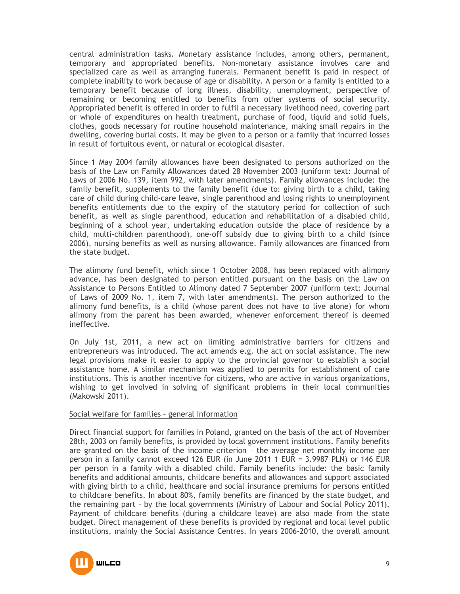central administration tasks. Monetary assistance includes, among others, permanent, temporary and appropriated benefits. Non-monetary assistance involves care and specialized care as well as arranging funerals. Permanent benefit is paid in respect of complete inability to work because of age or disability. A person or a family is entitled to a temporary benefit because of long illness, disability, unemployment, perspective of remaining or becoming entitled to benefits from other systems of social security. Appropriated benefit is offered in order to fulfil a necessary livelihood need, covering part or whole of expenditures on health treatment, purchase of food, liquid and solid fuels, clothes, goods necessary for routine household maintenance, making small repairs in the dwelling, covering burial costs. It may be given to a person or a family that incurred losses in result of fortuitous event, or natural or ecological disaster.

Since 1 May 2004 family allowances have been designated to persons authorized on the basis of the Law on Family Allowances dated 28 November 2003 (uniform text: Journal of Laws of 2006 No. 139, item 992, with later amendments). Family allowances include: the family benefit, supplements to the family benefit (due to: giving birth to a child, taking care of child during child-care leave, single parenthood and losing rights to unemployment benefits entitlements due to the expiry of the statutory period for collection of such benefit, as well as single parenthood, education and rehabilitation of a disabled child, beginning of a school year, undertaking education outside the place of residence by a child, multi-children parenthood), one-off subsidy due to giving birth to a child (since 2006), nursing benefits as well as nursing allowance. Family allowances are financed from the state budget.

The alimony fund benefit, which since 1 October 2008, has been replaced with alimony advance, has been designated to person entitled pursuant on the basis on the Law on Assistance to Persons Entitled to Alimony dated 7 September 2007 (uniform text: Journal of Laws of 2009 No. 1, item 7, with later amendments). The person authorized to the alimony fund benefits, is a child (whose parent does not have to live alone) for whom alimony from the parent has been awarded, whenever enforcement thereof is deemed ineffective.

On July 1st, 2011, a new act on limiting administrative barriers for citizens and entrepreneurs was introduced. The act amends e.g. the act on social assistance. The new legal provisions make it easier to apply to the provincial governor to establish a social assistance home. A similar mechanism was applied to permits for establishment of care institutions. This is another incentive for citizens, who are active in various organizations, wishing to get involved in solving of significant problems in their local communities (Makowski 2011).

#### Social welfare for families – general information

Direct financial support for families in Poland, granted on the basis of the act of November 28th, 2003 on family benefits, is provided by local government institutions. Family benefits are granted on the basis of the income criterion – the average net monthly income per person in a family cannot exceed 126 EUR (in June 2011 1 EUR = 3.9987 PLN) or 146 EUR per person in a family with a disabled child. Family benefits include: the basic family benefits and additional amounts, childcare benefits and allowances and support associated with giving birth to a child, healthcare and social insurance premiums for persons entitled to childcare benefits. In about 80%, family benefits are financed by the state budget, and the remaining part – by the local governments (Ministry of Labour and Social Policy 2011). Payment of childcare benefits (during a childcare leave) are also made from the state budget. Direct management of these benefits is provided by regional and local level public institutions, mainly the Social Assistance Centres. In years 2006-2010, the overall amount

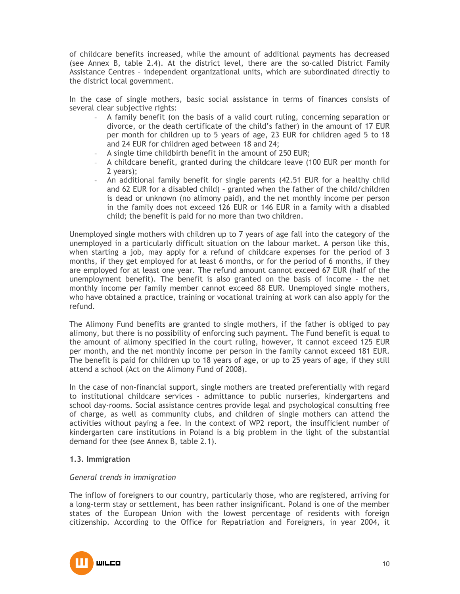of childcare benefits increased, while the amount of additional payments has decreased (see Annex B, table 2.4). At the district level, there are the so-called District Family Assistance Centres – independent organizational units, which are subordinated directly to the district local government.

In the case of single mothers, basic social assistance in terms of finances consists of several clear subjective rights:

- A family benefit (on the basis of a valid court ruling, concerning separation or divorce, or the death certificate of the child's father) in the amount of 17 EUR per month for children up to 5 years of age, 23 EUR for children aged 5 to 18 and 24 EUR for children aged between 18 and 24;
- A single time childbirth benefit in the amount of 250 EUR;
- A childcare benefit, granted during the childcare leave (100 EUR per month for 2 years);
- An additional family benefit for single parents (42.51 EUR for a healthy child and 62 EUR for a disabled child) – granted when the father of the child/children is dead or unknown (no alimony paid), and the net monthly income per person in the family does not exceed 126 EUR or 146 EUR in a family with a disabled child; the benefit is paid for no more than two children.

Unemployed single mothers with children up to 7 years of age fall into the category of the unemployed in a particularly difficult situation on the labour market. A person like this, when starting a job, may apply for a refund of childcare expenses for the period of 3 months, if they get employed for at least 6 months, or for the period of 6 months, if they are employed for at least one year. The refund amount cannot exceed 67 EUR (half of the unemployment benefit). The benefit is also granted on the basis of income – the net monthly income per family member cannot exceed 88 EUR. Unemployed single mothers, who have obtained a practice, training or vocational training at work can also apply for the refund.

The Alimony Fund benefits are granted to single mothers, if the father is obliged to pay alimony, but there is no possibility of enforcing such payment. The Fund benefit is equal to the amount of alimony specified in the court ruling, however, it cannot exceed 125 EUR per month, and the net monthly income per person in the family cannot exceed 181 EUR. The benefit is paid for children up to 18 years of age, or up to 25 years of age, if they still attend a school (Act on the Alimony Fund of 2008).

In the case of non-financial support, single mothers are treated preferentially with regard to institutional childcare services - admittance to public nurseries, kindergartens and school day-rooms. Social assistance centres provide legal and psychological consulting free of charge, as well as community clubs, and children of single mothers can attend the activities without paying a fee. In the context of WP2 report, the insufficient number of kindergarten care institutions in Poland is a big problem in the light of the substantial demand for thee (see Annex B, table 2.1).

# **1.3. Immigration**

#### *General trends in immigration*

The inflow of foreigners to our country, particularly those, who are registered, arriving for a long-term stay or settlement, has been rather insignificant. Poland is one of the member states of the European Union with the lowest percentage of residents with foreign citizenship. According to the Office for Repatriation and Foreigners, in year 2004, it

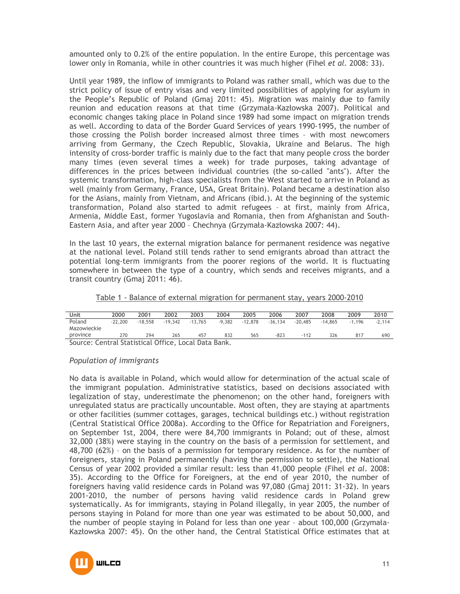amounted only to 0.2% of the entire population. In the entire Europe, this percentage was lower only in Romania, while in other countries it was much higher (Fihel *et al.* 2008: 33).

Until year 1989, the inflow of immigrants to Poland was rather small, which was due to the strict policy of issue of entry visas and very limited possibilities of applying for asylum in the People's Republic of Poland (Gmaj 2011: 45). Migration was mainly due to family reunion and education reasons at that time (Grzymała-Kazłowska 2007). Political and economic changes taking place in Poland since 1989 had some impact on migration trends as well. According to data of the Border Guard Services of years 1990-1995, the number of those crossing the Polish border increased almost three times – with most newcomers arriving from Germany, the Czech Republic, Slovakia, Ukraine and Belarus. The high intensity of cross-border traffic is mainly due to the fact that many people cross the border many times (even several times a week) for trade purposes, taking advantage of differences in the prices between individual countries (the so-called "ants"). After the systemic transformation, high-class specialists from the West started to arrive in Poland as well (mainly from Germany, France, USA, Great Britain). Poland became a destination also for the Asians, mainly from Vietnam, and Africans (ibid.). At the beginning of the systemic transformation, Poland also started to admit refugees – at first, mainly from Africa, Armenia, Middle East, former Yugoslavia and Romania, then from Afghanistan and South-Eastern Asia, and after year 2000 – Chechnya (Grzymała-Kazłowska 2007: 44).

In the last 10 years, the external migration balance for permanent residence was negative at the national level. Poland still tends rather to send emigrants abroad than attract the potential long-term immigrants from the poorer regions of the world. It is fluctuating somewhere in between the type of a country, which sends and receives migrants, and a transit country (Gmaj 2011: 46).

|--|

| Unit                                                 | 2000      | 2001      | 2002      | 2003      | 2004     | 2005      | 2006      | 2007      | 2008      | 2009     | 2010     |
|------------------------------------------------------|-----------|-----------|-----------|-----------|----------|-----------|-----------|-----------|-----------|----------|----------|
| Poland                                               | $-22.200$ | $-18.558$ | $-19.342$ | $-13.765$ | $-9.382$ | $-12.878$ | $-36.134$ | $-20.485$ | $-14.865$ | $-1.196$ | $-2.114$ |
| Mazowieckie                                          |           |           |           |           |          |           |           |           |           |          |          |
| province                                             | 270       | 294       | 265       | 457       | 832      | 565       | $-823$    | -112      | 326       | 817      | 690      |
| Source: Central Statistical Office, Local Data Bank. |           |           |           |           |          |           |           |           |           |          |          |

#### *Population of immigrants*

No data is available in Poland, which would allow for determination of the actual scale of the immigrant population. Administrative statistics, based on decisions associated with legalization of stay, underestimate the phenomenon; on the other hand, foreigners with unregulated status are practically uncountable. Most often, they are staying at apartments or other facilities (summer cottages, garages, technical buildings etc.) without registration (Central Statistical Office 2008a). According to the Office for Repatriation and Foreigners, on September 1st, 2004, there were 84,700 immigrants in Poland; out of these, almost 32,000 (38%) were staying in the country on the basis of a permission for settlement, and 48,700 (62%) – on the basis of a permission for temporary residence. As for the number of foreigners, staying in Poland permanently (having the permission to settle), the National Census of year 2002 provided a similar result: less than 41,000 people (Fihel *et al.* 2008: 35). According to the Office for Foreigners, at the end of year 2010, the number of foreigners having valid residence cards in Poland was 97,080 (Gmaj 2011: 31-32). In years 2001-2010, the number of persons having valid residence cards in Poland grew systematically. As for immigrants, staying in Poland illegally, in year 2005, the number of persons staying in Poland for more than one year was estimated to be about 50,000, and the number of people staying in Poland for less than one year – about 100,000 (Grzymała-Kazłowska 2007: 45). On the other hand, the Central Statistical Office estimates that at

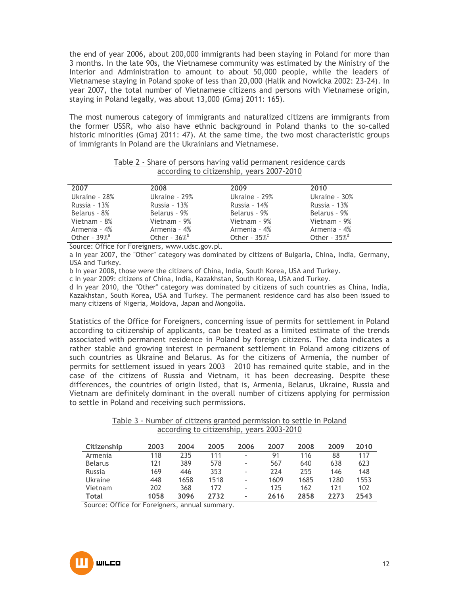the end of year 2006, about 200,000 immigrants had been staying in Poland for more than 3 months. In the late 90s, the Vietnamese community was estimated by the Ministry of the Interior and Administration to amount to about 50,000 people, while the leaders of Vietnamese staying in Poland spoke of less than 20,000 (Halik and Nowicka 2002: 23-24). In year 2007, the total number of Vietnamese citizens and persons with Vietnamese origin, staying in Poland legally, was about 13,000 (Gmaj 2011: 165).

The most numerous category of immigrants and naturalized citizens are immigrants from the former USSR, who also have ethnic background in Poland thanks to the so-called historic minorities (Gmaj 2011: 47). At the same time, the two most characteristic groups of immigrants in Poland are the Ukrainians and Vietnamese.

|                                           | Table 2 - Share of persons having valid permanent residence cards |  |
|-------------------------------------------|-------------------------------------------------------------------|--|
| according to citizenship, years 2007-2010 |                                                                   |  |

| 2007                        | 2008                        | 2009                        | 2010                        |
|-----------------------------|-----------------------------|-----------------------------|-----------------------------|
| Ukraine - 28%               | Ukraine - 29%               | Ukraine - 29%               | Ukraine - 30%               |
| Russia - 13%                | Russia - $13%$              | Russia - 14%                | Russia - $13%$              |
| Belarus - 8%                | Belarus - 9%                | Belarus - 9%                | Belarus - 9%                |
| Vietnam - 8%                | Vietnam - 9%                | Vietnam - 9%                | Vietnam - 9%                |
| Armenia - 4%                | Armenia - 4%                | Armenia - 4%                | Armenia - 4%                |
| Other - $39\%$ <sup>a</sup> | Other - $36\%$ <sup>b</sup> | Other - $35\%$ <sup>c</sup> | Other - $35\%$ <sup>d</sup> |

Source: Office for Foreigners, www.udsc.gov.pl.

a In year 2007, the "Other" category was dominated by citizens of Bulgaria, China, India, Germany, USA and Turkey.

b In year 2008, those were the citizens of China, India, South Korea, USA and Turkey.

c In year 2009: citizens of China, India, Kazakhstan, South Korea, USA and Turkey.

d In year 2010, the "Other" category was dominated by citizens of such countries as China, India, Kazakhstan, South Korea, USA and Turkey. The permanent residence card has also been issued to many citizens of Nigeria, Moldova, Japan and Mongolia.

Statistics of the Office for Foreigners, concerning issue of permits for settlement in Poland according to citizenship of applicants, can be treated as a limited estimate of the trends associated with permanent residence in Poland by foreign citizens. The data indicates a rather stable and growing interest in permanent settlement in Poland among citizens of such countries as Ukraine and Belarus. As for the citizens of Armenia, the number of permits for settlement issued in years 2003 – 2010 has remained quite stable, and in the case of the citizens of Russia and Vietnam, it has been decreasing. Despite these differences, the countries of origin listed, that is, Armenia, Belarus, Ukraine, Russia and Vietnam are definitely dominant in the overall number of citizens applying for permission to settle in Poland and receiving such permissions.

Table 3 - Number of citizens granted permission to settle in Poland according to citizenship, years 2003-2010

| Citizenship    | 2003 | 2004 | 2005 | 2006                     | 2007 | 2008 | 2009 | 2010 |
|----------------|------|------|------|--------------------------|------|------|------|------|
| Armenia        | 118  | 235  | 111  | ٠                        | 91   | 116  | 88   | 117  |
| <b>Belarus</b> | 121  | 389  | 578  | $\overline{\phantom{a}}$ | 567  | 640  | 638  | 623  |
| Russia         | 169  | 446  | 353  | $\overline{\phantom{a}}$ | 224  | 255  | 146  | 148  |
| Ukraine        | 448  | 1658 | 1518 | $\overline{\phantom{a}}$ | 1609 | 1685 | 1280 | 1553 |
| Vietnam        | 202  | 368  | 172  | $\overline{\phantom{a}}$ | 125  | 162  | 121  | 102  |
| <b>Total</b>   | 1058 | 3096 | 2732 | ۰                        | 2616 | 2858 | 2273 | 2543 |

Source: Office for Foreigners, annual summary.

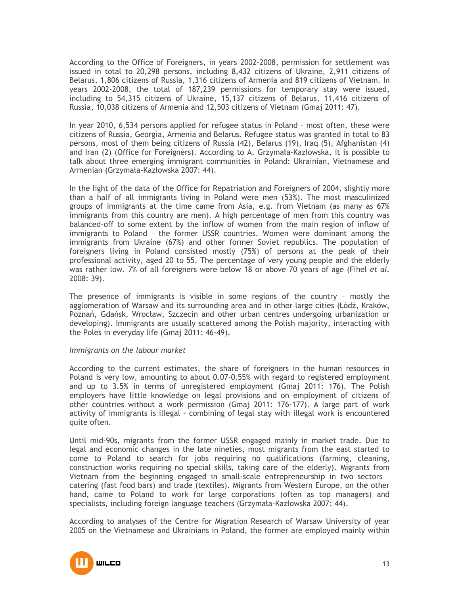According to the Office of Foreigners, in years 2002-2008, permission for settlement was issued in total to 20,298 persons, including 8,432 citizens of Ukraine, 2,911 citizens of Belarus, 1,806 citizens of Russia, 1,316 citizens of Armenia and 819 citizens of Vietnam. In years 2002-2008, the total of 187,239 permissions for temporary stay were issued, including to 54,315 citizens of Ukraine, 15,137 citizens of Belarus, 11,416 citizens of Russia, 10,038 citizens of Armenia and 12,503 citizens of Vietnam (Gmaj 2011: 47).

In year 2010, 6,534 persons applied for refugee status in Poland – most often, these were citizens of Russia, Georgia, Armenia and Belarus. Refugee status was granted in total to 83 persons, most of them being citizens of Russia (42), Belarus (19), Iraq (5), Afghanistan (4) and Iran (2) (Office for Foreigners). According to A. Grzymała-Kazłowska, it is possible to talk about three emerging immigrant communities in Poland: Ukrainian, Vietnamese and Armenian (Grzymała-Kazłowska 2007: 44).

In the light of the data of the Office for Repatriation and Foreigners of 2004, slightly more than a half of all immigrants living in Poland were men (53%). The most masculinized groups of immigrants at the time came from Asia, e.g. from Vietnam (as many as 67% immigrants from this country are men). A high percentage of men from this country was balanced-off to some extent by the inflow of women from the main region of inflow of immigrants to Poland – the former USSR countries. Women were dominant among the immigrants from Ukraine (67%) and other former Soviet republics. The population of foreigners living in Poland consisted mostly (75%) of persons at the peak of their professional activity, aged 20 to 55. The percentage of very young people and the elderly was rather low. 7% of all foreigners were below 18 or above 70 years of age (Fihel *et al.* 2008: 39).

The presence of immigrants is visible in some regions of the country – mostly the agglomeration of Warsaw and its surrounding area and in other large cities (Łódź, Kraków, Poznań, Gdańsk, Wrocław, Szczecin and other urban centres undergoing urbanization or developing). Immigrants are usually scattered among the Polish majority, interacting with the Poles in everyday life (Gmaj 2011: 46-49).

#### *Immigrants on the labour market*

According to the current estimates, the share of foreigners in the human resources in Poland is very low, amounting to about 0.07-0.55% with regard to registered employment and up to 3.5% in terms of unregistered employment (Gmaj 2011: 176). The Polish employers have little knowledge on legal provisions and on employment of citizens of other countries without a work permission (Gmaj 2011: 176-177). A large part of work activity of immigrants is illegal – combining of legal stay with illegal work is encountered quite often.

Until mid-90s, migrants from the former USSR engaged mainly in market trade. Due to legal and economic changes in the late nineties, most migrants from the east started to come to Poland to search for jobs requiring no qualifications (farming, cleaning, construction works requiring no special skills, taking care of the elderly). Migrants from Vietnam from the beginning engaged in small-scale entrepreneurship in two sectors – catering (fast food bars) and trade (textiles). Migrants from Western Europe, on the other hand, came to Poland to work for large corporations (often as top managers) and specialists, including foreign language teachers (Grzymała-Kazłowska 2007: 44).

According to analyses of the Centre for Migration Research of Warsaw University of year 2005 on the Vietnamese and Ukrainians in Poland, the former are employed mainly within

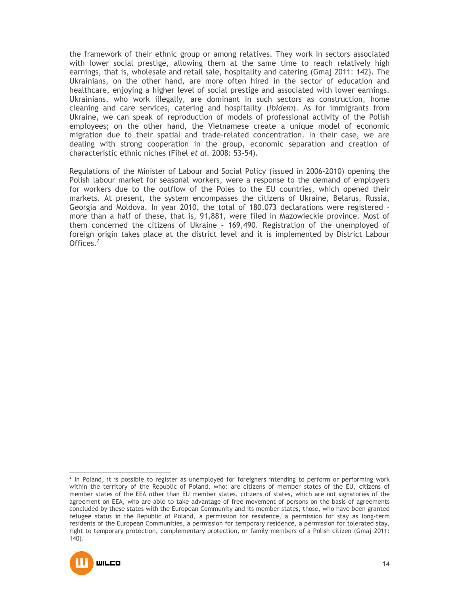the framework of their ethnic group or among relatives. They work in sectors associated with lower social prestige, allowing them at the same time to reach relatively high earnings, that is, wholesale and retail sale, hospitality and catering (Gmaj 2011: 142). The Ukrainians, on the other hand, are more often hired in the sector of education and healthcare, enjoying a higher level of social prestige and associated with lower earnings. Ukrainians, who work illegally, are dominant in such sectors as construction, home cleaning and care services, catering and hospitality (*ibidem*). As for immigrants from Ukraine, we can speak of reproduction of models of professional activity of the Polish employees; on the other hand, the Vietnamese create a unique model of economic migration due to their spatial and trade-related concentration. In their case, we are dealing with strong cooperation in the group, economic separation and creation of characteristic ethnic niches (Fihel *et al.* 2008: 53-54).

Regulations of the Minister of Labour and Social Policy (issued in 2006-2010) opening the Polish labour market for seasonal workers, were a response to the demand of employers for workers due to the outflow of the Poles to the EU countries, which opened their markets. At present, the system encompasses the citizens of Ukraine, Belarus, Russia, Georgia and Moldova. In year 2010, the total of 180,073 declarations were registered – more than a half of these, that is, 91,881, were filed in Mazowieckie province. Most of them concerned the citizens of Ukraine – 169,490. Registration of the unemployed of foreign origin takes place at the district level and it is implemented by District Labour Offices.<sup>2</sup>

 2 In Poland, it is possible to register as unemployed for foreigners intending to perform or performing work within the territory of the Republic of Poland, who: are citizens of member states of the EU, citizens of member states of the EEA other than EU member states, citizens of states, which are not signatories of the agreement on EEA, who are able to take advantage of free movement of persons on the basis of agreements concluded by these states with the European Community and its member states, those, who have been granted refugee status in the Republic of Poland, a permission for residence, a permission for stay as long-term residents of the European Communities, a permission for temporary residence, a permission for tolerated stay, right to temporary protection, complementary protection, or family members of a Polish citizen (Gmaj 2011: 140).

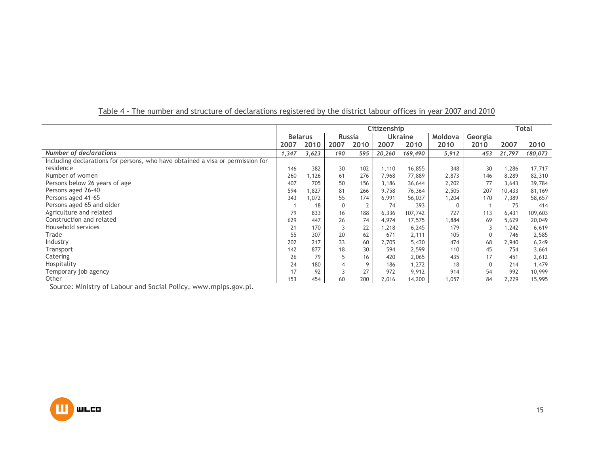|                                                                                |                | Citizenship |               |      |        |                |         |              |        | <b>Total</b> |
|--------------------------------------------------------------------------------|----------------|-------------|---------------|------|--------|----------------|---------|--------------|--------|--------------|
|                                                                                | <b>Belarus</b> |             | <b>Russia</b> |      |        | <b>Ukraine</b> | Moldova | Georgia      |        |              |
|                                                                                | 2007           | 2010        | 2007          | 2010 | 2007   | 2010           | 2010    | 2010         | 2007   | 2010         |
| Number of declarations                                                         | 1,347          | 3,623       | 190           | 595  | 20,260 | 169,490        | 5,912   | 453          | 21,797 | 180,073      |
| Including declarations for persons, who have obtained a visa or permission for |                |             |               |      |        |                |         |              |        |              |
| residence                                                                      | 146            | 382         | 30            | 102  | 1,110  | 16,855         | 348     | 30           | 1,286  | 17,717       |
| Number of women                                                                | 260            | ,126        | 61            | 276  | 7,968  | 77,889         | 2,873   | 146          | 8,289  | 82,310       |
| Persons below 26 years of age                                                  | 407            | 705         | 50            | 156  | 3,186  | 36,644         | 2,202   | 77           | 3,643  | 39,784       |
| Persons aged 26-40                                                             | 594            | ,827        | 81            | 266  | 9,758  | 76,364         | 2,505   | 207          | 10,433 | 81,169       |
| Persons aged 41-65                                                             | 343            | ,072        | 55            | 174  | 6,991  | 56,037         | 1,204   | 170          | 7,389  | 58,657       |
| Persons aged 65 and older                                                      |                | 18          | $\mathbf 0$   |      | 74     | 393            | 0       |              | 75     | 414          |
| Agriculture and related                                                        | 79             | 833         | 16            | 188  | 6,336  | 107,742        | 727     | 113          | 6,431  | 109,603      |
| Construction and related                                                       | 629            | 447         | 26            | 74   | 4,974  | 17,575         | 1,884   | 69           | 5,629  | 20,049       |
| Household services                                                             | 21             | 170         | 3             | 22   | 1,218  | 6,245          | 179     |              | 1.242  | 6,619        |
| Trade                                                                          | 55             | 307         | 20            | 62   | 671    | 2,111          | 105     | $\mathbf{0}$ | 746    | 2,585        |
| Industry                                                                       | 202            | 217         | 33            | 60   | 2,705  | 5,430          | 474     | 68           | 2,940  | 6,249        |
| Transport                                                                      | 142            | 877         | 18            | 30   | 594    | 2,599          | 110     | 45           | 754    | 3,661        |
| Catering                                                                       | 26             | 79          | 5             | 16   | 420    | 2,065          | 435     | 17           | 451    | 2,612        |
| Hospitality                                                                    | 24             | 180         | 4             | 9    | 186    | 1,272          | 18      | $\mathbf{0}$ | 214    | 1,479        |
| Temporary job agency                                                           | 17             | 92          |               | 27   | 972    | 9,912          | 914     | 54           | 992    | 10,999       |
| Other                                                                          | 153            | 454         | 60            | 200  | 2,016  | 14,200         | 1,057   | 84           | 2,229  | 15,995       |

# Table 4 - The number and structure of declarations registered by the district labour offices in year 2007 and 2010

Source: Ministry of Labour and Social Policy, www.mpips.gov.pl.

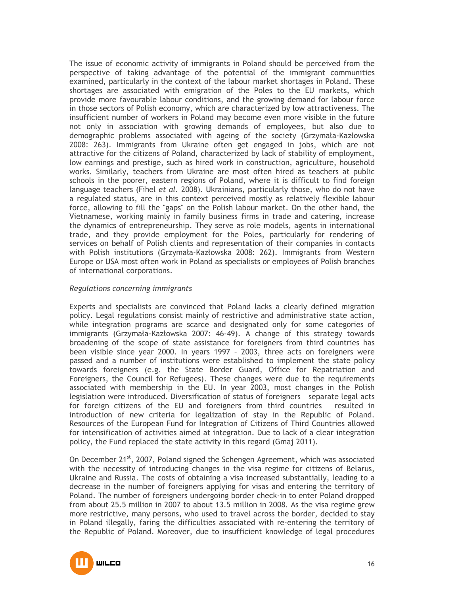The issue of economic activity of immigrants in Poland should be perceived from the perspective of taking advantage of the potential of the immigrant communities examined, particularly in the context of the labour market shortages in Poland. These shortages are associated with emigration of the Poles to the EU markets, which provide more favourable labour conditions, and the growing demand for labour force in those sectors of Polish economy, which are characterized by low attractiveness. The insufficient number of workers in Poland may become even more visible in the future not only in association with growing demands of employees, but also due to demographic problems associated with ageing of the society (Grzymała-Kazłowska 2008: 263). Immigrants from Ukraine often get engaged in jobs, which are not attractive for the citizens of Poland, characterized by lack of stability of employment, low earnings and prestige, such as hired work in construction, agriculture, household works. Similarly, teachers from Ukraine are most often hired as teachers at public schools in the poorer, eastern regions of Poland, where it is difficult to find foreign language teachers (Fihel *et al.* 2008). Ukrainians, particularly those, who do not have a regulated status, are in this context perceived mostly as relatively flexible labour force, allowing to fill the "gaps" on the Polish labour market. On the other hand, the Vietnamese, working mainly in family business firms in trade and catering, increase the dynamics of entrepreneurship. They serve as role models, agents in international trade, and they provide employment for the Poles, particularly for rendering of services on behalf of Polish clients and representation of their companies in contacts with Polish institutions (Grzymała-Kazłowska 2008: 262). Immigrants from Western Europe or USA most often work in Poland as specialists or employees of Polish branches of international corporations.

# *Regulations concerning immigrants*

Experts and specialists are convinced that Poland lacks a clearly defined migration policy. Legal regulations consist mainly of restrictive and administrative state action, while integration programs are scarce and designated only for some categories of immigrants (Grzymała-Kazłowska 2007: 46-49). A change of this strategy towards broadening of the scope of state assistance for foreigners from third countries has been visible since year 2000. In years 1997 – 2003, three acts on foreigners were passed and a number of institutions were established to implement the state policy towards foreigners (e.g. the State Border Guard, Office for Repatriation and Foreigners, the Council for Refugees). These changes were due to the requirements associated with membership in the EU. In year 2003, most changes in the Polish legislation were introduced. Diversification of status of foreigners – separate legal acts for foreign citizens of the EU and foreigners from third countries – resulted in introduction of new criteria for legalization of stay in the Republic of Poland. Resources of the European Fund for Integration of Citizens of Third Countries allowed for intensification of activities aimed at integration. Due to lack of a clear integration policy, the Fund replaced the state activity in this regard (Gmaj 2011).

On December  $21^{st}$ , 2007, Poland signed the Schengen Agreement, which was associated with the necessity of introducing changes in the visa regime for citizens of Belarus, Ukraine and Russia. The costs of obtaining a visa increased substantially, leading to a decrease in the number of foreigners applying for visas and entering the territory of Poland. The number of foreigners undergoing border check-in to enter Poland dropped from about 25.5 million in 2007 to about 13.5 million in 2008. As the visa regime grew more restrictive, many persons, who used to travel across the border, decided to stay in Poland illegally, faring the difficulties associated with re-entering the territory of the Republic of Poland. Moreover, due to insufficient knowledge of legal procedures

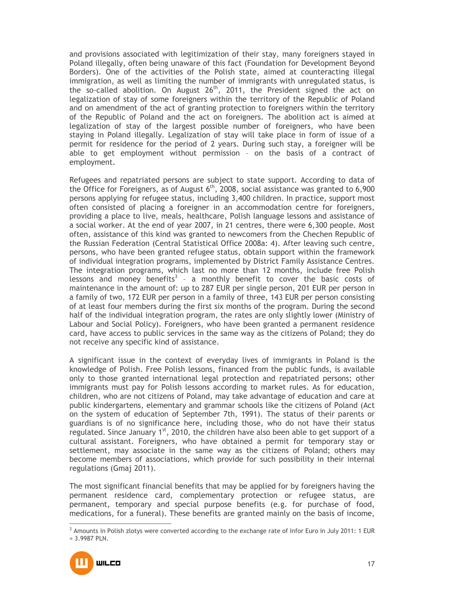and provisions associated with legitimization of their stay, many foreigners stayed in Poland illegally, often being unaware of this fact (Foundation for Development Beyond Borders). One of the activities of the Polish state, aimed at counteracting illegal immigration, as well as limiting the number of immigrants with unregulated status, is the so-called abolition. On August  $26<sup>th</sup>$ , 2011, the President signed the act on legalization of stay of some foreigners within the territory of the Republic of Poland and on amendment of the act of granting protection to foreigners within the territory of the Republic of Poland and the act on foreigners. The abolition act is aimed at legalization of stay of the largest possible number of foreigners, who have been staying in Poland illegally. Legalization of stay will take place in form of issue of a permit for residence for the period of 2 years. During such stay, a foreigner will be able to get employment without permission – on the basis of a contract of employment.

Refugees and repatriated persons are subject to state support. According to data of the Office for Foreigners, as of August  $6<sup>th</sup>$ , 2008, social assistance was granted to 6,900 persons applying for refugee status, including 3,400 children. In practice, support most often consisted of placing a foreigner in an accommodation centre for foreigners, providing a place to live, meals, healthcare, Polish language lessons and assistance of a social worker. At the end of year 2007, in 21 centres, there were 6,300 people. Most often, assistance of this kind was granted to newcomers from the Chechen Republic of the Russian Federation (Central Statistical Office 2008a: 4). After leaving such centre, persons, who have been granted refugee status, obtain support within the framework of individual integration programs, implemented by District Family Assistance Centres. The integration programs, which last no more than 12 months, include free Polish lessons and money benefits<sup>3</sup> - a monthly benefit to cover the basic costs of maintenance in the amount of: up to 287 EUR per single person, 201 EUR per person in a family of two, 172 EUR per person in a family of three, 143 EUR per person consisting of at least four members during the first six months of the program. During the second half of the individual integration program, the rates are only slightly lower (Ministry of Labour and Social Policy). Foreigners, who have been granted a permanent residence card, have access to public services in the same way as the citizens of Poland; they do not receive any specific kind of assistance.

A significant issue in the context of everyday lives of immigrants in Poland is the knowledge of Polish. Free Polish lessons, financed from the public funds, is available only to those granted international legal protection and repatriated persons; other immigrants must pay for Polish lessons according to market rules. As for education, children, who are not citizens of Poland, may take advantage of education and care at public kindergartens, elementary and grammar schools like the citizens of Poland (Act on the system of education of September 7th, 1991). The status of their parents or guardians is of no significance here, including those, who do not have their status regulated. Since January  $1<sup>st</sup>$ , 2010, the children have also been able to get support of a cultural assistant. Foreigners, who have obtained a permit for temporary stay or settlement, may associate in the same way as the citizens of Poland; others may become members of associations, which provide for such possibility in their internal regulations (Gmaj 2011).

The most significant financial benefits that may be applied for by foreigners having the permanent residence card, complementary protection or refugee status, are permanent, temporary and special purpose benefits (e.g. for purchase of food, medications, for a funeral). These benefits are granted mainly on the basis of income,

<sup>&</sup>lt;sup>3</sup> Amounts in Polish zlotys were converted according to the exchange rate of Infor Euro in July 2011: 1 EUR = 3.9987 PLN.



 $\overline{a}$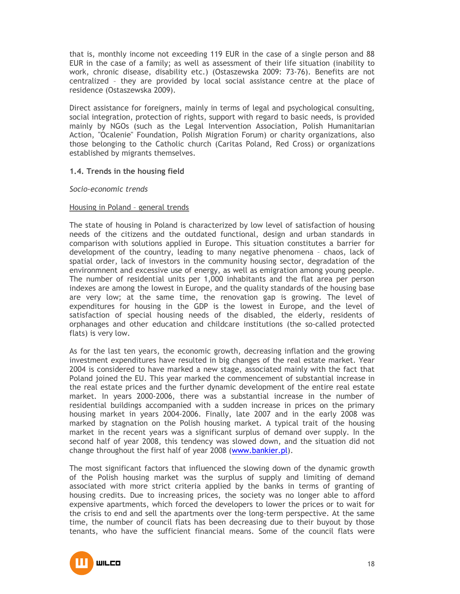that is, monthly income not exceeding 119 EUR in the case of a single person and 88 EUR in the case of a family; as well as assessment of their life situation (inability to work, chronic disease, disability etc.) (Ostaszewska 2009: 73-76). Benefits are not centralized – they are provided by local social assistance centre at the place of residence (Ostaszewska 2009).

Direct assistance for foreigners, mainly in terms of legal and psychological consulting, social integration, protection of rights, support with regard to basic needs, is provided mainly by NGOs (such as the Legal Intervention Association, Polish Humanitarian Action, "Ocalenie" Foundation, Polish Migration Forum) or charity organizations, also those belonging to the Catholic church (Caritas Poland, Red Cross) or organizations established by migrants themselves.

# **1.4. Trends in the housing field**

#### *Socio-economic trends*

#### Housing in Poland – general trends

The state of housing in Poland is characterized by low level of satisfaction of housing needs of the citizens and the outdated functional, design and urban standards in comparison with solutions applied in Europe. This situation constitutes a barrier for development of the country, leading to many negative phenomena – chaos, lack of spatial order, lack of investors in the community housing sector, degradation of the environmnent and excessive use of energy, as well as emigration among young people. The number of residential units per 1,000 inhabitants and the flat area per person indexes are among the lowest in Europe, and the quality standards of the housing base are very low; at the same time, the renovation gap is growing. The level of expenditures for housing in the GDP is the lowest in Europe, and the level of satisfaction of special housing needs of the disabled, the elderly, residents of orphanages and other education and childcare institutions (the so-called protected flats) is very low.

As for the last ten years, the economic growth, decreasing inflation and the growing investment expenditures have resulted in big changes of the real estate market. Year 2004 is considered to have marked a new stage, associated mainly with the fact that Poland joined the EU. This year marked the commencement of substantial increase in the real estate prices and the further dynamic development of the entire real estate market. In years 2000-2006, there was a substantial increase in the number of residential buildings accompanied with a sudden increase in prices on the primary housing market in years 2004-2006. Finally, late 2007 and in the early 2008 was marked by stagnation on the Polish housing market. A typical trait of the housing market in the recent years was a significant surplus of demand over supply. In the second half of year 2008, this tendency was slowed down, and the situation did not change throughout the first half of year 2008 (www.bankier.pl).

The most significant factors that influenced the slowing down of the dynamic growth of the Polish housing market was the surplus of supply and limiting of demand associated with more strict criteria applied by the banks in terms of granting of housing credits. Due to increasing prices, the society was no longer able to afford expensive apartments, which forced the developers to lower the prices or to wait for the crisis to end and sell the apartments over the long-term perspective. At the same time, the number of council flats has been decreasing due to their buyout by those tenants, who have the sufficient financial means. Some of the council flats were

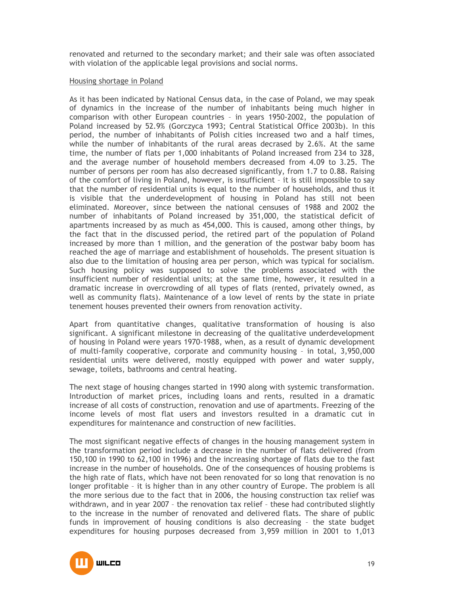renovated and returned to the secondary market; and their sale was often associated with violation of the applicable legal provisions and social norms.

#### Housing shortage in Poland

As it has been indicated by National Census data, in the case of Poland, we may speak of dynamics in the increase of the number of inhabitants being much higher in comparison with other European countries – in years 1950-2002, the population of Poland increased by 52.9% (Gorczyca 1993; Central Statistical Office 2003b). In this period, the number of inhabitants of Polish cities increased two and a half times, while the number of inhabitants of the rural areas decrased by 2.6%. At the same time, the number of flats per 1,000 inhabitants of Poland increased from 234 to 328, and the average number of household members decreased from 4.09 to 3.25. The number of persons per room has also decreased significantly, from 1.7 to 0.88. Raising of the comfort of living in Poland, however, is insufficient – it is still impossible to say that the number of residential units is equal to the number of households, and thus it is visible that the underdevelopment of housing in Poland has still not been eliminated. Moreover, since between the national censuses of 1988 and 2002 the number of inhabitants of Poland increased by 351,000, the statistical deficit of apartments increased by as much as 454,000. This is caused, among other things, by the fact that in the discussed period, the retired part of the population of Poland increased by more than 1 million, and the generation of the postwar baby boom has reached the age of marriage and establishment of households. The present situation is also due to the limitation of housing area per person, which was typical for socialism. Such housing policy was supposed to solve the problems associated with the insufficient number of residential units; at the same time, however, it resulted in a dramatic increase in overcrowding of all types of flats (rented, privately owned, as well as community flats). Maintenance of a low level of rents by the state in priate tenement houses prevented their owners from renovation activity.

Apart from quantitative changes, qualitative transformation of housing is also significant. A significant milestone in decreasing of the qualitative underdevelopment of housing in Poland were years 1970-1988, when, as a result of dynamic development of multi-family cooperative, corporate and community housing – in total, 3,950,000 residential units were delivered, mostly equipped with power and water supply, sewage, toilets, bathrooms and central heating.

The next stage of housing changes started in 1990 along with systemic transformation. Introduction of market prices, including loans and rents, resulted in a dramatic increase of all costs of construction, renovation and use of apartments. Freezing of the income levels of most flat users and investors resulted in a dramatic cut in expenditures for maintenance and construction of new facilities.

The most significant negative effects of changes in the housing management system in the transformation period include a decrease in the number of flats delivered (from 150,100 in 1990 to 62,100 in 1996) and the increasing shortage of flats due to the fast increase in the number of households. One of the consequences of housing problems is the high rate of flats, which have not been renovated for so long that renovation is no longer profitable – it is higher than in any other country of Europe. The problem is all the more serious due to the fact that in 2006, the housing construction tax relief was withdrawn, and in year 2007 – the renovation tax relief – these had contributed slightly to the increase in the number of renovated and delivered flats. The share of public funds in improvement of housing conditions is also decreasing – the state budget expenditures for housing purposes decreased from 3,959 million in 2001 to 1,013

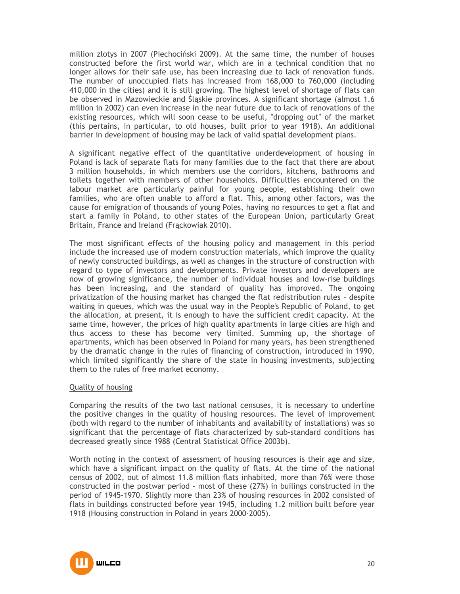million zlotys in 2007 (Piechociński 2009). At the same time, the number of houses constructed before the first world war, which are in a technical condition that no longer allows for their safe use, has been increasing due to lack of renovation funds. The number of unoccupied flats has increased from 168,000 to 760,000 (including 410,000 in the cities) and it is still growing. The highest level of shortage of flats can be observed in Mazowieckie and Śląskie provinces. A significant shortage (almost 1.6 million in 2002) can even increase in the near future due to lack of renovations of the existing resources, which will soon cease to be useful, "dropping out" of the market (this pertains, in particular, to old houses, built prior to year 1918). An additional barrier in development of housing may be lack of valid spatial development plans.

A significant negative effect of the quantitative underdevelopment of housing in Poland is lack of separate flats for many families due to the fact that there are about 3 million households, in which members use the corridors, kitchens, bathrooms and toilets together with members of other households. Difficulties encountered on the labour market are particularly painful for young people, establishing their own families, who are often unable to afford a flat. This, among other factors, was the cause for emigration of thousands of young Poles, having no resources to get a flat and start a family in Poland, to other states of the European Union, particularly Great Britain, France and Ireland (Frąckowiak 2010).

The most significant effects of the housing policy and management in this period include the increased use of modern construction materials, which improve the quality of newly constructed buildings, as well as changes in the structure of construction with regard to type of investors and developments. Private investors and developers are now of growing significance, the number of individual houses and low-rise buildings has been increasing, and the standard of quality has improved. The ongoing privatization of the housing market has changed the flat redistribution rules – despite waiting in queues, which was the usual way in the People's Republic of Poland, to get the allocation, at present, it is enough to have the sufficient credit capacity. At the same time, however, the prices of high quality apartments in large cities are high and thus access to these has become very limited. Summing up, the shortage of apartments, which has been observed in Poland for many years, has been strengthened by the dramatic change in the rules of financing of construction, introduced in 1990, which limited significantly the share of the state in housing investments, subjecting them to the rules of free market economy.

#### Quality of housing

Comparing the results of the two last national censuses, it is necessary to underline the positive changes in the quality of housing resources. The level of improvement (both with regard to the number of inhabitants and availability of installations) was so significant that the percentage of flats characterized by sub-standard conditions has decreased greatly since 1988 (Central Statistical Office 2003b).

Worth noting in the context of assessment of housing resources is their age and size, which have a significant impact on the quality of flats. At the time of the national census of 2002, out of almost 11.8 million flats inhabited, more than 76% were those constructed in the postwar period – most of these (27%) in builings constructed in the period of 1945-1970. Slightly more than 23% of housing resources in 2002 consisted of flats in buildings constructed before year 1945, including 1.2 million built before year 1918 (Housing construction in Poland in years 2000-2005).

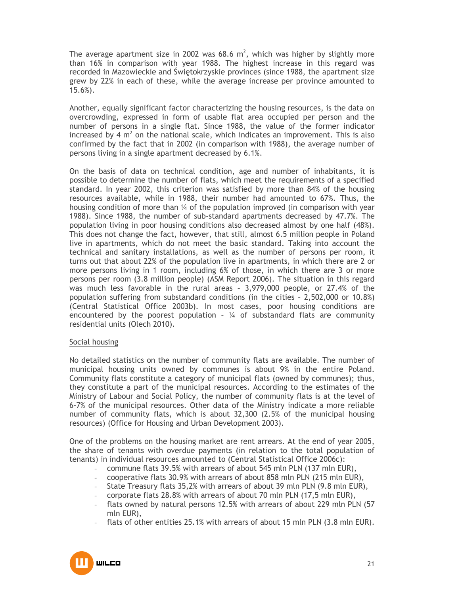The average apartment size in 2002 was 68.6  $m^2$ , which was higher by slightly more than 16% in comparison with year 1988. The highest increase in this regard was recorded in Mazowieckie and Świętokrzyskie provinces (since 1988, the apartment size grew by 22% in each of these, while the average increase per province amounted to 15.6%).

Another, equally significant factor characterizing the housing resources, is the data on overcrowding, expressed in form of usable flat area occupied per person and the number of persons in a single flat. Since 1988, the value of the former indicator increased by 4  $m^2$  on the national scale, which indicates an improvement. This is also confirmed by the fact that in 2002 (in comparison with 1988), the average number of persons living in a single apartment decreased by 6.1%.

On the basis of data on technical condition, age and number of inhabitants, it is possible to determine the number of flats, which meet the requirements of a specified standard. In year 2002, this criterion was satisfied by more than 84% of the housing resources available, while in 1988, their number had amounted to 67%. Thus, the housing condition of more than  $\frac{1}{4}$  of the population improved (in comparison with year 1988). Since 1988, the number of sub-standard apartments decreased by 47.7%. The population living in poor housing conditions also decreased almost by one half (48%). This does not change the fact, however, that still, almost 6.5 million people in Poland live in apartments, which do not meet the basic standard. Taking into account the technical and sanitary installations, as well as the number of persons per room, it turns out that about 22% of the population live in apartments, in which there are 2 or more persons living in 1 room, including 6% of those, in which there are 3 or more persons per room (3.8 million people) (ASM Report 2006). The situation in this regard was much less favorable in the rural areas – 3,979,000 people, or 27.4% of the population suffering from substandard conditions (in the cities – 2,502,000 or 10.8%) (Central Statistical Office 2003b). In most cases, poor housing conditions are encountered by the poorest population -  $\frac{1}{4}$  of substandard flats are community residential units (Olech 2010).

#### Social housing

No detailed statistics on the number of community flats are available. The number of municipal housing units owned by communes is about 9% in the entire Poland. Community flats constitute a category of municipal flats (owned by communes); thus, they constitute a part of the municipal resources. According to the estimates of the Ministry of Labour and Social Policy, the number of community flats is at the level of 6-7% of the municipal resources. Other data of the Ministry indicate a more reliable number of community flats, which is about 32,300 (2.5% of the municipal housing resources) (Office for Housing and Urban Development 2003).

One of the problems on the housing market are rent arrears. At the end of year 2005, the share of tenants with overdue payments (in relation to the total population of tenants) in individual resources amounted to (Central Statistical Office 2006c):

- commune flats 39.5% with arrears of about 545 mln PLN (137 mln EUR),
- cooperative flats 30.9% with arrears of about 858 mln PLN (215 mln EUR),
- State Treasury flats 35,2% with arrears of about 39 mln PLN (9.8 mln EUR),
- corporate flats 28.8% with arrears of about 70 mln PLN (17,5 mln EUR),
- flats owned by natural persons 12.5% with arrears of about 229 mln PLN (57 mln EUR),
- flats of other entities 25.1% with arrears of about 15 mln PLN (3.8 mln EUR).

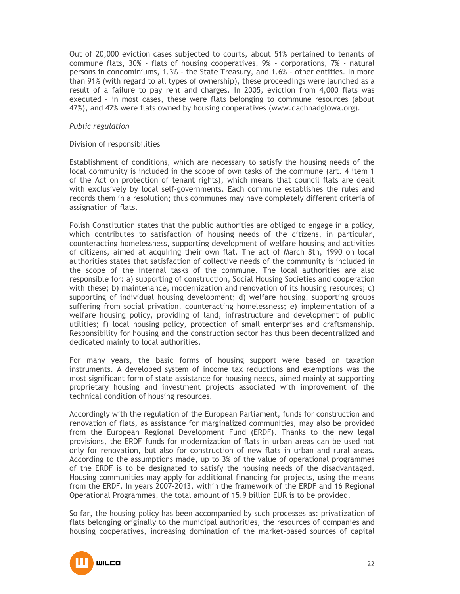Out of 20,000 eviction cases subjected to courts, about 51% pertained to tenants of commune flats, 30% - flats of housing cooperatives, 9% - corporations, 7% - natural persons in condominiums, 1.3% - the State Treasury, and 1.6% - other entities. In more than 91% (with regard to all types of ownership), these proceedings were launched as a result of a failure to pay rent and charges. In 2005, eviction from 4,000 flats was executed – in most cases, these were flats belonging to commune resources (about 47%), and 42% were flats owned by housing cooperatives (www.dachnadglowa.org).

#### *Public regulation*

#### Division of responsibilities

Establishment of conditions, which are necessary to satisfy the housing needs of the local community is included in the scope of own tasks of the commune (art. 4 item 1 of the Act on protection of tenant rights), which means that council flats are dealt with exclusively by local self-governments. Each commune establishes the rules and records them in a resolution; thus communes may have completely different criteria of assignation of flats.

Polish Constitution states that the public authorities are obliged to engage in a policy, which contributes to satisfaction of housing needs of the citizens, in particular, counteracting homelessness, supporting development of welfare housing and activities of citizens, aimed at acquiring their own flat. The act of March 8th, 1990 on local authorities states that satisfaction of collective needs of the community is included in the scope of the internal tasks of the commune. The local authorities are also responsible for: a) supporting of construction, Social Housing Societies and cooperation with these; b) maintenance, modernization and renovation of its housing resources; c) supporting of individual housing development; d) welfare housing, supporting groups suffering from social privation, counteracting homelessness; e) implementation of a welfare housing policy, providing of land, infrastructure and development of public utilities; f) local housing policy, protection of small enterprises and craftsmanship. Responsibility for housing and the construction sector has thus been decentralized and dedicated mainly to local authorities.

For many years, the basic forms of housing support were based on taxation instruments. A developed system of income tax reductions and exemptions was the most significant form of state assistance for housing needs, aimed mainly at supporting proprietary housing and investment projects associated with improvement of the technical condition of housing resources.

Accordingly with the regulation of the European Parliament, funds for construction and renovation of flats, as assistance for marginalized communities, may also be provided from the European Regional Development Fund (ERDF). Thanks to the new legal provisions, the ERDF funds for modernization of flats in urban areas can be used not only for renovation, but also for construction of new flats in urban and rural areas. According to the assumptions made, up to 3% of the value of operational programmes of the ERDF is to be designated to satisfy the housing needs of the disadvantaged. Housing communities may apply for additional financing for projects, using the means from the ERDF. In years 2007-2013, within the framework of the ERDF and 16 Regional Operational Programmes, the total amount of 15.9 billion EUR is to be provided.

So far, the housing policy has been accompanied by such processes as: privatization of flats belonging originally to the municipal authorities, the resources of companies and housing cooperatives, increasing domination of the market-based sources of capital

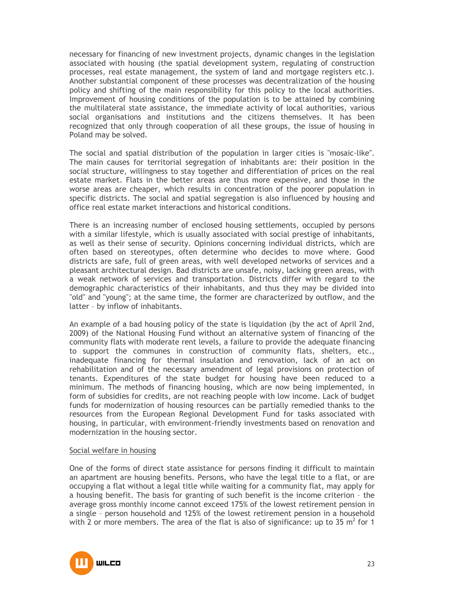necessary for financing of new investment projects, dynamic changes in the legislation associated with housing (the spatial development system, regulating of construction processes, real estate management, the system of land and mortgage registers etc.). Another substantial component of these processes was decentralization of the housing policy and shifting of the main responsibility for this policy to the local authorities. Improvement of housing conditions of the population is to be attained by combining the multilateral state assistance, the immediate activity of local authorities, various social organisations and institutions and the citizens themselves. It has been recognized that only through cooperation of all these groups, the issue of housing in Poland may be solved.

The social and spatial distribution of the population in larger cities is "mosaic-like". The main causes for territorial segregation of inhabitants are: their position in the social structure, willingness to stay together and differentiation of prices on the real estate market. Flats in the better areas are thus more expensive, and those in the worse areas are cheaper, which results in concentration of the poorer population in specific districts. The social and spatial segregation is also influenced by housing and office real estate market interactions and historical conditions.

There is an increasing number of enclosed housing settlements, occupied by persons with a similar lifestyle, which is usually associated with social prestige of inhabitants, as well as their sense of security. Opinions concerning individual districts, which are often based on stereotypes, often determine who decides to move where. Good districts are safe, full of green areas, with well developed networks of services and a pleasant architectural design. Bad districts are unsafe, noisy, lacking green areas, with a weak network of services and transportation. Districts differ with regard to the demographic characteristics of their inhabitants, and thus they may be divided into "old" and "young"; at the same time, the former are characterized by outflow, and the latter – by inflow of inhabitants.

An example of a bad housing policy of the state is liquidation (by the act of April 2nd, 2009) of the National Housing Fund without an alternative system of financing of the community flats with moderate rent levels, a failure to provide the adequate financing to support the communes in construction of community flats, shelters, etc., inadequate financing for thermal insulation and renovation, lack of an act on rehabilitation and of the necessary amendment of legal provisions on protection of tenants. Expenditures of the state budget for housing have been reduced to a minimum. The methods of financing housing, which are now being implemented, in form of subsidies for credits, are not reaching people with low income. Lack of budget funds for modernization of housing resources can be partially remedied thanks to the resources from the European Regional Development Fund for tasks associated with housing, in particular, with environment-friendly investments based on renovation and modernization in the housing sector.

#### Social welfare in housing

One of the forms of direct state assistance for persons finding it difficult to maintain an apartment are housing benefits. Persons, who have the legal title to a flat, or are occupying a flat without a legal title while waiting for a community flat, may apply for a housing benefit. The basis for granting of such benefit is the income criterion – the average gross monthly income cannot exceed 175% of the lowest retirement pension in a single – person household and 125% of the lowest retirement pension in a household with 2 or more members. The area of the flat is also of significance: up to 35  $m^2$  for 1

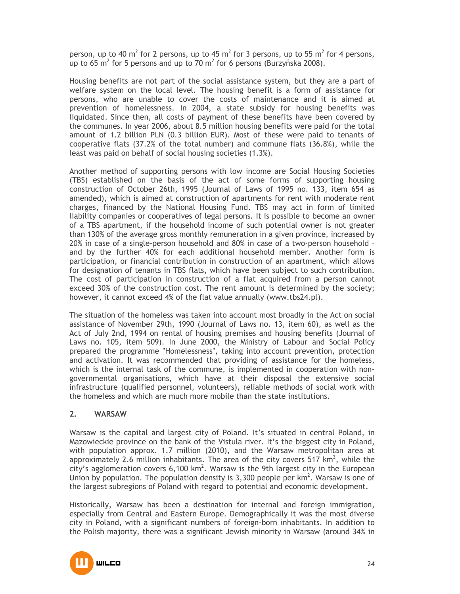person, up to 40 m<sup>2</sup> for 2 persons, up to 45 m<sup>2</sup> for 3 persons, up to 55 m<sup>2</sup> for 4 persons, up to 65 m<sup>2</sup> for 5 persons and up to 70 m<sup>2</sup> for 6 persons (Burzyńska 2008).

Housing benefits are not part of the social assistance system, but they are a part of welfare system on the local level. The housing benefit is a form of assistance for persons, who are unable to cover the costs of maintenance and it is aimed at prevention of homelessness. In 2004, a state subsidy for housing benefits was liquidated. Since then, all costs of payment of these benefits have been covered by the communes. In year 2006, about 8.5 million housing benefits were paid for the total amount of 1.2 billion PLN (0.3 billion EUR). Most of these were paid to tenants of cooperative flats (37.2% of the total number) and commune flats (36.8%), while the least was paid on behalf of social housing societies (1.3%).

Another method of supporting persons with low income are Social Housing Societies (TBS) established on the basis of the act of some forms of supporting housing construction of October 26th, 1995 (Journal of Laws of 1995 no. 133, item 654 as amended), which is aimed at construction of apartments for rent with moderate rent charges, financed by the National Housing Fund. TBS may act in form of limited liability companies or cooperatives of legal persons. It is possible to become an owner of a TBS apartment, if the household income of such potential owner is not greater than 130% of the average gross monthly remuneration in a given province, increased by 20% in case of a single-person household and 80% in case of a two-person household – and by the further 40% for each additional household member. Another form is participation, or financial contribution in construction of an apartment, which allows for designation of tenants in TBS flats, which have been subject to such contribution. The cost of participation in construction of a flat acquired from a person cannot exceed 30% of the construction cost. The rent amount is determined by the society; however, it cannot exceed 4% of the flat value annually (www.tbs24.pl).

The situation of the homeless was taken into account most broadly in the Act on social assistance of November 29th, 1990 (Journal of Laws no. 13, item 60), as well as the Act of July 2nd, 1994 on rental of housing premises and housing benefits (Journal of Laws no. 105, item 509). In June 2000, the Ministry of Labour and Social Policy prepared the programme "Homelessness", taking into account prevention, protection and activation. It was recommended that providing of assistance for the homeless, which is the internal task of the commune, is implemented in cooperation with nongovernmental organisations, which have at their disposal the extensive social infrastructure (qualified personnel, volunteers), reliable methods of social work with the homeless and which are much more mobile than the state institutions.

# **2. WARSAW**

Warsaw is the capital and largest city of Poland. It's situated in central Poland, in Mazowieckie province on the bank of the Vistula river. It's the biggest city in Poland, with population approx. 1.7 million (2010), and the Warsaw metropolitan area at approximately 2.6 million inhabitants. The area of the city covers 517 km<sup>2</sup>, while the city's agglomeration covers 6,100  $km^2$ . Warsaw is the 9th largest city in the European Union by population. The population density is 3,300 people per  $km^2$ . Warsaw is one of the largest subregions of Poland with regard to potential and economic development.

Historically, Warsaw has been a destination for internal and foreign immigration, especially from Central and Eastern Europe. Demographically it was the most diverse city in Poland, with a significant numbers of foreign-born inhabitants. In addition to the Polish majority, there was a significant Jewish minority in Warsaw (around 34% in

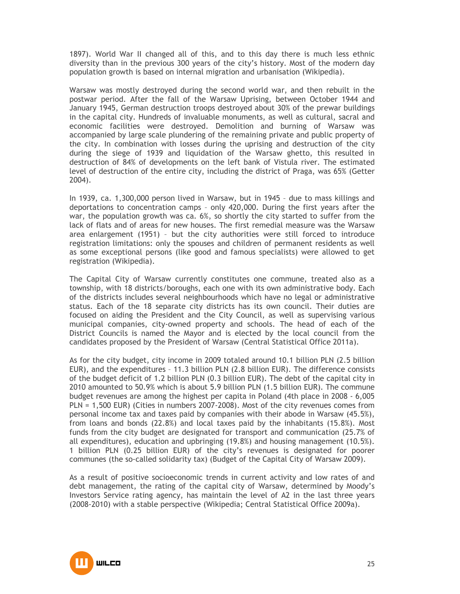1897). World War II changed all of this, and to this day there is much less ethnic diversity than in the previous 300 years of the city's history. Most of the modern day population growth is based on internal migration and urbanisation (Wikipedia).

Warsaw was mostly destroyed during the second world war, and then rebuilt in the postwar period. After the fall of the Warsaw Uprising, between October 1944 and January 1945, German destruction troops destroyed about 30% of the prewar buildings in the capital city. Hundreds of invaluable monuments, as well as cultural, sacral and economic facilities were destroyed. Demolition and burning of Warsaw was accompanied by large scale plundering of the remaining private and public property of the city. In combination with losses during the uprising and destruction of the city during the siege of 1939 and liquidation of the Warsaw ghetto, this resulted in destruction of 84% of developments on the left bank of Vistula river. The estimated level of destruction of the entire city, including the district of Praga, was 65% (Getter 2004).

In 1939, ca. 1,300,000 person lived in Warsaw, but in 1945 – due to mass killings and deportations to concentration camps – only 420,000. During the first years after the war, the population growth was ca. 6%, so shortly the city started to suffer from the lack of flats and of areas for new houses. The first remedial measure was the Warsaw area enlargement (1951) – but the city authorities were still forced to introduce registration limitations: only the spouses and children of permanent residents as well as some exceptional persons (like good and famous specialists) were allowed to get registration (Wikipedia).

The Capital City of Warsaw currently constitutes one commune, treated also as a township, with 18 districts/boroughs, each one with its own administrative body. Each of the districts includes several neighbourhoods which have no legal or administrative status. Each of the 18 separate city districts has its own council. Their duties are focused on aiding the President and the City Council, as well as supervising various municipal companies, city-owned property and schools. The head of each of the District Councils is named the Mayor and is elected by the local council from the candidates proposed by the President of Warsaw (Central Statistical Office 2011a).

As for the city budget, city income in 2009 totaled around 10.1 billion PLN (2.5 billion EUR), and the expenditures – 11.3 billion PLN (2.8 billion EUR). The difference consists of the budget deficit of 1.2 billion PLN (0.3 billion EUR). The debt of the capital city in 2010 amounted to 50.9% which is about 5.9 billion PLN (1.5 billion EUR). The commune budget revenues are among the highest per capita in Poland (4th place in 2008 - 6,005 PLN = 1,500 EUR) (Cities in numbers 2007-2008). Most of the city revenues comes from personal income tax and taxes paid by companies with their abode in Warsaw (45.5%), from loans and bonds (22.8%) and local taxes paid by the inhabitants (15.8%). Most funds from the city budget are designated for transport and communication (25.7% of all expenditures), education and upbringing (19.8%) and housing management (10.5%). 1 billion PLN (0.25 billion EUR) of the city's revenues is designated for poorer communes (the so-called solidarity tax) (Budget of the Capital City of Warsaw 2009).

As a result of positive socioeconomic trends in current activity and low rates of and debt management, the rating of the capital city of Warsaw, determined by Moody's Investors Service rating agency, has maintain the level of A2 in the last three years (2008-2010) with a stable perspective (Wikipedia; Central Statistical Office 2009a).

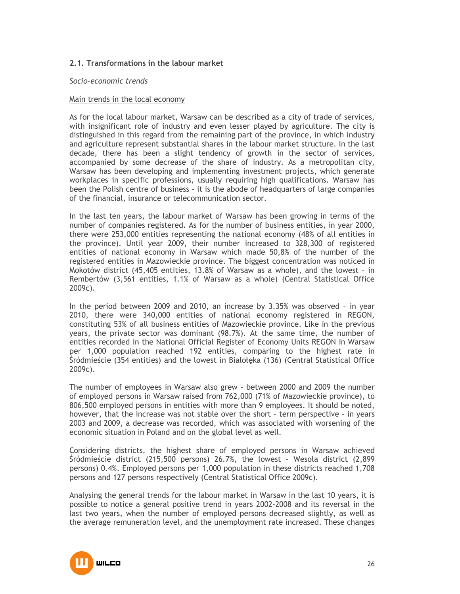# **2.1. Transformations in the labour market**

#### *Socio-economic trends*

#### Main trends in the local economy

As for the local labour market, Warsaw can be described as a city of trade of services, with insignificant role of industry and even lesser played by agriculture. The city is distinguished in this regard from the remaining part of the province, in which industry and agriculture represent substantial shares in the labour market structure. In the last decade, there has been a slight tendency of growth in the sector of services, accompanied by some decrease of the share of industry. As a metropolitan city, Warsaw has been developing and implementing investment projects, which generate workplaces in specific professions, usually requiring high qualifications. Warsaw has been the Polish centre of business – it is the abode of headquarters of large companies of the financial, insurance or telecommunication sector.

In the last ten years, the labour market of Warsaw has been growing in terms of the number of companies registered. As for the number of business entities, in year 2000, there were 253,000 entities representing the national economy (48% of all entities in the province). Until year 2009, their number increased to 328,300 of registered entities of national economy in Warsaw which made 50,8% of the number of the registered entities in Mazowieckie province. The biggest concentration was noticed in Mokotów district (45,405 entities, 13.8% of Warsaw as a whole), and the lowest – in Rembertów (3,561 entities, 1.1% of Warsaw as a whole) (Central Statistical Office 2009c).

In the period between 2009 and 2010, an increase by 3.35% was observed – in year 2010, there were 340,000 entities of national economy registered in REGON, constituting 53% of all business entities of Mazowieckie province. Like in the previous years, the private sector was dominant (98.7%). At the same time, the number of entities recorded in the National Official Register of Economy Units REGON in Warsaw per 1,000 population reached 192 entities, comparing to the highest rate in Śródmieście (354 entities) and the lowest in Białołęka (136) (Central Statistical Office 2009c).

The number of employees in Warsaw also grew – between 2000 and 2009 the number of employed persons in Warsaw raised from 762,000 (71% of Mazowieckie province), to 806,500 employed persons in entities with more than 9 employees. It should be noted, however, that the increase was not stable over the short – term perspective – in years 2003 and 2009, a decrease was recorded, which was associated with worsening of the economic situation in Poland and on the global level as well.

Considering districts, the highest share of employed persons in Warsaw achieved Śródmieście district (215,500 persons) 26.7%, the lowest – Wesoła district (2,899 persons) 0.4%. Employed persons per 1,000 population in these districts reached 1,708 persons and 127 persons respectively (Central Statistical Office 2009c).

Analysing the general trends for the labour market in Warsaw in the last 10 years, it is possible to notice a general positive trend in years 2002-2008 and its reversal in the last two years, when the number of employed persons decreased slightly, as well as the average remuneration level, and the unemployment rate increased. These changes

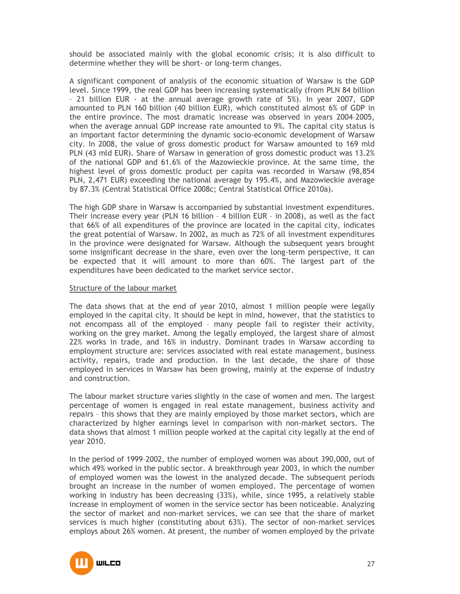should be associated mainly with the global economic crisis; it is also difficult to determine whether they will be short- or long-term changes.

A significant component of analysis of the economic situation of Warsaw is the GDP level. Since 1999, the real GDP has been increasing systematically (from PLN 84 billion – 21 billion EUR - at the annual average growth rate of 5%). In year 2007, GDP amounted to PLN 160 billion (40 billion EUR), which constituted almost 6% of GDP in the entire province. The most dramatic increase was observed in years 2004–2005, when the average annual GDP increase rate amounted to 9%. The capital city status is an important factor determining the dynamic socio-economic development of Warsaw city. In 2008, the value of gross domestic product for Warsaw amounted to 169 mld PLN (43 mld EUR). Share of Warsaw in generation of gross domestic product was 13.2% of the national GDP and 61.6% of the Mazowieckie province. At the same time, the highest level of gross domestic product per capita was recorded in Warsaw (98,854 PLN, 2,471 EUR) exceeding the national average by 195.4%, and Mazowieckie average by 87.3% (Central Statistical Office 2008c; Central Statistical Office 2010a).

The high GDP share in Warsaw is accompanied by substantial investment expenditures. Their increase every year (PLN 16 billion – 4 billion EUR – in 2008), as well as the fact that 66% of all expenditures of the province are located in the capital city, indicates the great potential of Warsaw. In 2002, as much as 72% of all investment expenditures in the province were designated for Warsaw. Although the subsequent years brought some insignificant decrease in the share, even over the long-term perspective, it can be expected that it will amount to more than 60%. The largest part of the expenditures have been dedicated to the market service sector.

#### Structure of the labour market

The data shows that at the end of year 2010, almost 1 million people were legally employed in the capital city. It should be kept in mind, however, that the statistics to not encompass all of the employed – many people fail to register their activity, working on the grey market. Among the legally employed, the largest share of almost 22% works in trade, and 16% in industry. Dominant trades in Warsaw according to employment structure are: services associated with real estate management, business activity, repairs, trade and production. In the last decade, the share of those employed in services in Warsaw has been growing, mainly at the expense of industry and construction.

The labour market structure varies slightly in the case of women and men. The largest percentage of women is engaged in real estate management, business activity and repairs – this shows that they are mainly employed by those market sectors, which are characterized by higher earnings level in comparison with non-market sectors. The data shows that almost 1 million people worked at the capital city legally at the end of year 2010.

In the period of 1999–2002, the number of employed women was about 390,000, out of which 49% worked in the public sector. A breakthrough year 2003, in which the number of employed women was the lowest in the analyzed decade. The subsequent periods brought an increase in the number of women employed. The percentage of women working in industry has been decreasing (33%), while, since 1995, a relatively stable increase in employment of women in the service sector has been noticeable. Analyzing the sector of market and non-market services, we can see that the share of market services is much higher (constituting about 63%). The sector of non-market services employs about 26% women. At present, the number of women employed by the private

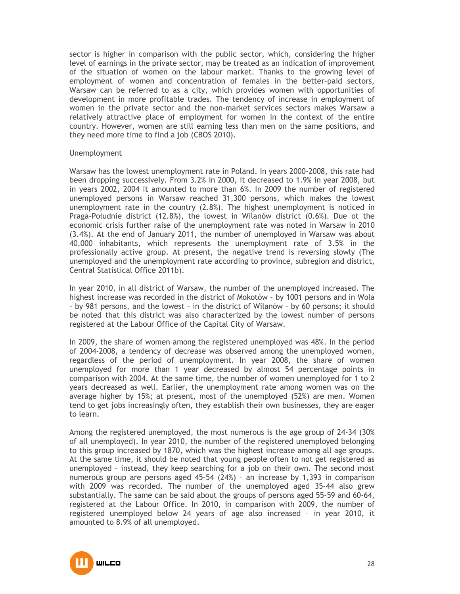sector is higher in comparison with the public sector, which, considering the higher level of earnings in the private sector, may be treated as an indication of improvement of the situation of women on the labour market. Thanks to the growing level of employment of women and concentration of females in the better-paid sectors, Warsaw can be referred to as a city, which provides women with opportunities of development in more profitable trades. The tendency of increase in employment of women in the private sector and the non-market services sectors makes Warsaw a relatively attractive place of employment for women in the context of the entire country. However, women are still earning less than men on the same positions, and they need more time to find a job (CBOS 2010).

#### Unemployment

Warsaw has the lowest unemployment rate in Poland. In years 2000-2008, this rate had been dropping successively. From 3.2% in 2000, it decreased to 1.9% in year 2008, but in years 2002, 2004 it amounted to more than 6%. In 2009 the number of registered unemployed persons in Warsaw reached 31,300 persons, which makes the lowest unemployment rate in the country (2.8%). The highest unemployment is noticed in Praga-Południe district (12.8%), the lowest in Wilanów district (0.6%). Due ot the economic crisis further raise of the unemployment rate was noted in Warsaw in 2010 (3.4%). At the end of January 2011, the number of unemployed in Warsaw was about 40,000 inhabitants, which represents the unemployment rate of 3.5% in the professionally active group. At present, the negative trend is reversing slowly (The unemployed and the unemployment rate according to province, subregion and district, Central Statistical Office 2011b).

In year 2010, in all district of Warsaw, the number of the unemployed increased. The highest increase was recorded in the district of Mokotów – by 1001 persons and in Wola – by 981 persons, and the lowest – in the district of Wilanów – by 60 persons; it should be noted that this district was also characterized by the lowest number of persons registered at the Labour Office of the Capital City of Warsaw.

In 2009, the share of women among the registered unemployed was 48%. In the period of 2004-2008, a tendency of decrease was observed among the unemployed women, regardless of the period of unemployment. In year 2008, the share of women unemployed for more than 1 year decreased by almost 54 percentage points in comparison with 2004. At the same time, the number of women unemployed for 1 to 2 years decreased as well. Earlier, the unemployment rate among women was on the average higher by 15%; at present, most of the unemployed (52%) are men. Women tend to get jobs increasingly often, they establish their own businesses, they are eager to learn.

Among the registered unemployed, the most numerous is the age group of 24-34 (30% of all unemployed). In year 2010, the number of the registered unemployed belonging to this group increased by 1870, which was the highest increase among all age groups. At the same time, it should be noted that young people often to not get registered as unemployed – instead, they keep searching for a job on their own. The second most numerous group are persons aged 45-54 (24%) – an increase by 1,393 in comparison with 2009 was recorded. The number of the unemployed aged 35-44 also grew substantially. The same can be said about the groups of persons aged 55-59 and 60-64, registered at the Labour Office. In 2010, in comparison with 2009, the number of registered unemployed below 24 years of age also increased – in year 2010, it amounted to 8.9% of all unemployed.

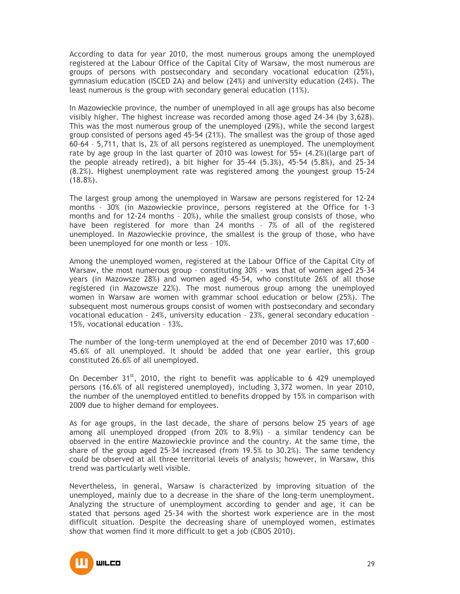According to data for year 2010, the most numerous groups among the unemployed registered at the Labour Office of the Capital City of Warsaw, the most numerous are groups of persons with postsecondary and secondary vocational education (25%), gymnasium education (ISCED 2A) and below (24%) and university education (24%). The least numerous is the group with secondary general education (11%).

In Mazowieckie province, the number of unemployed in all age groups has also become visibly higher. The highest increase was recorded among those aged 24-34 (by 3,628). This was the most numerous group of the unemployed (29%), while the second largest group consisted of persons aged 45-54 (21%). The smallest was the group of those aged 60-64 – 5,711, that is, 2% of all persons registered as unemployed. The unemployment rate by age group in the last quarter of 2010 was lowest for 55+ (4.2%)(large part of the people already retired), a bit higher for 35-44 (5.3%), 45-54 (5.8%), and 25-34 (8.2%). Highest unemployment rate was registered among the youngest group 15-24  $(18.8\%)$ .

The largest group among the unemployed in Warsaw are persons registered for 12-24 months – 30% (in Mazowieckie province, persons registered at the Office for 1-3 months and for 12-24 months – 20%), while the smallest group consists of those, who have been registered for more than 24 months – 7% of all of the registered unemployed. In Mazowieckie province, the smallest is the group of those, who have been unemployed for one month or less – 10%.

Among the unemployed women, registered at the Labour Office of the Capital City of Warsaw, the most numerous group – constituting 30% - was that of women aged 25-34 years (in Mazowsze 28%) and women aged 45-54, who constitute 26% of all those registered (in Mazowsze 22%). The most numerous group among the unemployed women in Warsaw are women with grammar school education or below (25%). The subsequent most numerous groups consist of women with postsecondary and secondary vocational education – 24%, university education – 23%, general secondary education – 15%, vocational education – 13%.

The number of the long-term unemployed at the end of December 2010 was 17,600 – 45.6% of all unemployed. It should be added that one year earlier, this group constituted 26.6% of all unemployed.

On December  $31<sup>st</sup>$ , 2010, the right to benefit was applicable to 6 429 unemployed persons (16.6% of all registered unemployed), including 3,372 women. In year 2010, the number of the unemployed entitled to benefits dropped by 15% in comparison with 2009 due to higher demand for employees.

As for age groups, in the last decade, the share of persons below 25 years of age among all unemployed dropped (from 20% to 8.9%) – a similar tendency can be observed in the entire Mazowieckie province and the country. At the same time, the share of the group aged 25-34 increased (from 19.5% to 30.2%). The same tendency could be observed at all three territorial levels of analysis; however, in Warsaw, this trend was particularly well visible.

Nevertheless, in general, Warsaw is characterized by improving situation of the unemployed, mainly due to a decrease in the share of the long-term unemployment. Analyzing the structure of unemployment according to gender and age, it can be stated that persons aged 25-34 with the shortest work experience are in the most difficult situation. Despite the decreasing share of unemployed women, estimates show that women find it more difficult to get a job (CBOS 2010).

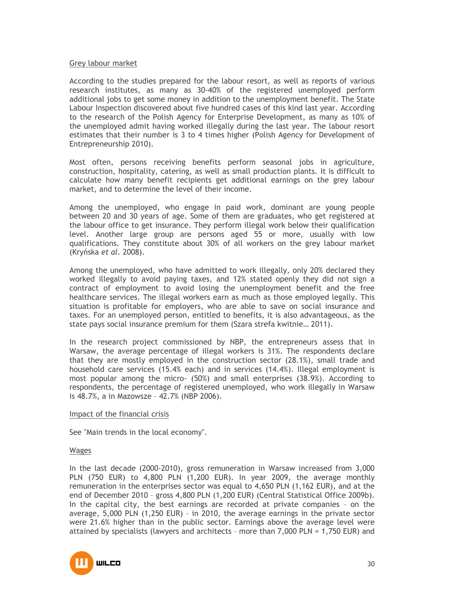#### Grey labour market

According to the studies prepared for the labour resort, as well as reports of various research institutes, as many as 30-40% of the registered unemployed perform additional jobs to get some money in addition to the unemployment benefit. The State Labour Inspection discovered about five hundred cases of this kind last year. According to the research of the Polish Agency for Enterprise Development, as many as 10% of the unemployed admit having worked illegally during the last year. The labour resort estimates that their number is 3 to 4 times higher (Polish Agency for Development of Entrepreneurship 2010).

Most often, persons receiving benefits perform seasonal jobs in agriculture, construction, hospitality, catering, as well as small production plants. It is difficult to calculate how many benefit recipients get additional earnings on the grey labour market, and to determine the level of their income.

Among the unemployed, who engage in paid work, dominant are young people between 20 and 30 years of age. Some of them are graduates, who get registered at the labour office to get insurance. They perform illegal work below their qualification level. Another large group are persons aged 55 or more, usually with low qualifications. They constitute about 30% of all workers on the grey labour market (Kryńska *et al.* 2008).

Among the unemployed, who have admitted to work illegally, only 20% declared they worked illegally to avoid paying taxes, and 12% stated openly they did not sign a contract of employment to avoid losing the unemployment benefit and the free healthcare services. The illegal workers earn as much as those employed legally. This situation is profitable for employers, who are able to save on social insurance and taxes. For an unemployed person, entitled to benefits, it is also advantageous, as the state pays social insurance premium for them (Szara strefa kwitnie… 2011).

In the research project commissioned by NBP, the entrepreneurs assess that in Warsaw, the average percentage of illegal workers is 31%. The respondents declare that they are mostly employed in the construction sector (28.1%), small trade and household care services (15.4% each) and in services (14.4%). Illegal employment is most popular among the micro- (50%) and small enterprises (38.9%). According to respondents, the percentage of registered unemployed, who work illegally in Warsaw is 48.7%, a in Mazowsze – 42.7% (NBP 2006).

#### Impact of the financial crisis

See "Main trends in the local economy".

#### Wages

In the last decade (2000-2010), gross remuneration in Warsaw increased from 3,000 PLN (750 EUR) to 4,800 PLN (1,200 EUR). In year 2009, the average monthly remuneration in the enterprises sector was equal to 4,650 PLN (1,162 EUR), and at the end of December 2010 – gross 4,800 PLN (1,200 EUR) (Central Statistical Office 2009b). In the capital city, the best earnings are recorded at private companies – on the average, 5,000 PLN (1,250 EUR) – in 2010, the average earnings in the private sector were 21.6% higher than in the public sector. Earnings above the average level were attained by specialists (lawyers and architects – more than 7,000 PLN = 1,750 EUR) and

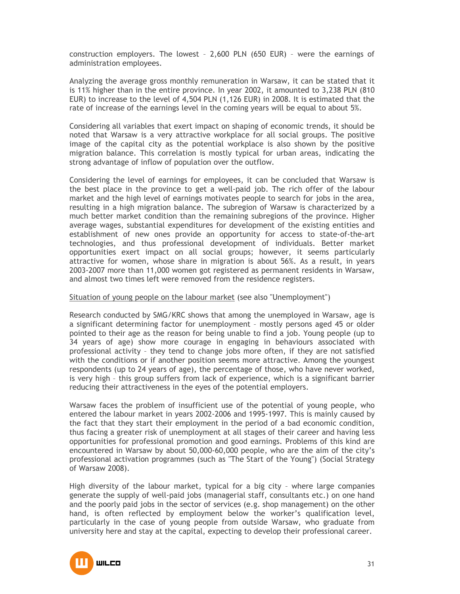construction employers. The lowest – 2,600 PLN (650 EUR) – were the earnings of administration employees.

Analyzing the average gross monthly remuneration in Warsaw, it can be stated that it is 11% higher than in the entire province. In year 2002, it amounted to 3,238 PLN (810 EUR) to increase to the level of 4,504 PLN (1,126 EUR) in 2008. It is estimated that the rate of increase of the earnings level in the coming years will be equal to about 5%.

Considering all variables that exert impact on shaping of economic trends, it should be noted that Warsaw is a very attractive workplace for all social groups. The positive image of the capital city as the potential workplace is also shown by the positive migration balance. This correlation is mostly typical for urban areas, indicating the strong advantage of inflow of population over the outflow.

Considering the level of earnings for employees, it can be concluded that Warsaw is the best place in the province to get a well-paid job. The rich offer of the labour market and the high level of earnings motivates people to search for jobs in the area, resulting in a high migration balance. The subregion of Warsaw is characterized by a much better market condition than the remaining subregions of the province. Higher average wages, substantial expenditures for development of the existing entities and establishment of new ones provide an opportunity for access to state-of-the-art technologies, and thus professional development of individuals. Better market opportunities exert impact on all social groups; however, it seems particularly attractive for women, whose share in migration is about 56%. As a result, in years 2003-2007 more than 11,000 women got registered as permanent residents in Warsaw, and almost two times left were removed from the residence registers.

Situation of young people on the labour market (see also "Unemployment")

Research conducted by SMG/KRC shows that among the unemployed in Warsaw, age is a significant determining factor for unemployment – mostly persons aged 45 or older pointed to their age as the reason for being unable to find a job. Young people (up to 34 years of age) show more courage in engaging in behaviours associated with professional activity – they tend to change jobs more often, if they are not satisfied with the conditions or if another position seems more attractive. Among the youngest respondents (up to 24 years of age), the percentage of those, who have never worked, is very high – this group suffers from lack of experience, which is a significant barrier reducing their attractiveness in the eyes of the potential employers.

Warsaw faces the problem of insufficient use of the potential of young people, who entered the labour market in years 2002-2006 and 1995-1997. This is mainly caused by the fact that they start their employment in the period of a bad economic condition, thus facing a greater risk of unemployment at all stages of their career and having less opportunities for professional promotion and good earnings. Problems of this kind are encountered in Warsaw by about 50,000-60,000 people, who are the aim of the city's professional activation programmes (such as "The Start of the Young") (Social Strategy of Warsaw 2008).

High diversity of the labour market, typical for a big city – where large companies generate the supply of well-paid jobs (managerial staff, consultants etc.) on one hand and the poorly paid jobs in the sector of services (e.g. shop management) on the other hand, is often reflected by employment below the worker's qualification level, particularly in the case of young people from outside Warsaw, who graduate from university here and stay at the capital, expecting to develop their professional career.

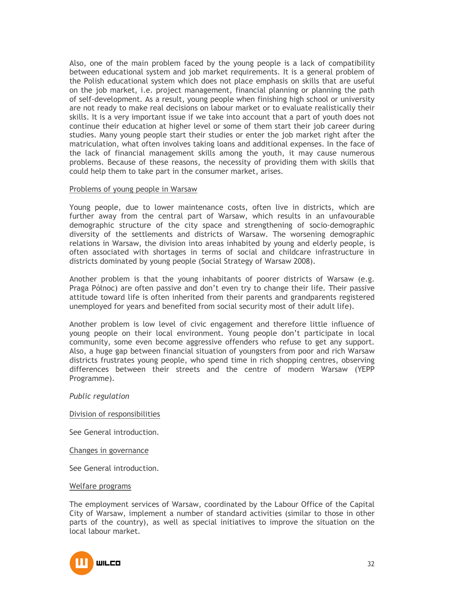Also, one of the main problem faced by the young people is a lack of compatibility between educational system and job market requirements. It is a general problem of the Polish educational system which does not place emphasis on skills that are useful on the job market, i.e. project management, financial planning or planning the path of self-development. As a result, young people when finishing high school or university are not ready to make real decisions on labour market or to evaluate realistically their skills. It is a very important issue if we take into account that a part of youth does not continue their education at higher level or some of them start their job career during studies. Many young people start their studies or enter the job market right after the matriculation, what often involves taking loans and additional expenses. In the face of the lack of financial management skills among the youth, it may cause numerous problems. Because of these reasons, the necessity of providing them with skills that could help them to take part in the consumer market, arises.

#### Problems of young people in Warsaw

Young people, due to lower maintenance costs, often live in districts, which are further away from the central part of Warsaw, which results in an unfavourable demographic structure of the city space and strengthening of socio-demographic diversity of the settlements and districts of Warsaw. The worsening demographic relations in Warsaw, the division into areas inhabited by young and elderly people, is often associated with shortages in terms of social and childcare infrastructure in districts dominated by young people (Social Strategy of Warsaw 2008).

Another problem is that the young inhabitants of poorer districts of Warsaw (e.g. Praga Północ) are often passive and don't even try to change their life. Their passive attitude toward life is often inherited from their parents and grandparents registered unemployed for years and benefited from social security most of their adult life).

Another problem is low level of civic engagement and therefore little influence of young people on their local environment. Young people don't participate in local community, some even become aggressive offenders who refuse to get any support. Also, a huge gap between financial situation of youngsters from poor and rich Warsaw districts frustrates young people, who spend time in rich shopping centres, observing differences between their streets and the centre of modern Warsaw (YEPP Programme).

#### *Public regulation*

#### Division of responsibilities

See General introduction.

Changes in governance

See General introduction.

Welfare programs

The employment services of Warsaw, coordinated by the Labour Office of the Capital City of Warsaw, implement a number of standard activities (similar to those in other parts of the country), as well as special initiatives to improve the situation on the local labour market.

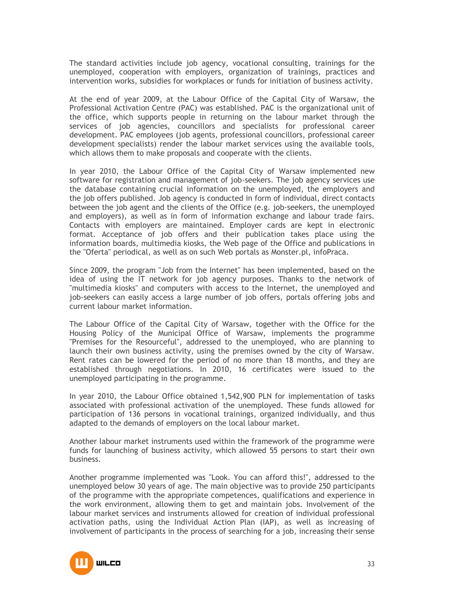The standard activities include job agency, vocational consulting, trainings for the unemployed, cooperation with employers, organization of trainings, practices and intervention works, subsidies for workplaces or funds for initiation of business activity.

At the end of year 2009, at the Labour Office of the Capital City of Warsaw, the Professional Activation Centre (PAC) was established. PAC is the organizational unit of the office, which supports people in returning on the labour market through the services of job agencies, councillors and specialists for professional career development. PAC employees (job agents, professional councillors, professional career development specialists) render the labour market services using the available tools, which allows them to make proposals and cooperate with the clients.

In year 2010, the Labour Office of the Capital City of Warsaw implemented new software for registration and management of job-seekers. The job agency services use the database containing crucial information on the unemployed, the employers and the job offers published. Job agency is conducted in form of individual, direct contacts between the job agent and the clients of the Office (e.g. job-seekers, the unemployed and employers), as well as in form of information exchange and labour trade fairs. Contacts with employers are maintained. Employer cards are kept in electronic format. Acceptance of job offers and their publication takes place using the information boards, multimedia kiosks, the Web page of the Office and publications in the "Oferta" periodical, as well as on such Web portals as Monster.pl, infoPraca.

Since 2009, the program "Job from the Internet" has been implemented, based on the idea of using the IT network for job agency purposes. Thanks to the network of "multimedia kiosks" and computers with access to the Internet, the unemployed and job-seekers can easily access a large number of job offers, portals offering jobs and current labour market information.

The Labour Office of the Capital City of Warsaw, together with the Office for the Housing Policy of the Municipal Office of Warsaw, implements the programme "Premises for the Resourceful", addressed to the unemployed, who are planning to launch their own business activity, using the premises owned by the city of Warsaw. Rent rates can be lowered for the period of no more than 18 months, and they are established through negotiations. In 2010, 16 certificates were issued to the unemployed participating in the programme.

In year 2010, the Labour Office obtained 1,542,900 PLN for implementation of tasks associated with professional activation of the unemployed. These funds allowed for participation of 136 persons in vocational trainings, organized individually, and thus adapted to the demands of employers on the local labour market.

Another labour market instruments used within the framework of the programme were funds for launching of business activity, which allowed 55 persons to start their own business.

Another programme implemented was "Look. You can afford this!", addressed to the unemployed below 30 years of age. The main objective was to provide 250 participants of the programme with the appropriate competences, qualifications and experience in the work environment, allowing them to get and maintain jobs. Involvement of the labour market services and instruments allowed for creation of individual professional activation paths, using the Individual Action Plan (IAP), as well as increasing of involvement of participants in the process of searching for a job, increasing their sense

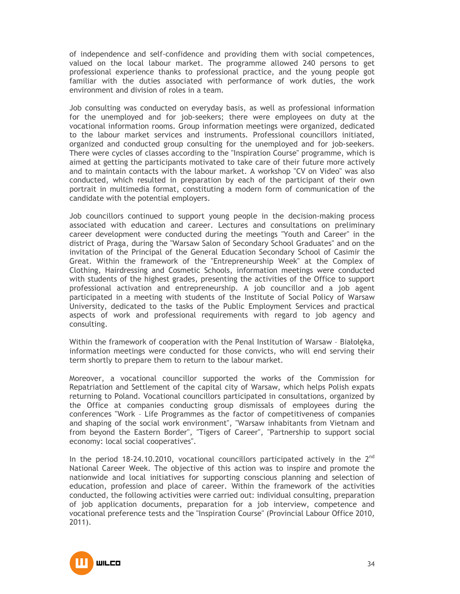of independence and self-confidence and providing them with social competences, valued on the local labour market. The programme allowed 240 persons to get professional experience thanks to professional practice, and the young people got familiar with the duties associated with performance of work duties, the work environment and division of roles in a team.

Job consulting was conducted on everyday basis, as well as professional information for the unemployed and for job-seekers; there were employees on duty at the vocational information rooms. Group information meetings were organized, dedicated to the labour market services and instruments. Professional councillors initiated, organized and conducted group consulting for the unemployed and for job-seekers. There were cycles of classes according to the "Inspiration Course" programme, which is aimed at getting the participants motivated to take care of their future more actively and to maintain contacts with the labour market. A workshop "CV on Video" was also conducted, which resulted in preparation by each of the participant of their own portrait in multimedia format, constituting a modern form of communication of the candidate with the potential employers.

Job councillors continued to support young people in the decision-making process associated with education and career. Lectures and consultations on preliminary career development were conducted during the meetings "Youth and Career" in the district of Praga, during the "Warsaw Salon of Secondary School Graduates" and on the invitation of the Principal of the General Education Secondary School of Casimir the Great. Within the framework of the "Entrepreneurship Week" at the Complex of Clothing, Hairdressing and Cosmetic Schools, information meetings were conducted with students of the highest grades, presenting the activities of the Office to support professional activation and entrepreneurship. A job councillor and a job agent participated in a meeting with students of the Institute of Social Policy of Warsaw University, dedicated to the tasks of the Public Employment Services and practical aspects of work and professional requirements with regard to job agency and consulting.

Within the framework of cooperation with the Penal Institution of Warsaw – Białołęka, information meetings were conducted for those convicts, who will end serving their term shortly to prepare them to return to the labour market.

Moreover, a vocational councillor supported the works of the Commission for Repatriation and Settlement of the capital city of Warsaw, which helps Polish expats returning to Poland. Vocational councillors participated in consultations, organized by the Office at companies conducting group dismissals of employees during the conferences "Work – Life Programmes as the factor of competitiveness of companies and shaping of the social work environment", "Warsaw inhabitants from Vietnam and from beyond the Eastern Border", "Tigers of Career", "Partnership to support social economy: local social cooperatives".

In the period 18-24.10.2010, vocational councillors participated actively in the  $2^{nd}$ National Career Week. The objective of this action was to inspire and promote the nationwide and local initiatives for supporting conscious planning and selection of education, profession and place of career. Within the framework of the activities conducted, the following activities were carried out: individual consulting, preparation of job application documents, preparation for a job interview, competence and vocational preference tests and the "Inspiration Course" (Provincial Labour Office 2010, 2011).

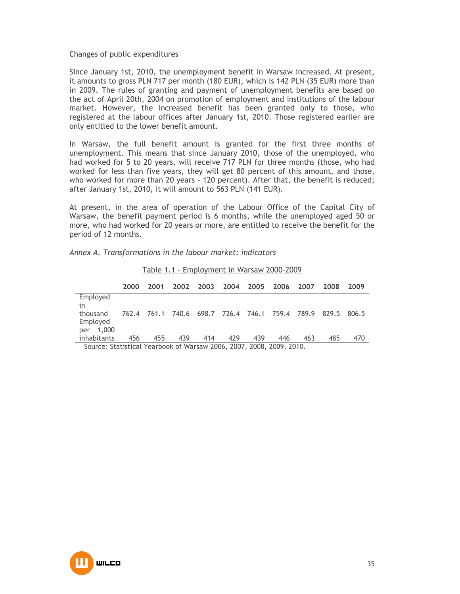#### Changes of public expenditures

Since January 1st, 2010, the unemployment benefit in Warsaw increased. At present, it amounts to gross PLN 717 per month (180 EUR), which is 142 PLN (35 EUR) more than in 2009. The rules of granting and payment of unemployment benefits are based on the act of April 20th, 2004 on promotion of employment and institutions of the labour market. However, the increased benefit has been granted only to those, who registered at the labour offices after January 1st, 2010. Those registered earlier are only entitled to the lower benefit amount.

In Warsaw, the full benefit amount is granted for the first three months of unemployment. This means that since January 2010, those of the unemployed, who had worked for 5 to 20 years, will receive 717 PLN for three months (those, who had worked for less than five years, they will get 80 percent of this amount, and those, who worked for more than 20 years – 120 percent). After that, the benefit is reduced; after January 1st, 2010, it will amount to 563 PLN (141 EUR).

At present, in the area of operation of the Labour Office of the Capital City of Warsaw, the benefit payment period is 6 months, while the unemployed aged 50 or more, who had worked for 20 years or more, are entitled to receive the benefit for the period of 12 months.

|  | Annex A. Transformations in the labour market: indicators |  |  |  |  |
|--|-----------------------------------------------------------|--|--|--|--|
|--|-----------------------------------------------------------|--|--|--|--|

| 2000 | 2001 | 2002 | 2003 | 2004 | 2005 | 2006 | 2007 | 2008                                            | 2009  |
|------|------|------|------|------|------|------|------|-------------------------------------------------|-------|
|      |      |      |      |      |      |      |      |                                                 |       |
|      |      |      |      |      |      |      |      |                                                 |       |
|      |      |      |      |      |      |      |      |                                                 | 806.5 |
|      |      |      |      |      |      |      |      |                                                 |       |
|      |      |      |      |      |      |      |      |                                                 |       |
| 456  | 455  | 439  | 414  | 429  | 439  | 446  | 463  | 485                                             | 470   |
|      |      |      |      |      |      |      |      | 762.4 761.1 740.6 698.7 726.4 746.1 759.4 789.9 | 829.5 |

Table 1.1 - Employment in Warsaw 2000-2009

Source: Statistical Yearbook of Warsaw 2006, 2007, 2008, 2009, 2010.

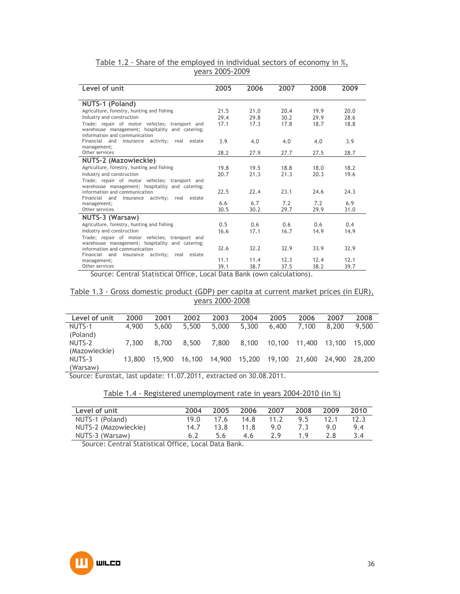| Level of unit                                                                                                                      | 2005 | 2006 | 2007 | 2008 | 2009 |
|------------------------------------------------------------------------------------------------------------------------------------|------|------|------|------|------|
| NUTS-1 (Poland)                                                                                                                    |      |      |      |      |      |
| Agriculture, forestry, hunting and fishing                                                                                         | 21.5 | 21.0 | 20.4 | 19.9 | 20.0 |
| Industry and construction                                                                                                          | 29.4 | 29.8 | 30.2 | 29.9 | 28.6 |
| Trade; repair of motor vehicles; transport and<br>warehouse management; hospitality and catering;<br>information and communication | 17.1 | 17.3 | 17.8 | 18.7 | 18.8 |
| Financial and<br>insurance activity; real estate<br>management;                                                                    | 3.9  | 4.0  | 4.0  | 4.0  | 3.9  |
| Other services                                                                                                                     | 28.2 | 27.9 | 27.7 | 27.5 | 28.7 |
| NUTS-2 (Mazowieckie)                                                                                                               |      |      |      |      |      |
| Agriculture, forestry, hunting and fishing                                                                                         | 19.8 | 19.5 | 18.8 | 18.0 | 18.2 |
| Industry and construction                                                                                                          | 20.7 | 21.3 | 21.3 | 20.3 | 19.6 |
| Trade; repair of motor vehicles; transport and                                                                                     |      |      |      |      |      |
| warehouse management; hospitality and catering;<br>information and communication                                                   | 22.5 | 22.4 | 23.1 | 24.6 | 24.3 |
| Financial and<br>activity;<br>real<br>estate<br>insurance                                                                          |      |      |      |      |      |
| management;                                                                                                                        | 6.6  | 6.7  | 7.2  | 7.2  | 6.9  |
| Other services                                                                                                                     | 30.5 | 30.2 | 29.7 | 29.9 | 31.0 |
| NUTS-3 (Warsaw)                                                                                                                    |      |      |      |      |      |
| Agriculture, forestry, hunting and fishing                                                                                         | 0.5  | 0.6  | 0.6  | 0.6  | 0.4  |
| Industry and construction                                                                                                          | 16.6 | 17.1 | 16.7 | 14.9 | 14.9 |
| Trade; repair of motor vehicles; transport and<br>warehouse management; hospitality and catering;                                  |      |      |      |      |      |
| information and communication<br>Financial and                                                                                     | 32.6 | 32.2 | 32.9 | 33.9 | 32.9 |
| insurance activity; real estate<br>management;                                                                                     | 11.1 | 11.4 | 12.3 | 12.4 | 12.1 |
| Other services                                                                                                                     | 39.1 | 38.7 | 37.5 | 38.2 | 39.7 |

Table 1.2 - Share of the employed in individual sectors of economy in %, years 2005-2009

Source: Central Statistical Office, Local Data Bank (own calculations).

#### Table 1.3 - Gross domestic product (GDP) per capita at current market prices (in EUR), years 2000-2008

| Level of unit | 2000   | 2001   | 2002   | 2003   | 2004   | 2005   | 2006   | 2007   | 2008   |
|---------------|--------|--------|--------|--------|--------|--------|--------|--------|--------|
| NUTS-1        | 4.900  | 5,600  | 5,500  | 5,000  | 5,300  | 6.400  | 7.100  | 8.200  | 9.500  |
| (Poland)      |        |        |        |        |        |        |        |        |        |
| NUTS-2        | 7.300  | 8,700  | 8,500  | 7,800  | 8,100  | 10,100 | 11,400 | 13.100 | 15.000 |
| (Mazowieckie) |        |        |        |        |        |        |        |        |        |
| NUTS-3        | 13,800 | 15.900 | 16,100 | 14.900 | 15,200 | 19.100 | 21,600 | 24.900 | 28.200 |
| (Warsaw)      |        |        |        |        |        |        |        |        |        |
|               |        |        |        |        |        |        |        |        |        |

Source: Eurostat, last update: 11.07.2011, extracted on 30.08.2011.

# Table 1.4 - Registered unemployment rate in years 2004-2010 (in %)

| Level of unit        | 2004        | 2005           | 2006 | 2007 | 2008 | 2009 | 2010 |
|----------------------|-------------|----------------|------|------|------|------|------|
| NUTS-1 (Poland)      | 19 $\Omega$ | 17.6           | 14.8 | 11.2 | 95   | 12.1 | 12.3 |
| NUTS-2 (Mazowieckie) | 14.7        | 13.8           | 11.8 | 9 O  | 73   | 9 N  | 9.4  |
| NUTS-3 (Warsaw)      |             | 56             | 4.6  | 7 Q  | 19   | 2 R  |      |
|                      |             | $\blacksquare$ |      |      |      |      |      |

Source: Central Statistical Office, Local Data Bank.

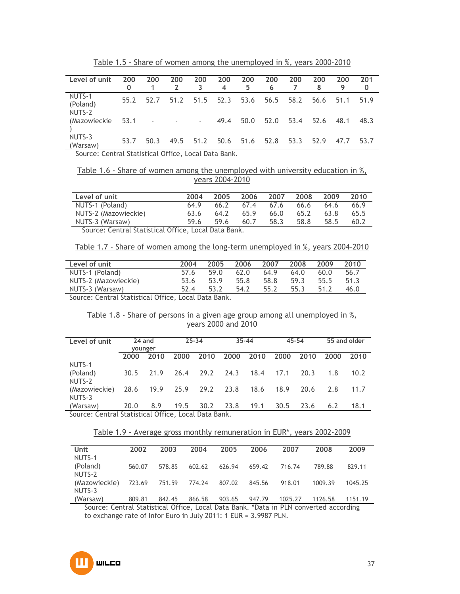| Level of unit                                                             | 200<br>0 | 200                      | 200                      | 200<br>3 | 200<br>4 | 200<br>5 | 200<br>6 | 200  | 200<br>8 | 200<br>9 | 201<br>0 |
|---------------------------------------------------------------------------|----------|--------------------------|--------------------------|----------|----------|----------|----------|------|----------|----------|----------|
| NUTS-1<br>(Poland)<br>NUTS-2                                              | 55.2     | 52.7                     | 51.2                     | 51.5     | 52.3     | 53.6     | 56.5     | 58.2 | 56.6     | 51.1     | 51.9     |
| (Mazowieckie                                                              | 53.1     | $\overline{\phantom{a}}$ | $\overline{\phantom{a}}$ | $\sim$   | 49.4     | 50.0     | 52.0     | 53.4 | 52.6     | 48.1     | 48.3     |
| NUTS-3<br>(Warsaw)<br>Carrier Control Chatistical Office Local Data Danle | 53.7     | 50.3                     | 49.5                     | 51.2     | 50.6     | 51.6     | 52.8     | 53.3 | 52.9     | 47.7     | 53.7     |

Table 1.5 - Share of women among the unemployed in %, years 2000-2010

Source: Central Statistical Office, Local Data Bank.

Table 1.6 - Share of women among the unemployed with university education in %, years 2004-2010

| Level of unit                                                                                                                                 | 2004 | 2005 | 2006 | 2007 | 2008 | 2009 | 2010 |
|-----------------------------------------------------------------------------------------------------------------------------------------------|------|------|------|------|------|------|------|
| NUTS-1 (Poland)                                                                                                                               | 64.9 | 66.2 | 67.4 | 67.6 | 66.6 | 64.6 | 66.9 |
| NUTS-2 (Mazowieckie)                                                                                                                          | 63.6 | 64.2 | 65.9 | 66.0 | 65.2 | 63.8 | 65.5 |
| NUTS-3 (Warsaw)                                                                                                                               | 59 K | 59.6 | 60.7 | 58.3 | 58.8 | 58.5 | 60.2 |
| $\mathcal{L}$ . The $\mathcal{L}$ such that $\mathcal{L}$ is the set of $\mathcal{L}$ is the set of $\mathcal{L}$ is the set of $\mathcal{L}$ |      |      |      |      |      |      |      |

Source: Central Statistical Office, Local Data Bank.

Table 1.7 - Share of women among the long-term unemployed in %, years 2004-2010

| Level of unit                                      | 2004 | 2005 | 2006 | 2007 | 2008 | 2009 | 2010 |
|----------------------------------------------------|------|------|------|------|------|------|------|
| NUTS-1 (Poland)                                    | 57.6 | 59.0 | 62.0 | 64.9 | 64.0 | 60.0 | 56.7 |
| NUTS-2 (Mazowieckie)                               | 53.6 | 53.9 | 55.8 | 58.8 | 59.3 | 55.5 | 51.3 |
| NUTS-3 (Warsaw)                                    | 52.4 | 53.2 | 54.2 | 55.2 | 55.3 | 51 2 | 46.0 |
| Source: Central Statistical Office Local Data Bank |      |      |      |      |      |      |      |

Source: Central Statistical Office, Local Data Bank.

Table 1.8 - Share of persons in a given age group among all unemployed in %, years 2000 and 2010

| Level of unit                                          |         | 24 and |      | $25 - 34$ |      | $35 - 44$ | 45-54 |      |      | 55 and older |
|--------------------------------------------------------|---------|--------|------|-----------|------|-----------|-------|------|------|--------------|
|                                                        | younger |        |      |           |      |           |       |      |      |              |
|                                                        | 2000    | 2010   | 2000 | 2010      | 2000 | 2010      | 2000  | 2010 | 2000 | 2010         |
| NUTS-1                                                 |         |        |      |           |      |           |       |      |      |              |
| (Poland)                                               | 30.5    | 21.9   | 26.4 | 29.2      | 24.3 | 18.4      | 17.1  | 20.3 | 1.8  | 10.2         |
| NUTS-2                                                 |         |        |      |           |      |           |       |      |      |              |
| (Mazowieckie)                                          | 28.6    | 19.9   | 25.9 | 29.2      | 23.8 | 18.6      | 18.9  | 20.6 | 2.8  | 11.7         |
| NUTS-3                                                 |         |        |      |           |      |           |       |      |      |              |
| (Warsaw)                                               | 20.0    | 8.9    | 19.5 | 30.2      | 23.8 | 19.1      | 30.5  | 23.6 | 6.2  | 18.1         |
| Corners Control Chatteriae   Office   Local Data Dank. |         |        |      |           |      |           |       |      |      |              |

Source: Central Statistical Office, Local Data Bank.

Table 1.9 - Average gross monthly remuneration in EUR\*, years 2002-2009

| 2002   | 2003   | 2004   | 2005   | 2006   | 2007    | 2008    | 2009    |
|--------|--------|--------|--------|--------|---------|---------|---------|
|        |        |        |        |        |         |         |         |
| 560.07 | 578.85 | 602.62 | 626.94 | 659.42 | 716.74  | 789.88  | 829.11  |
|        |        |        |        |        |         |         |         |
| 723.69 | 751.59 | 774.24 | 807.02 | 845.56 | 918.01  | 1009.39 | 1045.25 |
|        |        |        |        |        |         |         |         |
| 809.81 | 842.45 | 866.58 | 903.65 | 947.79 | 1025.27 | 1126.58 | 1151.19 |
|        |        |        |        |        |         |         |         |

Source: Central Statistical Office, Local Data Bank. \*Data in PLN converted according to exchange rate of Infor Euro in July 2011: 1 EUR = 3.9987 PLN.

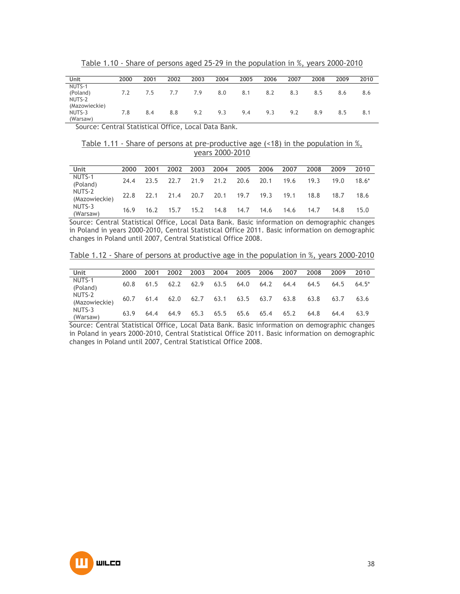Table 1.10 - Share of persons aged 25-29 in the population in %, years 2000-2010

| Unit                                | 2000 | 2001 | 2002 | 2003 | 2004 | 2005 | 2006 | 2007 | 2008 | 2009 | 2010 |
|-------------------------------------|------|------|------|------|------|------|------|------|------|------|------|
| NUTS-1                              |      |      |      |      |      |      |      |      |      |      |      |
| (Poland)<br>NUTS-2<br>(Mazowieckie) | 7.2  | 7.5  | 7.7  | 7.9  | 8.0  | 8.1  | 8.2  | 8.3  | 8.5  | 8.6  | 8.6  |
| NUTS-3<br>(Warsaw)                  | 7.8  | 8.4  | 8.8  | 9.2  | 9.3  | 9.4  | 9.3  | 9.2  | 8.9  | 8.5  | 8.1  |

Source: Central Statistical Office, Local Data Bank.

Table 1.11 - Share of persons at pre-productive age  $($ <18) in the population in  $\%,$ years 2000-2010

| Unit                    | 2000 | 2001 | 2002 | 2003 | 2004      |      | 2005 2006 2007                          |           | 2008 | 2009 | 2010    |
|-------------------------|------|------|------|------|-----------|------|-----------------------------------------|-----------|------|------|---------|
| NUTS-1<br>(Poland)      | 24.4 |      |      |      |           |      | 23.5 22.7 21.9 21.2 20.6 20.1           | 19.6      | 19.3 | 19.0 | $18.6*$ |
| NUTS-2<br>(Mazowieckie) |      |      |      |      |           |      | 22.8 22.1 21.4 20.7 20.1 19.7 19.3 19.1 |           | 18.8 | 18.7 | 18.6    |
| NUTS-3<br>(Warsaw)      | 16.9 | 16.2 | 15.7 |      | 15.2 14.8 | 14.7 |                                         | 14.6 14.6 | 14.7 | 14.8 | 15.0    |

Source: Central Statistical Office, Local Data Bank. Basic information on demographic changes in Poland in years 2000-2010, Central Statistical Office 2011. Basic information on demographic changes in Poland until 2007, Central Statistical Office 2008.

Table 1.12 - Share of persons at productive age in the population in %, years 2000-2010

| Unit                    | 2000 | 2001 | 2002 | 2003 | 2004 | 2005 | - 2006 | 2007 | 2008 | 2009 | 2010    |
|-------------------------|------|------|------|------|------|------|--------|------|------|------|---------|
| NUTS-1<br>(Poland)      | 60.8 | 61.5 | 62.2 | 62.9 | 63.5 | 64.0 | 64.2   | 64.4 | 64.5 | 64.5 | $64.5*$ |
| NUTS-2<br>(Mazowieckie) | 60.7 | 61.4 | 62.0 | 62.7 | 63.1 | 63.5 | 63.7   | 63.8 | 63.8 | 63.7 | 63.6    |
| NUTS-3<br>(Warsaw)      | 63.9 | 64.4 | 64.9 | 65.3 | 65.5 | 65.6 | 65.4   | 65.2 | 64.8 | 64.4 | 63.9    |

Source: Central Statistical Office, Local Data Bank. Basic information on demographic changes in Poland in years 2000-2010, Central Statistical Office 2011. Basic information on demographic changes in Poland until 2007, Central Statistical Office 2008.

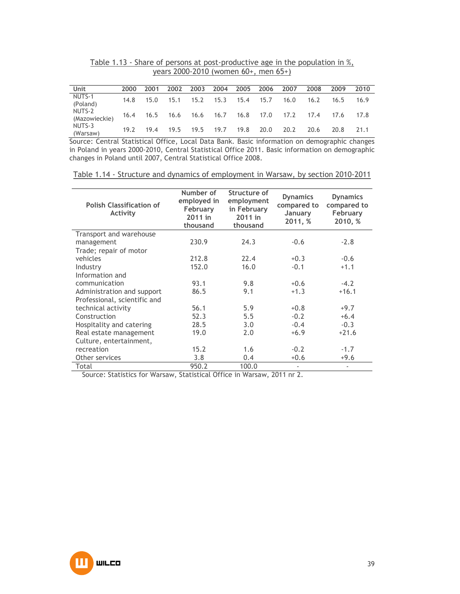Table 1.13 - Share of persons at post-productive age in the population in %, years 2000-2010 (women 60+, men 65+)

| Unit                    | 2000 | 2001 | 2002 | 2003 | 2004 | 2005           | 2006 2007                          |      | 2008 | 2009 | 2010 |
|-------------------------|------|------|------|------|------|----------------|------------------------------------|------|------|------|------|
| NUTS-1<br>(Poland)      | 14.8 | 15.0 | 15.1 | 15.2 |      | 15.3 15.4 15.7 |                                    | 16.0 | 16.2 | 16.5 | 16.9 |
| NUTS-2<br>(Mazowieckie) |      |      |      |      |      |                | 16.4 16.5 16.6 16.6 16.7 16.8 17.0 | 17.2 | 17.4 | 17.6 | 17.8 |
| NUTS-3<br>(Warsaw)      | 19.2 | 19.4 | 19.5 | 19.5 | 19.7 | 19.8           | 20.0                               | 20.2 | 20.6 | 20.8 | 21.1 |

Source: Central Statistical Office, Local Data Bank. Basic information on demographic changes in Poland in years 2000-2010, Central Statistical Office 2011. Basic information on demographic changes in Poland until 2007, Central Statistical Office 2008.

| <b>Polish Classification of</b><br><b>Activity</b> | Number of<br>employed in<br>February<br>2011 in<br>thousand | Structure of<br>employment<br>in February<br>2011 in<br>thousand | <b>Dynamics</b><br>compared to<br>January<br>2011, % | <b>Dynamics</b><br>compared to<br>February<br>2010, % |
|----------------------------------------------------|-------------------------------------------------------------|------------------------------------------------------------------|------------------------------------------------------|-------------------------------------------------------|
| Transport and warehouse                            |                                                             |                                                                  |                                                      |                                                       |
| management                                         | 230.9                                                       | 24.3                                                             | $-0.6$                                               | $-2.8$                                                |
| Trade; repair of motor                             |                                                             |                                                                  |                                                      |                                                       |
| vehicles                                           | 212.8                                                       | 22.4                                                             | $+0.3$                                               | $-0.6$                                                |
| Industry                                           | 152.0                                                       | 16.0                                                             | $-0.1$                                               | $+1.1$                                                |
| Information and                                    |                                                             |                                                                  |                                                      |                                                       |
| communication                                      | 93.1                                                        | 9.8                                                              | $+0.6$                                               | $-4.2$                                                |
| Administration and support                         | 86.5                                                        | 9.1                                                              | $+1.3$                                               | $+16.1$                                               |
| Professional, scientific and                       |                                                             |                                                                  |                                                      |                                                       |
| technical activity                                 | 56.1                                                        | 5.9                                                              | $+0.8$                                               | $+9.7$                                                |
| Construction                                       | 52.3                                                        | 5.5                                                              | $-0.2$                                               | $+6.4$                                                |
| Hospitality and catering                           | 28.5                                                        | 3.0                                                              | $-0.4$                                               | $-0.3$                                                |
| Real estate management                             | 19.0                                                        | 2.0                                                              | $+6.9$                                               | $+21.6$                                               |
| Culture, entertainment,                            |                                                             |                                                                  |                                                      |                                                       |
| recreation                                         | 15.2                                                        | 1.6                                                              | $-0.2$                                               | $-1.7$                                                |
| Other services                                     | 3.8                                                         | 0.4                                                              | $+0.6$                                               | $+9.6$                                                |
| Total                                              | 950.2                                                       | 100.0                                                            | $\overline{\phantom{a}}$                             | ٠                                                     |

Table 1.14 - Structure and dynamics of employment in Warsaw, by section 2010-2011

Source: Statistics for Warsaw, Statistical Office in Warsaw, 2011 nr 2.

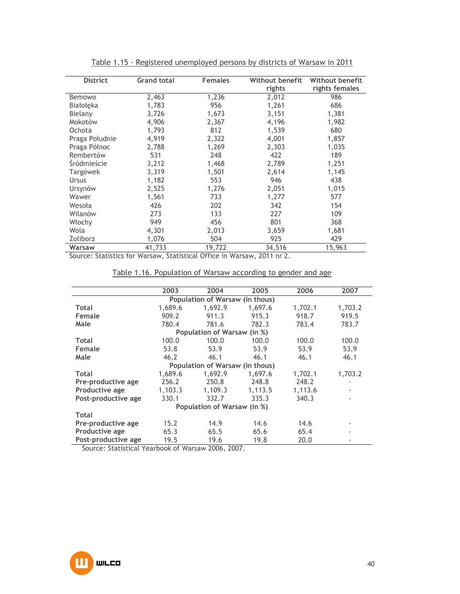|                 |                    |                | <b>Without benefit</b> | <b>Without benefit</b> |
|-----------------|--------------------|----------------|------------------------|------------------------|
| <b>District</b> | <b>Grand total</b> | <b>Females</b> |                        |                        |
|                 |                    |                | rights                 | rights females         |
| Bemowo          | 2,463              | 1,236          | 2,012                  | 986                    |
| Białołęka       | 1,783              | 956            | 1,261                  | 686                    |
| Bielany         | 3,726              | 1,673          | 3,151                  | 1,381                  |
| Mokotów         | 4,906              | 2,367          | 4,196                  | 1,982                  |
| Ochota          | 1,793              | 812            | 1,539                  | 680                    |
| Praga Południe  | 4,919              | 2,322          | 4,001                  | 1,857                  |
| Praga Północ    | 2,788              | 1,269          | 2,303                  | 1,035                  |
| Rembertów       | 531                | 248            | 422                    | 189                    |
| Śródmieście     | 3,212              | 1,468          | 2,789                  | 1,251                  |
| Targówek        | 3,319              | 1,501          | 2,614                  | 1,145                  |
| <b>Ursus</b>    | 1,182              | 553            | 946                    | 438                    |
| Ursynów         | 2,525              | 1,276          | 2,051                  | 1,015                  |
| Wawer           | 1,561              | 733            | 1,277                  | 577                    |
| Wesoła          | 426                | 202            | 342                    | 154                    |
| Wilanów         | 273                | 133            | 227                    | 109                    |
| Włochy          | 949                | 456            | 801                    | 368                    |
| Wola            | 4,301              | 2,013          | 3,659                  | 1,681                  |
| <b>Zoliborz</b> | 1,076              | 504            | 925                    | 429                    |
| Warsaw          | 41,733             | 19,722         | 34,516                 | 15,963                 |

Table 1.15 - Registered unemployed persons by districts of Warsaw in 2011

Source: Statistics for Warsaw, Statistical Office in Warsaw, 2011 nr 2.

|--|

|                     | 2003    | 2004                            | 2005    | 2006    | 2007    |
|---------------------|---------|---------------------------------|---------|---------|---------|
|                     |         | Population of Warsaw (in thous) |         |         |         |
| <b>Total</b>        | 1,689.6 | 1,692.9                         | 1,697.6 | 1,702.1 | 1,703.2 |
| Female              | 909.2   | 911.3                           | 915.3   | 918.7   | 919.5   |
| Male                | 780.4   | 781.6                           | 782.3   | 783.4   | 783.7   |
|                     |         | Population of Warsaw (in %)     |         |         |         |
| <b>Total</b>        | 100.0   | 100.0                           | 100.0   | 100.0   | 100.0   |
| Female              | 53.8    | 53.9                            | 53.9    | 53.9    | 53.9    |
| Male                | 46.2    | 46.1                            | 46.1    | 46.1    | 46.1    |
|                     |         | Population of Warsaw (in thous) |         |         |         |
| <b>Total</b>        | 1,689.6 | 1,692.9                         | 1.697.6 | 1,702.1 | 1,703.2 |
| Pre-productive age  | 256.2   | 250.8                           | 248.8   | 248.2   |         |
| Productive age      | 1,103.3 | 1,109.3                         | 1,113.5 | 1,113.6 |         |
| Post-productive age | 330.1   | 332.7                           | 335.3   | 340.3   |         |
|                     |         | Population of Warsaw (in %)     |         |         |         |
| <b>Total</b>        |         |                                 |         |         |         |
| Pre-productive age  | 15.2    | 14.9                            | 14.6    | 14.6    |         |
| Productive age      | 65.3    | 65.5                            | 65.6    | 65.4    |         |
| Post-productive age | 19.5    | 19.6                            | 19.8    | 20.0    |         |

Source: Statistical Yearbook of Warsaw 2006, 2007.

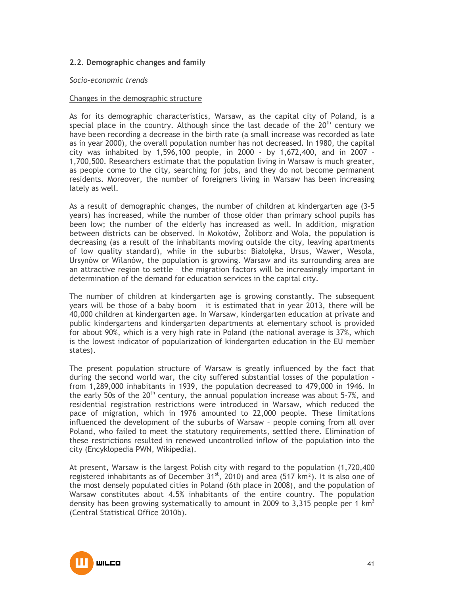# **2.2. Demographic changes and family**

### *Socio-economic trends*

#### Changes in the demographic structure

As for its demographic characteristics, Warsaw, as the capital city of Poland, is a special place in the country. Although since the last decade of the  $20<sup>th</sup>$  century we have been recording a decrease in the birth rate (a small increase was recorded as late as in year 2000), the overall population number has not decreased. In 1980, the capital city was inhabited by 1,596,100 people, in 2000 - by 1,672,400, and in 2007 – 1,700,500. Researchers estimate that the population living in Warsaw is much greater, as people come to the city, searching for jobs, and they do not become permanent residents. Moreover, the number of foreigners living in Warsaw has been increasing lately as well.

As a result of demographic changes, the number of children at kindergarten age (3-5 years) has increased, while the number of those older than primary school pupils has been low; the number of the elderly has increased as well. In addition, migration between districts can be observed. In Mokotów, Zoliborz and Wola, the population is decreasing (as a result of the inhabitants moving outside the city, leaving apartments of low quality standard), while in the suburbs: Białołęka, Ursus, Wawer, Wesoła, Ursynów or Wilanów, the population is growing. Warsaw and its surrounding area are an attractive region to settle – the migration factors will be increasingly important in determination of the demand for education services in the capital city.

The number of children at kindergarten age is growing constantly. The subsequent years will be those of a baby boom – it is estimated that in year 2013, there will be 40,000 children at kindergarten age. In Warsaw, kindergarten education at private and public kindergartens and kindergarten departments at elementary school is provided for about 90%, which is a very high rate in Poland (the national average is 37%, which is the lowest indicator of popularization of kindergarten education in the EU member states).

The present population structure of Warsaw is greatly influenced by the fact that during the second world war, the city suffered substantial losses of the population – from 1,289,000 inhabitants in 1939, the population decreased to 479,000 in 1946. In the early 50s of the  $20<sup>th</sup>$  century, the annual population increase was about 5-7%, and residential registration restrictions were introduced in Warsaw, which reduced the pace of migration, which in 1976 amounted to 22,000 people. These limitations influenced the development of the suburbs of Warsaw – people coming from all over Poland, who failed to meet the statutory requirements, settled there. Elimination of these restrictions resulted in renewed uncontrolled inflow of the population into the city (Encyklopedia PWN, Wikipedia).

At present, Warsaw is the largest Polish city with regard to the population (1,720,400 registered inhabitants as of December  $31<sup>st</sup>$ , 2010) and area (517 km<sup>2</sup>). It is also one of the most densely populated cities in Poland (6th place in 2008), and the population of Warsaw constitutes about 4.5% inhabitants of the entire country. The population density has been growing systematically to amount in 2009 to 3,315 people per 1  $km<sup>2</sup>$ (Central Statistical Office 2010b).

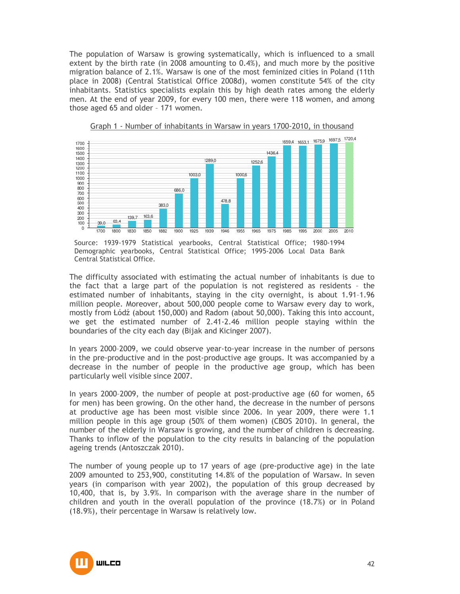The population of Warsaw is growing systematically, which is influenced to a small extent by the birth rate (in 2008 amounting to 0.4%), and much more by the positive migration balance of 2.1%. Warsaw is one of the most feminized cities in Poland (11th place in 2008) (Central Statistical Office 2008d), women constitute 54% of the city inhabitants. Statistics specialists explain this by high death rates among the elderly men. At the end of year 2009, for every 100 men, there were 118 women, and among those aged 65 and older – 171 women.





Source: 1939-1979 Statistical yearbooks, Central Statistical Office; 1980-1994 Demographic yearbooks, Central Statistical Office; 1995-2006 Local Data Bank Central Statistical Office.

The difficulty associated with estimating the actual number of inhabitants is due to the fact that a large part of the population is not registered as residents – the estimated number of inhabitants, staying in the city overnight, is about 1.91–1.96 million people. Moreover, about 500,000 people come to Warsaw every day to work, mostly from Łódź (about 150,000) and Radom (about 50,000). Taking this into account, we get the estimated number of 2.41-2.46 million people staying within the boundaries of the city each day (Bijak and Kicinger 2007).

In years 2000–2009, we could observe year-to-year increase in the number of persons in the pre-productive and in the post-productive age groups. It was accompanied by a decrease in the number of people in the productive age group, which has been particularly well visible since 2007.

In years 2000–2009, the number of people at post-productive age (60 for women, 65 for men) has been growing. On the other hand, the decrease in the number of persons at productive age has been most visible since 2006. In year 2009, there were 1.1 million people in this age group (50% of them women) (CBOS 2010). In general, the number of the elderly in Warsaw is growing, and the number of children is decreasing. Thanks to inflow of the population to the city results in balancing of the population ageing trends (Antoszczak 2010).

The number of young people up to 17 years of age (pre-productive age) in the late 2009 amounted to 253,900, constituting 14.8% of the population of Warsaw. In seven years (in comparison with year 2002), the population of this group decreased by 10,400, that is, by 3.9%. In comparison with the average share in the number of children and youth in the overall population of the province (18.7%) or in Poland (18.9%), their percentage in Warsaw is relatively low.

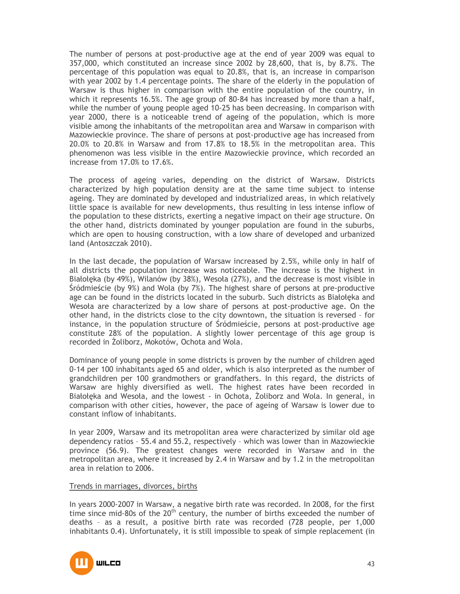The number of persons at post-productive age at the end of year 2009 was equal to 357,000, which constituted an increase since 2002 by 28,600, that is, by 8.7%. The percentage of this population was equal to 20.8%, that is, an increase in comparison with year 2002 by 1.4 percentage points. The share of the elderly in the population of Warsaw is thus higher in comparison with the entire population of the country, in which it represents 16.5%. The age group of 80-84 has increased by more than a half, while the number of young people aged 10-25 has been decreasing. In comparison with year 2000, there is a noticeable trend of ageing of the population, which is more visible among the inhabitants of the metropolitan area and Warsaw in comparison with Mazowieckie province. The share of persons at post-productive age has increased from 20.0% to 20.8% in Warsaw and from 17.8% to 18.5% in the metropolitan area. This phenomenon was less visible in the entire Mazowieckie province, which recorded an increase from 17.0% to 17.6%.

The process of ageing varies, depending on the district of Warsaw. Districts characterized by high population density are at the same time subject to intense ageing. They are dominated by developed and industrialized areas, in which relatively little space is available for new developments, thus resulting in less intense inflow of the population to these districts, exerting a negative impact on their age structure. On the other hand, districts dominated by younger population are found in the suburbs, which are open to housing construction, with a low share of developed and urbanized land (Antoszczak 2010).

In the last decade, the population of Warsaw increased by 2.5%, while only in half of all districts the population increase was noticeable. The increase is the highest in Białołęka (by 49%), Wilanów (by 38%), Wesoła (27%), and the decrease is most visible in Śródmieście (by 9%) and Wola (by 7%). The highest share of persons at pre-productive age can be found in the districts located in the suburb. Such districts as Białołęka and Wesoła are characterized by a low share of persons at post-productive age. On the other hand, in the districts close to the city downtown, the situation is reversed – for instance, in the population structure of Śródmieście, persons at post-productive age constitute 28% of the population. A slightly lower percentage of this age group is recorded in Żoliborz, Mokotów, Ochota and Wola.

Dominance of young people in some districts is proven by the number of children aged 0-14 per 100 inhabitants aged 65 and older, which is also interpreted as the number of grandchildren per 100 grandmothers or grandfathers. In this regard, the districts of Warsaw are highly diversified as well. The highest rates have been recorded in Białołęka and Wesoła, and the lowest - in Ochota, Żoliborz and Wola. In general, in comparison with other cities, however, the pace of ageing of Warsaw is lower due to constant inflow of inhabitants.

In year 2009, Warsaw and its metropolitan area were characterized by similar old age dependency ratios – 55.4 and 55.2, respectively – which was lower than in Mazowieckie province (56.9). The greatest changes were recorded in Warsaw and in the metropolitan area, where it increased by 2.4 in Warsaw and by 1.2 in the metropolitan area in relation to 2006.

### Trends in marriages, divorces, births

In years 2000-2007 in Warsaw, a negative birth rate was recorded. In 2008, for the first time since mid-80s of the  $20<sup>th</sup>$  century, the number of births exceeded the number of deaths – as a result, a positive birth rate was recorded (728 people, per 1,000 inhabitants 0.4). Unfortunately, it is still impossible to speak of simple replacement (in

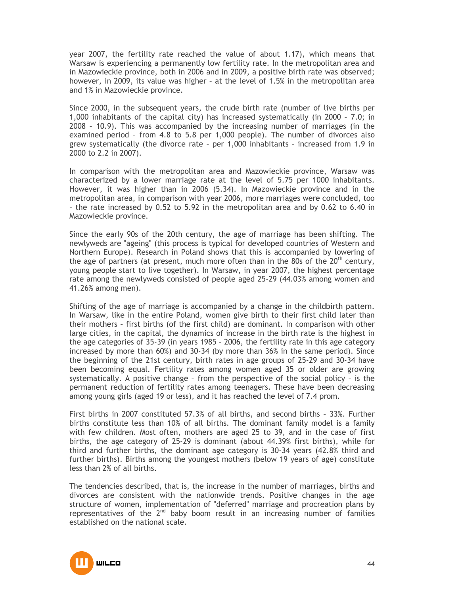year 2007, the fertility rate reached the value of about 1.17), which means that Warsaw is experiencing a permanently low fertility rate. In the metropolitan area and in Mazowieckie province, both in 2006 and in 2009, a positive birth rate was observed; however, in 2009, its value was higher – at the level of 1.5% in the metropolitan area and 1% in Mazowieckie province.

Since 2000, in the subsequent years, the crude birth rate (number of live births per 1,000 inhabitants of the capital city) has increased systematically (in 2000 – 7.0; in 2008 – 10.9). This was accompanied by the increasing number of marriages (in the examined period – from 4.8 to 5.8 per 1,000 people). The number of divorces also grew systematically (the divorce rate – per 1,000 inhabitants – increased from 1.9 in 2000 to 2.2 in 2007).

In comparison with the metropolitan area and Mazowieckie province, Warsaw was characterized by a lower marriage rate at the level of 5.75 per 1000 inhabitants. However, it was higher than in 2006 (5.34). In Mazowieckie province and in the metropolitan area, in comparison with year 2006, more marriages were concluded, too – the rate increased by 0.52 to 5.92 in the metropolitan area and by 0.62 to 6.40 in Mazowieckie province.

Since the early 90s of the 20th century, the age of marriage has been shifting. The newlyweds are "ageing" (this process is typical for developed countries of Western and Northern Europe). Research in Poland shows that this is accompanied by lowering of the age of partners (at present, much more often than in the 80s of the  $20<sup>th</sup>$  century, young people start to live together). In Warsaw, in year 2007, the highest percentage rate among the newlyweds consisted of people aged 25-29 (44.03% among women and 41.26% among men).

Shifting of the age of marriage is accompanied by a change in the childbirth pattern. In Warsaw, like in the entire Poland, women give birth to their first child later than their mothers – first births (of the first child) are dominant. In comparison with other large cities, in the capital, the dynamics of increase in the birth rate is the highest in the age categories of 35-39 (in years 1985 – 2006, the fertility rate in this age category increased by more than 60%) and 30-34 (by more than 36% in the same period). Since the beginning of the 21st century, birth rates in age groups of 25-29 and 30-34 have been becoming equal. Fertility rates among women aged 35 or older are growing systematically. A positive change – from the perspective of the social policy – is the permanent reduction of fertility rates among teenagers. These have been decreasing among young girls (aged 19 or less), and it has reached the level of 7.4 prom.

First births in 2007 constituted 57.3% of all births, and second births – 33%. Further births constitute less than 10% of all births. The dominant family model is a family with few children. Most often, mothers are aged 25 to 39, and in the case of first births, the age category of 25-29 is dominant (about 44.39% first births), while for third and further births, the dominant age category is 30-34 years (42.8% third and further births). Births among the youngest mothers (below 19 years of age) constitute less than 2% of all births.

The tendencies described, that is, the increase in the number of marriages, births and divorces are consistent with the nationwide trends. Positive changes in the age structure of women, implementation of "deferred" marriage and procreation plans by representatives of the  $2<sup>nd</sup>$  baby boom result in an increasing number of families established on the national scale.

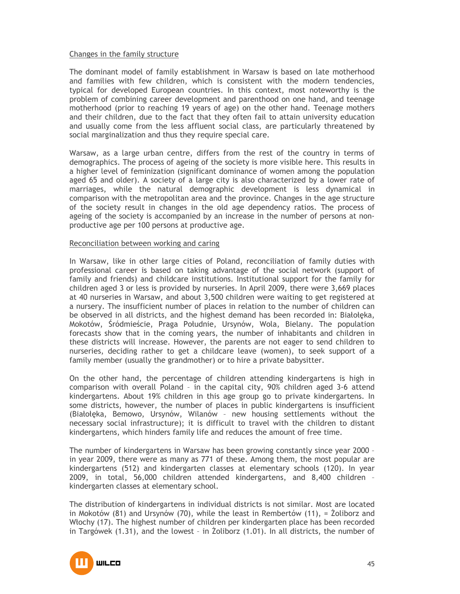### Changes in the family structure

The dominant model of family establishment in Warsaw is based on late motherhood and families with few children, which is consistent with the modern tendencies, typical for developed European countries. In this context, most noteworthy is the problem of combining career development and parenthood on one hand, and teenage motherhood (prior to reaching 19 years of age) on the other hand. Teenage mothers and their children, due to the fact that they often fail to attain university education and usually come from the less affluent social class, are particularly threatened by social marginalization and thus they require special care.

Warsaw, as a large urban centre, differs from the rest of the country in terms of demographics. The process of ageing of the society is more visible here. This results in a higher level of feminization (significant dominance of women among the population aged 65 and older). A society of a large city is also characterized by a lower rate of marriages, while the natural demographic development is less dynamical in comparison with the metropolitan area and the province. Changes in the age structure of the society result in changes in the old age dependency ratios. The process of ageing of the society is accompanied by an increase in the number of persons at nonproductive age per 100 persons at productive age.

### Reconciliation between working and caring

In Warsaw, like in other large cities of Poland, reconciliation of family duties with professional career is based on taking advantage of the social network (support of family and friends) and childcare institutions. Institutional support for the family for children aged 3 or less is provided by nurseries. In April 2009, there were 3,669 places at 40 nurseries in Warsaw, and about 3,500 children were waiting to get registered at a nursery. The insufficient number of places in relation to the number of children can be observed in all districts, and the highest demand has been recorded in: Białołęka, Mokotów, Śródmieście, Praga Południe, Ursynów, Wola, Bielany. The population forecasts show that in the coming years, the number of inhabitants and children in these districts will increase. However, the parents are not eager to send children to nurseries, deciding rather to get a childcare leave (women), to seek support of a family member (usually the grandmother) or to hire a private babysitter.

On the other hand, the percentage of children attending kindergartens is high in comparison with overall Poland – in the capital city, 90% children aged 3-6 attend kindergartens. About 19% children in this age group go to private kindergartens. In some districts, however, the number of places in public kindergartens is insufficient (Białołęka, Bemowo, Ursynów, Wilanów – new housing settlements without the necessary social infrastructure); it is difficult to travel with the children to distant kindergartens, which hinders family life and reduces the amount of free time.

The number of kindergartens in Warsaw has been growing constantly since year 2000 – in year 2009, there were as many as 771 of these. Among them, the most popular are kindergartens (512) and kindergarten classes at elementary schools (120). In year 2009, in total, 56,000 children attended kindergartens, and 8,400 children – kindergarten classes at elementary school.

The distribution of kindergartens in individual districts is not similar. Most are located in Mokotów (81) and Ursynów (70), while the least in Rembertów (11),  $=$  Żoliborz and Włochy (17). The highest number of children per kindergarten place has been recorded in Targówek (1.31), and the lowest - in Zoliborz (1.01). In all districts, the number of

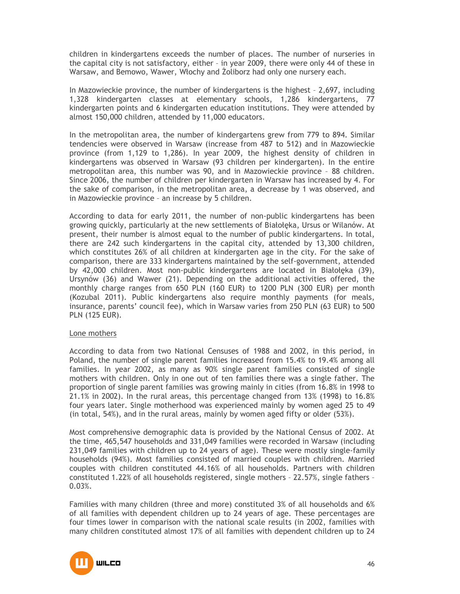children in kindergartens exceeds the number of places. The number of nurseries in the capital city is not satisfactory, either – in year 2009, there were only 44 of these in Warsaw, and Bemowo, Wawer, Włochy and Żoliborz had only one nursery each.

In Mazowieckie province, the number of kindergartens is the highest – 2,697, including 1,328 kindergarten classes at elementary schools, 1,286 kindergartens, 77 kindergarten points and 6 kindergarten education institutions. They were attended by almost 150,000 children, attended by 11,000 educators.

In the metropolitan area, the number of kindergartens grew from 779 to 894. Similar tendencies were observed in Warsaw (increase from 487 to 512) and in Mazowieckie province (from 1,129 to 1,286). In year 2009, the highest density of children in kindergartens was observed in Warsaw (93 children per kindergarten). In the entire metropolitan area, this number was 90, and in Mazowieckie province – 88 children. Since 2006, the number of children per kindergarten in Warsaw has increased by 4. For the sake of comparison, in the metropolitan area, a decrease by 1 was observed, and in Mazowieckie province – an increase by 5 children.

According to data for early 2011, the number of non-public kindergartens has been growing quickly, particularly at the new settlements of Białołęka, Ursus or Wilanów. At present, their number is almost equal to the number of public kindergartens. In total, there are 242 such kindergartens in the capital city, attended by 13,300 children, which constitutes 26% of all children at kindergarten age in the city. For the sake of comparison, there are 333 kindergartens maintained by the self-government, attended by 42,000 children. Most non-public kindergartens are located in Białołęka (39), Ursynów (36) and Wawer (21). Depending on the additional activities offered, the monthly charge ranges from 650 PLN (160 EUR) to 1200 PLN (300 EUR) per month (Kozubal 2011). Public kindergartens also require monthly payments (for meals, insurance, parents' council fee), which in Warsaw varies from 250 PLN (63 EUR) to 500 PLN (125 EUR).

### Lone mothers

According to data from two National Censuses of 1988 and 2002, in this period, in Poland, the number of single parent families increased from 15.4% to 19.4% among all families. In year 2002, as many as 90% single parent families consisted of single mothers with children. Only in one out of ten families there was a single father. The proportion of single parent families was growing mainly in cities (from 16.8% in 1998 to 21.1% in 2002). In the rural areas, this percentage changed from 13% (1998) to 16.8% four years later. Single motherhood was experienced mainly by women aged 25 to 49 (in total, 54%), and in the rural areas, mainly by women aged fifty or older (53%).

Most comprehensive demographic data is provided by the National Census of 2002. At the time, 465,547 households and 331,049 families were recorded in Warsaw (including 231,049 families with children up to 24 years of age). These were mostly single-family households (94%). Most families consisted of married couples with children. Married couples with children constituted 44.16% of all households. Partners with children constituted 1.22% of all households registered, single mothers – 22.57%, single fathers – 0.03%.

Families with many children (three and more) constituted 3% of all households and 6% of all families with dependent children up to 24 years of age. These percentages are four times lower in comparison with the national scale results (in 2002, families with many children constituted almost 17% of all families with dependent children up to 24

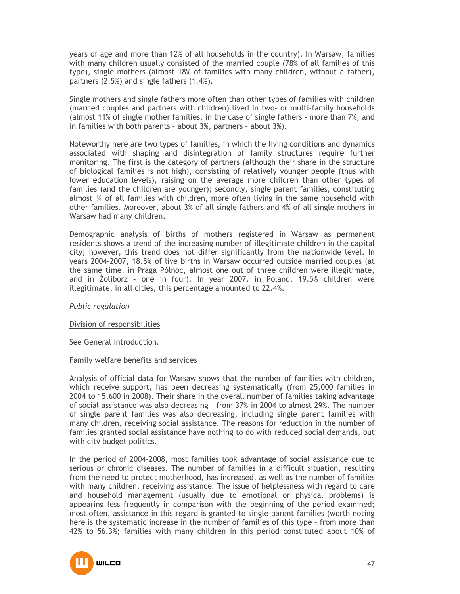years of age and more than 12% of all households in the country). In Warsaw, families with many children usually consisted of the married couple (78% of all families of this type), single mothers (almost 18% of families with many children, without a father), partners (2.5%) and single fathers (1.4%).

Single mothers and single fathers more often than other types of families with children (married couples and partners with children) lived in two- or multi-family households (almost 11% of single mother families; in the case of single fathers - more than 7%, and in families with both parents – about 3%, partners – about 3%).

Noteworthy here are two types of families, in which the living conditions and dynamics associated with shaping and disintegration of family structures require further monitoring. The first is the category of partners (although their share in the structure of biological families is not high), consisting of relatively younger people (thus with lower education levels), raising on the average more children than other types of families (and the children are younger); secondly, single parent families, constituting almost ¼ of all families with children, more often living in the same household with other families. Moreover, about 3% of all single fathers and 4% of all single mothers in Warsaw had many children.

Demographic analysis of births of mothers registered in Warsaw as permanent residents shows a trend of the increasing number of illegitimate children in the capital city; however, this trend does not differ significantly from the nationwide level. In years 2004-2007, 18.5% of live births in Warsaw occurred outside married couples (at the same time, in Praga Północ, almost one out of three children were illegitimate, and in śoliborz – one in four). In year 2007, in Poland, 19.5% children were illegitimate; in all cities, this percentage amounted to 22.4%.

### *Public regulation*

### Division of responsibilities

See General introduction.

#### Family welfare benefits and services

Analysis of official data for Warsaw shows that the number of families with children, which receive support, has been decreasing systematically (from 25,000 families in 2004 to 15,600 in 2008). Their share in the overall number of families taking advantage of social assistance was also decreasing – from 37% in 2004 to almost 29%. The number of single parent families was also decreasing, including single parent families with many children, receiving social assistance. The reasons for reduction in the number of families granted social assistance have nothing to do with reduced social demands, but with city budget politics.

In the period of 2004-2008, most families took advantage of social assistance due to serious or chronic diseases. The number of families in a difficult situation, resulting from the need to protect motherhood, has increased, as well as the number of families with many children, receiving assistance. The issue of helplessness with regard to care and household management (usually due to emotional or physical problems) is appearing less frequently in comparison with the beginning of the period examined; most often, assistance in this regard is granted to single parent families (worth noting here is the systematic increase in the number of families of this type – from more than 42% to 56.3%; families with many children in this period constituted about 10% of

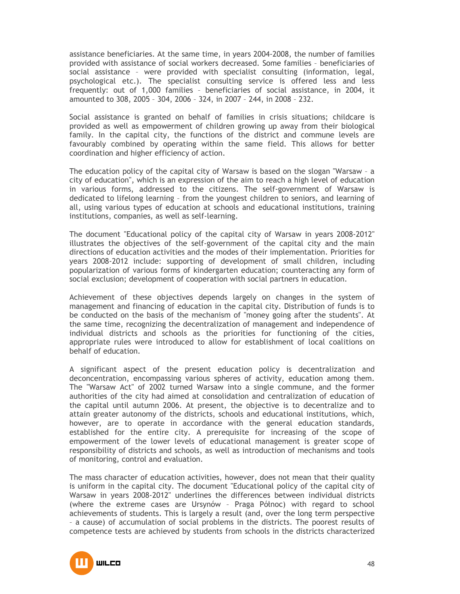assistance beneficiaries. At the same time, in years 2004-2008, the number of families provided with assistance of social workers decreased. Some families – beneficiaries of social assistance – were provided with specialist consulting (information, legal, psychological etc.). The specialist consulting service is offered less and less frequently: out of 1,000 families – beneficiaries of social assistance, in 2004, it amounted to 308, 2005 – 304, 2006 – 324, in 2007 – 244, in 2008 – 232.

Social assistance is granted on behalf of families in crisis situations; childcare is provided as well as empowerment of children growing up away from their biological family. In the capital city, the functions of the district and commune levels are favourably combined by operating within the same field. This allows for better coordination and higher efficiency of action.

The education policy of the capital city of Warsaw is based on the slogan "Warsaw – a city of education", which is an expression of the aim to reach a high level of education in various forms, addressed to the citizens. The self-government of Warsaw is dedicated to lifelong learning – from the youngest children to seniors, and learning of all, using various types of education at schools and educational institutions, training institutions, companies, as well as self-learning.

The document "Educational policy of the capital city of Warsaw in years 2008-2012" illustrates the objectives of the self-government of the capital city and the main directions of education activities and the modes of their implementation. Priorities for years 2008-2012 include: supporting of development of small children, including popularization of various forms of kindergarten education; counteracting any form of social exclusion; development of cooperation with social partners in education.

Achievement of these objectives depends largely on changes in the system of management and financing of education in the capital city. Distribution of funds is to be conducted on the basis of the mechanism of "money going after the students". At the same time, recognizing the decentralization of management and independence of individual districts and schools as the priorities for functioning of the cities, appropriate rules were introduced to allow for establishment of local coalitions on behalf of education.

A significant aspect of the present education policy is decentralization and deconcentration, encompassing various spheres of activity, education among them. The "Warsaw Act" of 2002 turned Warsaw into a single commune, and the former authorities of the city had aimed at consolidation and centralization of education of the capital until autumn 2006. At present, the objective is to decentralize and to attain greater autonomy of the districts, schools and educational institutions, which, however, are to operate in accordance with the general education standards, established for the entire city. A prerequisite for increasing of the scope of empowerment of the lower levels of educational management is greater scope of responsibility of districts and schools, as well as introduction of mechanisms and tools of monitoring, control and evaluation.

The mass character of education activities, however, does not mean that their quality is uniform in the capital city. The document "Educational policy of the capital city of Warsaw in years 2008-2012" underlines the differences between individual districts (where the extreme cases are Ursynów – Praga Północ) with regard to school achievements of students. This is largely a result (and, over the long term perspective – a cause) of accumulation of social problems in the districts. The poorest results of competence tests are achieved by students from schools in the districts characterized

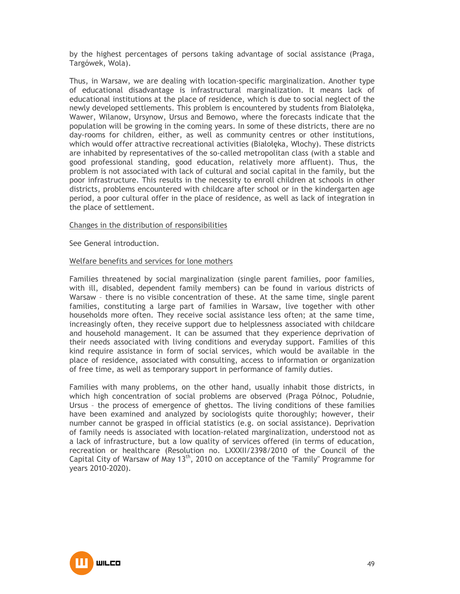by the highest percentages of persons taking advantage of social assistance (Praga, Targówek, Wola).

Thus, in Warsaw, we are dealing with location-specific marginalization. Another type of educational disadvantage is infrastructural marginalization. It means lack of educational institutions at the place of residence, which is due to social neglect of the newly developed settlements. This problem is encountered by students from Białołęka, Wawer, Wilanow, Ursynow, Ursus and Bemowo, where the forecasts indicate that the population will be growing in the coming years. In some of these districts, there are no day-rooms for children, either, as well as community centres or other institutions, which would offer attractive recreational activities (Białołęka, Włochy). These districts are inhabited by representatives of the so-called metropolitan class (with a stable and good professional standing, good education, relatively more affluent). Thus, the problem is not associated with lack of cultural and social capital in the family, but the poor infrastructure. This results in the necessity to enroll children at schools in other districts, problems encountered with childcare after school or in the kindergarten age period, a poor cultural offer in the place of residence, as well as lack of integration in the place of settlement.

### Changes in the distribution of responsibilities

See General introduction.

#### Welfare benefits and services for lone mothers

Families threatened by social marginalization (single parent families, poor families, with ill, disabled, dependent family members) can be found in various districts of Warsaw – there is no visible concentration of these. At the same time, single parent families, constituting a large part of families in Warsaw, live together with other households more often. They receive social assistance less often; at the same time, increasingly often, they receive support due to helplessness associated with childcare and household management. It can be assumed that they experience deprivation of their needs associated with living conditions and everyday support. Families of this kind require assistance in form of social services, which would be available in the place of residence, associated with consulting, access to information or organization of free time, as well as temporary support in performance of family duties.

Families with many problems, on the other hand, usually inhabit those districts, in which high concentration of social problems are observed (Praga Północ, Południe, Ursus – the process of emergence of ghettos. The living conditions of these families have been examined and analyzed by sociologists quite thoroughly; however, their number cannot be grasped in official statistics (e.g. on social assistance). Deprivation of family needs is associated with location-related marginalization, understood not as a lack of infrastructure, but a low quality of services offered (in terms of education, recreation or healthcare (Resolution no. LXXXII/2398/2010 of the Council of the Capital City of Warsaw of May 13th, 2010 on acceptance of the "Family" Programme for years 2010-2020).

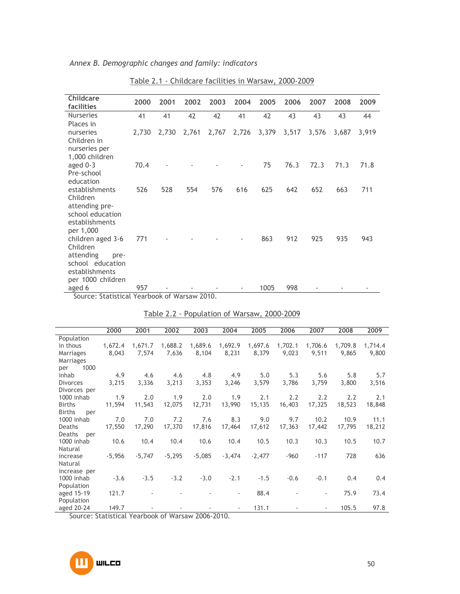| <b>Childcare</b><br>facilities | 2000  | 2001  | 2002  | 2003  | 2004  | 2005  | 2006  | 2007  | 2008  | 2009  |
|--------------------------------|-------|-------|-------|-------|-------|-------|-------|-------|-------|-------|
| <b>Nurseries</b>               | 41    | 41    | 42    | 42    | 41    | 42    | 43    | 43    | 43    | 44    |
| Places in                      |       |       |       |       |       |       |       |       |       |       |
| nurseries                      | 2,730 | 2,730 | 2,761 | 2,767 | 2,726 | 3,379 | 3,517 | 3,576 | 3,687 | 3,919 |
| Children in                    |       |       |       |       |       |       |       |       |       |       |
| nurseries per                  |       |       |       |       |       |       |       |       |       |       |
| 1,000 children                 |       |       |       |       |       |       |       |       |       |       |
| aged $0-3$                     | 70.4  |       |       |       |       | 75    | 76.3  | 72.3  | 71.3  | 71.8  |
| Pre-school                     |       |       |       |       |       |       |       |       |       |       |
| education                      |       |       |       |       |       |       |       |       |       |       |
| establishments                 | 526   | 528   | 554   | 576   | 616   | 625   | 642   | 652   | 663   | 711   |
| Children                       |       |       |       |       |       |       |       |       |       |       |
| attending pre-                 |       |       |       |       |       |       |       |       |       |       |
| school education               |       |       |       |       |       |       |       |       |       |       |
| establishments                 |       |       |       |       |       |       |       |       |       |       |
| per 1,000                      |       |       |       |       |       |       |       |       |       |       |
| children aged 3-6              | 771   |       |       |       |       | 863   | 912   | 925   | 935   | 943   |
| Children                       |       |       |       |       |       |       |       |       |       |       |
| attending<br>pre-              |       |       |       |       |       |       |       |       |       |       |
| school education               |       |       |       |       |       |       |       |       |       |       |
| establishments                 |       |       |       |       |       |       |       |       |       |       |
| per 1000 children              |       |       |       |       |       |       |       |       |       |       |
| aged 6                         | 957   |       |       |       |       | 1005  | 998   |       |       |       |
|                                |       | $ -$  |       |       |       |       |       |       |       |       |

*Annex B. Demographic changes and family: indicators*

Table 2.1 - Childcare facilities in Warsaw, 2000-2009

Source: Statistical Yearbook of Warsaw 2010.

|                      | 2000     | 2001     | 2002     | 2003     | 2004                     | 2005     | 2006    | 2007                     | 2008    | 2009    |
|----------------------|----------|----------|----------|----------|--------------------------|----------|---------|--------------------------|---------|---------|
| Population           |          |          |          |          |                          |          |         |                          |         |         |
| in thous             | 1,672.4  | 1,671.7  | 1,688.2  | 1,689.6  | 1,692.9                  | 1,697.6  | 1,702.1 | 1,706.6                  | 1,709.8 | 1,714.4 |
| Marriages            | 8,043    | 7,574    | 7,636    | 8,104    | 8,231                    | 8,379    | 9,023   | 9,511                    | 9.865   | 9,800   |
| <b>Marriages</b>     |          |          |          |          |                          |          |         |                          |         |         |
| 1000<br>per          |          |          |          |          |                          |          |         |                          |         |         |
| inhab                | 4.9      | 4.6      | 4.6      | 4.8      | 4.9                      | 5.0      | 5.3     | 5.6                      | 5.8     | 5.7     |
| <b>Divorces</b>      | 3,215    | 3,336    | 3,213    | 3,353    | 3,246                    | 3,579    | 3,786   | 3,759                    | 3,800   | 3,516   |
| Divorces per         |          |          |          |          |                          |          |         |                          |         |         |
| 1000 inhab           | 1.9      | 2.0      | 1.9      | 2.0      | 1.9                      | 2.1      | 2.2     | 2.2                      | 2.2     | 2.1     |
| <b>Births</b>        | 11,594   | 11,543   | 12,075   | 12,731   | 13,990                   | 15,135   | 16,403  | 17,325                   | 18,523  | 18,848  |
| <b>Births</b><br>per |          |          |          |          |                          |          |         |                          |         |         |
| 1000 inhab           | 7.0      | 7.0      | 7.2      | 7.6      | 8.3                      | 9.0      | 9.7     | 10.2                     | 10.9    | 11.1    |
| Deaths               | 17,550   | 17,290   | 17,370   | 17,816   | 17,464                   | 17,612   | 17,363  | 17,442                   | 17,795  | 18,212  |
| Deaths<br>per        |          |          |          |          |                          |          |         |                          |         |         |
| 1000 inhab           | 10.6     | 10.4     | 10.4     | 10.6     | 10.4                     | 10.5     | 10.3    | 10.3                     | 10.5    | 10.7    |
| Natural              |          |          |          |          |                          |          |         |                          |         |         |
| increase             | $-5,956$ | $-5,747$ | $-5,295$ | $-5,085$ | $-3,474$                 | $-2,477$ | $-960$  | $-117$                   | 728     | 636     |
| Natural              |          |          |          |          |                          |          |         |                          |         |         |
| increase per         |          |          |          |          |                          |          |         |                          |         |         |
| 1000 inhab           | $-3.6$   | $-3.5$   | $-3.2$   | $-3.0$   | $-2.1$                   | $-1.5$   | $-0.6$  | $-0.1$                   | 0.4     | 0.4     |
| Population           |          |          |          |          |                          |          |         |                          |         |         |
| aged 15-19           | 121.7    |          |          |          | $\overline{\phantom{a}}$ | 88.4     |         | $\overline{\phantom{a}}$ | 75.9    | 73.4    |
| Population           |          |          |          |          |                          |          |         |                          |         |         |
| aged 20-24           | 149.7    |          |          |          | $\overline{\phantom{a}}$ | 131.1    |         | $\overline{\phantom{a}}$ | 105.5   | 97.8    |

Table 2.2 - Population of Warsaw, 2000-2009

Source: Statistical Yearbook of Warsaw 2006-2010.

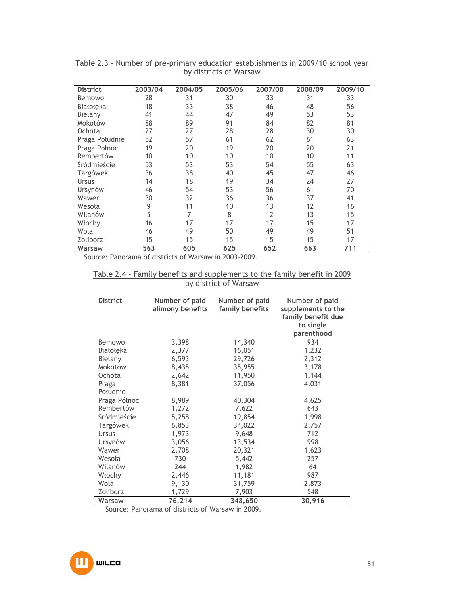| <b>District</b>           | 2003/04 | 2004/05 | 2005/06 | 2007/08 | 2008/09 | 2009/10 |
|---------------------------|---------|---------|---------|---------|---------|---------|
| Bemowo                    | 28      | 31      | 30      | 33      | 31      | 33      |
| Białołęka                 | 18      | 33      | 38      | 46      | 48      | 56      |
| Bielany                   | 41      | 44      | 47      | 49      | 53      | 53      |
| Mokotów                   | 88      | 89      | 91      | 84      | 82      | 81      |
| Ochota                    | 27      | 27      | 28      | 28      | 30      | 30      |
| Praga Południe            | 52      | 57      | 61      | 62      | 61      | 63      |
| Praga Północ              | 19      | 20      | 19      | 20      | 20      | 21      |
| Rembertów                 | 10      | 10      | 10      | 10      | 10      | 11      |
| <i><b>Sródmieście</b></i> | 53      | 53      | 53      | 54      | 55      | 63      |
| Targówek                  | 36      | 38      | 40      | 45      | 47      | 46      |
| Ursus                     | 14      | 18      | 19      | 34      | 24      | 27      |
| Ursynów                   | 46      | 54      | 53      | 56      | 61      | 70      |
| Wawer                     | 30      | 32      | 36      | 36      | 37      | 41      |
| Wesoła                    | 9       | 11      | 10      | 13      | 12      | 16      |
| Wilanów                   | 5       | 7       | 8       | 12      | 13      | 15      |
| Włochy                    | 16      | 17      | 17      | 17      | 15      | 17      |
| Wola                      | 46      | 49      | 50      | 49      | 49      | 51      |
| <b>Zoliborz</b>           | 15      | 15      | 15      | 15      | 15      | 17      |
| Warsaw                    | 563     | 605     | 625     | 652     | 663     | 711     |

Table 2.3 - Number of pre-primary education establishments in 2009/10 school year by districts of Warsaw

Source: Panorama of districts of Warsaw in 2003-2009.

| Table 2.4 - Family benefits and supplements to the family benefit in 2009 |  |  |                       |  |  |  |
|---------------------------------------------------------------------------|--|--|-----------------------|--|--|--|
|                                                                           |  |  | by district of Warsaw |  |  |  |

| <b>District</b>           | Number of paid<br>alimony benefits | Number of paid<br>family benefits | Number of paid<br>supplements to the<br>family benefit due<br>to single<br>parenthood |
|---------------------------|------------------------------------|-----------------------------------|---------------------------------------------------------------------------------------|
| Bemowo                    | 3,398                              | 14,340                            | 934                                                                                   |
| Białołęka                 | 2,377                              | 16,051                            | 1,232                                                                                 |
| Bielany                   | 6,593                              | 29,726                            | 2,312                                                                                 |
| Mokotów                   | 8,435                              | 35,955                            | 3,178                                                                                 |
| Ochota                    | 2,642                              | 11,950                            | 1,144                                                                                 |
| Praga                     | 8,381                              | 37,056                            | 4,031                                                                                 |
| Południe                  |                                    |                                   |                                                                                       |
| Praga Północ              | 8,989                              | 40,304                            | 4,625                                                                                 |
| Rembertów                 | 1,272                              | 7,622                             | 643                                                                                   |
| <i><b>Sródmieście</b></i> | 5,258                              | 19,854                            | 1,998                                                                                 |
| Targówek                  | 6,853                              | 34,022                            | 2,757                                                                                 |
| <b>Ursus</b>              | 1,973                              | 9,648                             | 712                                                                                   |
| Ursynów                   | 3,056                              | 13,534                            | 998                                                                                   |
| Wawer                     | 2,708                              | 20,321                            | 1,623                                                                                 |
| Wesoła                    | 730                                | 5,442                             | 257                                                                                   |
| Wilanów                   | 244                                | 1,982                             | 64                                                                                    |
| Włochy                    | 2,446                              | 11,181                            | 987                                                                                   |
| Wola                      | 9,130                              | 31,759                            | 2,873                                                                                 |
| Żoliborz                  | 1,729                              | 7,903                             | 548                                                                                   |
| Warsaw                    | 76,214                             | 348,650                           | 30,916                                                                                |

Source: Panorama of districts of Warsaw in 2009.

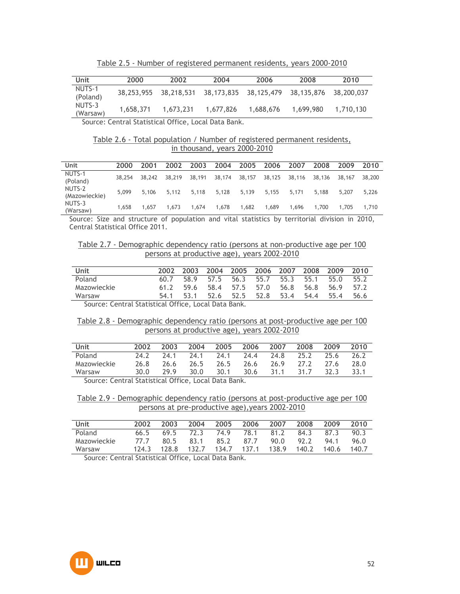| Unit               | 2000       | 2002       | 2004       | 2006      | 2008                             | 2010      |
|--------------------|------------|------------|------------|-----------|----------------------------------|-----------|
| NUTS-1<br>(Poland) | 38,253,955 | 38,218,531 | 38,173,835 |           | 38,125,479 38,135,876 38,200,037 |           |
| NUTS-3<br>(Warsaw) | 1,658,371  | 1,673,231  | 1,677,826  | 1,688,676 | 1.699.980                        | 1,710,130 |

Table 2.5 - Number of registered permanent residents, years 2000-2010

Source: Central Statistical Office, Local Data Bank.

### Table 2.6 - Total population / Number of registered permanent residents, in thousand, years 2000-2010

| Unit                    | 2000   | 2001   | 2002   | 2003   | 2004   |        | 2005 2006 2007 |        | 2008   | 2009   | 2010   |
|-------------------------|--------|--------|--------|--------|--------|--------|----------------|--------|--------|--------|--------|
| NUTS-1<br>(Poland)      | 38.254 | 38.242 | 38,219 | 38,191 | 38,174 | 38,157 | 38,125         | 38,116 | 38,136 | 38.167 | 38,200 |
| NUTS-2<br>(Mazowieckie) | 5.099  | 5.106  | 5.112  | 5.118  | 5.128  | 5,139  | 5.155          | 5.171  | 5.188  | 5.207  | 5.226  |
| NUTS-3<br>(Warsaw)      | 1.658  | 1.657  | 1.673  | 1.674  | 1,678  | 1.682  | 1.689          | 1.696  | 1.700  | 1.705  | 1.710  |

Source: Size and structure of population and vital statistics by territorial division in 2010, Central Statistical Office 2011.

| Table 2.7 - Demographic dependency ratio (persons at non-productive age per 100 |                                             |  |  |
|---------------------------------------------------------------------------------|---------------------------------------------|--|--|
|                                                                                 | persons at productive age), years 2002-2010 |  |  |

| Unit                                                 | 2002 | 2003 | 2004    |      | 2005 2006 2007 |      | 2008 2009 |      | 2010 |
|------------------------------------------------------|------|------|---------|------|----------------|------|-----------|------|------|
| Poland                                               | 60.7 |      | 589 575 |      | 56.3 55.7      | 55.3 | 55.1      | 55.O | 55.2 |
| Mazowieckie                                          | 61.2 | 59.6 | 58.4    | 57.5 | 57.0           | 56.8 | 56.8      | 56.9 | 57.2 |
| Warsaw                                               | 54.1 | 53.1 | 52.6    | 52.5 | 52.8           | 53.4 | 54.4      | 55.4 | 56.6 |
| Source: Central Statistical Office, Local Data Bank. |      |      |         |      |                |      |           |      |      |

### Table 2.8 - Demographic dependency ratio (persons at post-productive age per 100 persons at productive age), years 2002-2010

| Unit        | 2002 | 2003 | 2004 | 2005 | 2006 | 2007 | 2008 | 2009 | 2010 |
|-------------|------|------|------|------|------|------|------|------|------|
| Poland      | 24.2 | 74 1 | 24.1 | 24.1 | 24.4 | 24.8 | 25.2 | 25.6 | 26.2 |
| Mazowieckie | 26.8 | 26.6 | 26.5 | 26.5 | 26.6 | 26.9 | 27.2 | 27.6 | 28.0 |
| Warsaw      | 30.0 | 29.9 | 30.0 | 30.1 | 30.6 | 31.1 | 31.7 | 32.3 | 33.1 |

Source: Central Statistical Office, Local Data Bank.

Table 2.9 - Demographic dependency ratio (persons at post-productive age per 100 persons at pre-productive age),years 2002-2010

| Unit                                                     | 2002 | 2003 | 2004 | 2005 2006 |           | 2007                                    | 2008 | 2009        | 2010   |
|----------------------------------------------------------|------|------|------|-----------|-----------|-----------------------------------------|------|-------------|--------|
| Poland                                                   |      |      |      |           |           | 66.5 69.5 72.3 74.9 78.1 81.2 84.3 87.3 |      |             | - 90.3 |
| Mazowieckie                                              | 77.7 | 80.5 | 83.1 |           | 85.2 87.7 | 90.0                                    | 92.2 | 94.1        | 96.O   |
| Warsaw                                                   |      |      |      |           |           | 124.3 128.8 132.7 134.7 137.1 138.9     |      | 140.2 140.6 | 140.7  |
| C. C. C. C. L. British C. L. CO. L. L. L. L. L. L. D. L. |      |      |      |           |           |                                         |      |             |        |

Source: Central Statistical Office, Local Data Bank.

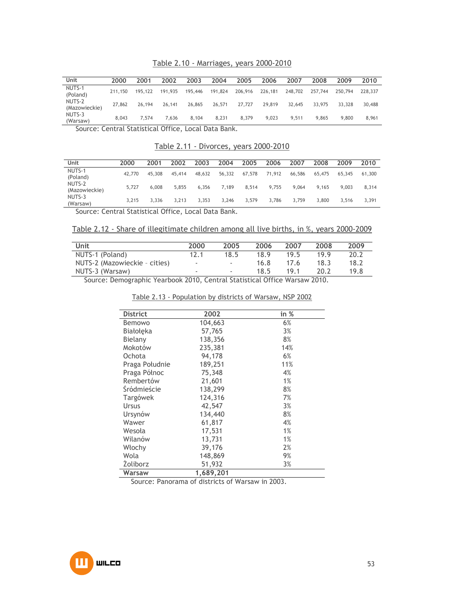# Table 2.10 - Marriages, years 2000-2010

| Unit                    | 2000    | 2001    | 2002    | 2003    | 2004    | 2005    | 2006    | 2007    | 2008    | 2009    | 2010    |
|-------------------------|---------|---------|---------|---------|---------|---------|---------|---------|---------|---------|---------|
| NUTS-1<br>(Poland)      | 211,150 | 195,122 | 191.935 | 195,446 | 191,824 | 206,916 | 226,181 | 248,702 | 257,744 | 250,794 | 228,337 |
| NUTS-2<br>(Mazowieckie) | 27,862  | 26,194  | 26,141  | 26,865  | 26,571  | 27,727  | 29,819  | 32.645  | 33,975  | 33,328  | 30,488  |
| NUTS-3<br>(Warsaw)      | 8,043   | 7.574   | 7.636   | 8.104   | 8.231   | 8,379   | 9.023   | 9.511   | 9.865   | 9,800   | 8.961   |

Source: Central Statistical Office, Local Data Bank.

#### Table 2.11 - Divorces, years 2000-2010

| Unit                    | 2000   | 2001   | 2002   | 2003   | 2004   | 2005   | 2006   | 2007   | 2008   | 2009   | 2010   |
|-------------------------|--------|--------|--------|--------|--------|--------|--------|--------|--------|--------|--------|
| NUTS-1<br>(Poland)      | 42,770 | 45,308 | 45,414 | 48.632 | 56,332 | 67.578 | 71,912 | 66,586 | 65,475 | 65,345 | 61,300 |
| NUTS-2<br>(Mazowieckie) | 5.727  | 6,008  | 5.855  | 6.356  | 7.189  | 8.514  | 9.755  | 9.064  | 9.165  | 9.003  | 8.314  |
| NUTS-3<br>(Warsaw)      | 3.215  | 3.336  | 3.213  | 3.353  | 3.246  | 3.579  | 3.786  | 3.759  | 3,800  | 3.516  | 3.391  |

Source: Central Statistical Office, Local Data Bank.

Table 2.12 - Share of illegitimate children among all live births, in %, years 2000-2009

| Unit                          | 2000                     | 2005                     | 2006 | 2007 | 2008 | 2009 |
|-------------------------------|--------------------------|--------------------------|------|------|------|------|
| NUTS-1 (Poland)               | 12.1                     | 18.5                     | 18.9 | 19.5 | 199  | 20.2 |
| NUTS-2 (Mazowieckie - cities) | $\overline{\phantom{a}}$ | $\overline{\phantom{a}}$ | 16.8 | 17.6 | 18.3 | 18.2 |
| NUTS-3 (Warsaw)               | $\overline{\phantom{a}}$ | $\overline{\phantom{a}}$ | 18.5 | 19 1 | ንበ ን | 19.8 |

Source: Demographic Yearbook 2010, Central Statistical Office Warsaw 2010.

| Table 2.13 - Population by districts of Warsaw, NSP 2002 |  |  |
|----------------------------------------------------------|--|--|

| <b>District</b> | 2002      | in % |
|-----------------|-----------|------|
| Bemowo          | 104,663   | 6%   |
| Białołęka       | 57,765    | 3%   |
| Bielany         | 138,356   | 8%   |
| Mokotów         | 235,381   | 14%  |
| Ochota          | 94,178    | 6%   |
| Praga Południe  | 189,251   | 11%  |
| Praga Północ    | 75,348    | 4%   |
| Rembertów       | 21,601    | 1%   |
| Śródmieście     | 138,299   | 8%   |
| Targówek        | 124,316   | 7%   |
| Ursus           | 42,547    | 3%   |
| Ursynów         | 134,440   | 8%   |
| Wawer           | 61,817    | 4%   |
| Wesoła          | 17,531    | 1%   |
| Wilanów         | 13,731    | 1%   |
| Włochy          | 39,176    | 2%   |
| Wola            | 148,869   | 9%   |
| <b>Zoliborz</b> | 51,932    | 3%   |
| Warsaw          | 1,689,201 |      |

Source: Panorama of districts of Warsaw in 2003.

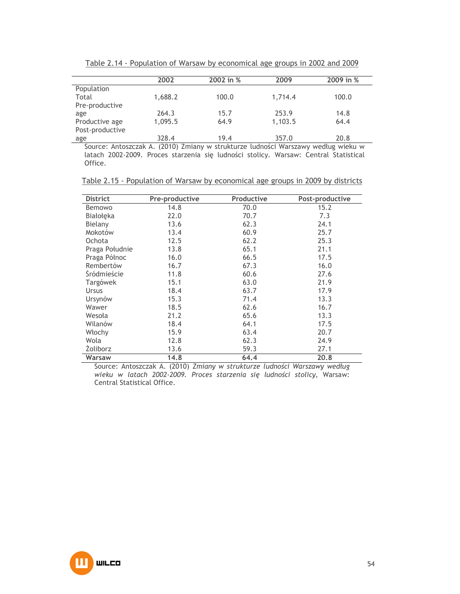|                 | 2002    | 2002 in % | 2009    | 2009 in % |
|-----------------|---------|-----------|---------|-----------|
| Population      |         |           |         |           |
| Total           | 1,688.2 | 100.0     | 1,714.4 | 100.0     |
| Pre-productive  |         |           |         |           |
| age             | 264.3   | 15.7      | 253.9   | 14.8      |
| Productive age  | 1,095.5 | 64.9      | 1,103.5 | 64.4      |
| Post-productive |         |           |         |           |
| age             | 328.4   | 19.4      | 357.0   | 20.8      |

Table 2.14 - Population of Warsaw by economical age groups in 2002 and 2009

Source: Antoszczak A. (2010) Zmiany w strukturze ludności Warszawy według wieku w latach 2002-2009. Proces starzenia się ludności stolicy. Warsaw: Central Statistical Office.

| Table 2.15 - Population of Warsaw by economical age groups in 2009 by districts |  |  |  |
|---------------------------------------------------------------------------------|--|--|--|
|---------------------------------------------------------------------------------|--|--|--|

| <b>District</b> | Pre-productive | Productive | Post-productive |
|-----------------|----------------|------------|-----------------|
| Bemowo          | 14.8           | 70.0       | 15.2            |
| Białołęka       | 22.0           | 70.7       | 7.3             |
| Bielany         | 13.6           | 62.3       | 24.1            |
| Mokotów         | 13.4           | 60.9       | 25.7            |
| Ochota          | 12.5           | 62.2       | 25.3            |
| Praga Południe  | 13.8           | 65.1       | 21.1            |
| Praga Północ    | 16.0           | 66.5       | 17.5            |
| Rembertów       | 16.7           | 67.3       | 16.0            |
| Śródmieście     | 11.8           | 60.6       | 27.6            |
| Targówek        | 15.1           | 63.0       | 21.9            |
| <b>Ursus</b>    | 18.4           | 63.7       | 17.9            |
| Ursynów         | 15.3           | 71.4       | 13.3            |
| Wawer           | 18.5           | 62.6       | 16.7            |
| Wesoła          | 21.2           | 65.6       | 13.3            |
| Wilanów         | 18.4           | 64.1       | 17.5            |
| Włochy          | 15.9           | 63.4       | 20.7            |
| Wola            | 12.8           | 62.3       | 24.9            |
| <b>Zoliborz</b> | 13.6           | 59.3       | 27.1            |
| Warsaw          | 14.8           | 64.4       | 20.8            |

Source: Antoszczak A. (2010) *Zmiany w strukturze ludności Warszawy według wieku w latach 2002-2009. Proces starzenia się ludności stolicy,* Warsaw: Central Statistical Office.

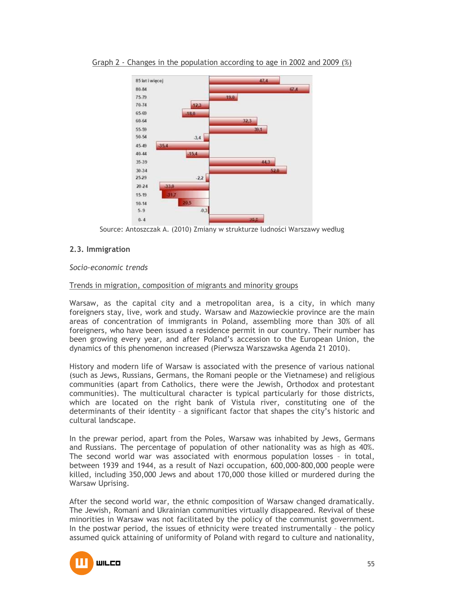

Graph 2 - Changes in the population according to age in 2002 and 2009 (%)

Source: Antoszczak A. (2010) Zmiany w strukturze ludności Warszawy według

# **2.3. Immigration**

*Socio-economic trends* 

### Trends in migration, composition of migrants and minority groups

Warsaw, as the capital city and a metropolitan area, is a city, in which many foreigners stay, live, work and study. Warsaw and Mazowieckie province are the main areas of concentration of immigrants in Poland, assembling more than 30% of all foreigners, who have been issued a residence permit in our country. Their number has been growing every year, and after Poland's accession to the European Union, the dynamics of this phenomenon increased (Pierwsza Warszawska Agenda 21 2010).

History and modern life of Warsaw is associated with the presence of various national (such as Jews, Russians, Germans, the Romani people or the Vietnamese) and religious communities (apart from Catholics, there were the Jewish, Orthodox and protestant communities). The multicultural character is typical particularly for those districts, which are located on the right bank of Vistula river, constituting one of the determinants of their identity – a significant factor that shapes the city's historic and cultural landscape.

In the prewar period, apart from the Poles, Warsaw was inhabited by Jews, Germans and Russians. The percentage of population of other nationality was as high as 40%. The second world war was associated with enormous population losses – in total, between 1939 and 1944, as a result of Nazi occupation, 600,000-800,000 people were killed, including 350,000 Jews and about 170,000 those killed or murdered during the Warsaw Uprising.

After the second world war, the ethnic composition of Warsaw changed dramatically. The Jewish, Romani and Ukrainian communities virtually disappeared. Revival of these minorities in Warsaw was not facilitated by the policy of the communist government. In the postwar period, the issues of ethnicity were treated instrumentally – the policy assumed quick attaining of uniformity of Poland with regard to culture and nationality,

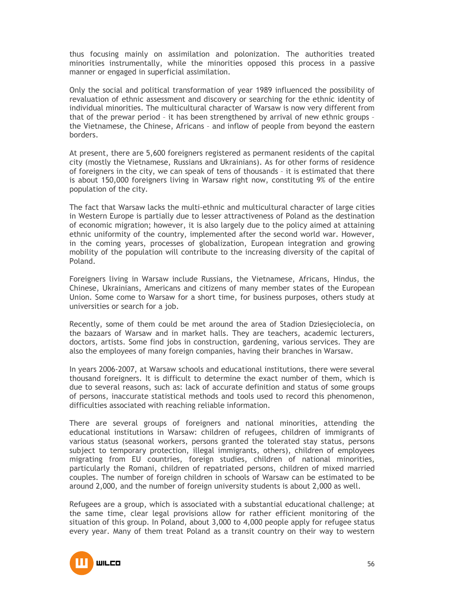thus focusing mainly on assimilation and polonization. The authorities treated minorities instrumentally, while the minorities opposed this process in a passive manner or engaged in superficial assimilation.

Only the social and political transformation of year 1989 influenced the possibility of revaluation of ethnic assessment and discovery or searching for the ethnic identity of individual minorities. The multicultural character of Warsaw is now very different from that of the prewar period – it has been strengthened by arrival of new ethnic groups – the Vietnamese, the Chinese, Africans – and inflow of people from beyond the eastern borders.

At present, there are 5,600 foreigners registered as permanent residents of the capital city (mostly the Vietnamese, Russians and Ukrainians). As for other forms of residence of foreigners in the city, we can speak of tens of thousands – it is estimated that there is about 150,000 foreigners living in Warsaw right now, constituting 9% of the entire population of the city.

The fact that Warsaw lacks the multi-ethnic and multicultural character of large cities in Western Europe is partially due to lesser attractiveness of Poland as the destination of economic migration; however, it is also largely due to the policy aimed at attaining ethnic uniformity of the country, implemented after the second world war. However, in the coming years, processes of globalization, European integration and growing mobility of the population will contribute to the increasing diversity of the capital of Poland.

Foreigners living in Warsaw include Russians, the Vietnamese, Africans, Hindus, the Chinese, Ukrainians, Americans and citizens of many member states of the European Union. Some come to Warsaw for a short time, for business purposes, others study at universities or search for a job.

Recently, some of them could be met around the area of Stadion Dziesięciolecia, on the bazaars of Warsaw and in market halls. They are teachers, academic lecturers, doctors, artists. Some find jobs in construction, gardening, various services. They are also the employees of many foreign companies, having their branches in Warsaw.

In years 2006-2007, at Warsaw schools and educational institutions, there were several thousand foreigners. It is difficult to determine the exact number of them, which is due to several reasons, such as: lack of accurate definition and status of some groups of persons, inaccurate statistical methods and tools used to record this phenomenon, difficulties associated with reaching reliable information.

There are several groups of foreigners and national minorities, attending the educational institutions in Warsaw: children of refugees, children of immigrants of various status (seasonal workers, persons granted the tolerated stay status, persons subject to temporary protection, illegal immigrants, others), children of employees migrating from EU countries, foreign studies, children of national minorities, particularly the Romani, children of repatriated persons, children of mixed married couples. The number of foreign children in schools of Warsaw can be estimated to be around 2,000, and the number of foreign university students is about 2,000 as well.

Refugees are a group, which is associated with a substantial educational challenge; at the same time, clear legal provisions allow for rather efficient monitoring of the situation of this group. In Poland, about 3,000 to 4,000 people apply for refugee status every year. Many of them treat Poland as a transit country on their way to western

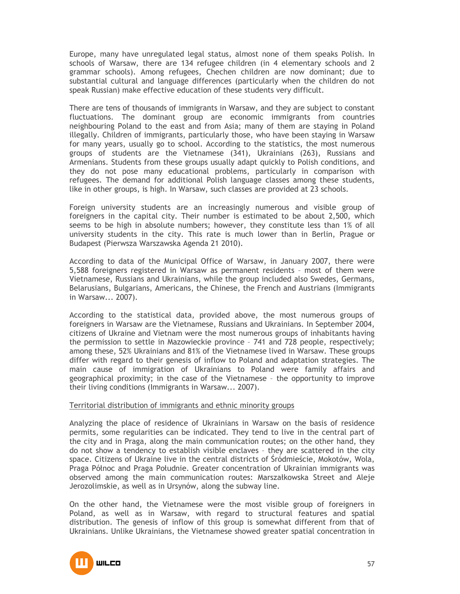Europe, many have unregulated legal status, almost none of them speaks Polish. In schools of Warsaw, there are 134 refugee children (in 4 elementary schools and 2 grammar schools). Among refugees, Chechen children are now dominant; due to substantial cultural and language differences (particularly when the children do not speak Russian) make effective education of these students very difficult.

There are tens of thousands of immigrants in Warsaw, and they are subject to constant fluctuations. The dominant group are economic immigrants from countries neighbouring Poland to the east and from Asia; many of them are staying in Poland illegally. Children of immigrants, particularly those, who have been staying in Warsaw for many years, usually go to school. According to the statistics, the most numerous groups of students are the Vietnamese (341), Ukrainians (263), Russians and Armenians. Students from these groups usually adapt quickly to Polish conditions, and they do not pose many educational problems, particularly in comparison with refugees. The demand for additional Polish language classes among these students, like in other groups, is high. In Warsaw, such classes are provided at 23 schools.

Foreign university students are an increasingly numerous and visible group of foreigners in the capital city. Their number is estimated to be about 2,500, which seems to be high in absolute numbers; however, they constitute less than 1% of all university students in the city. This rate is much lower than in Berlin, Prague or Budapest (Pierwsza Warszawska Agenda 21 2010).

According to data of the Municipal Office of Warsaw, in January 2007, there were 5,588 foreigners registered in Warsaw as permanent residents – most of them were Vietnamese, Russians and Ukrainians, while the group included also Swedes, Germans, Belarusians, Bulgarians, Americans, the Chinese, the French and Austrians (Immigrants in Warsaw... 2007).

According to the statistical data, provided above, the most numerous groups of foreigners in Warsaw are the Vietnamese, Russians and Ukrainians. In September 2004, citizens of Ukraine and Vietnam were the most numerous groups of inhabitants having the permission to settle in Mazowieckie province – 741 and 728 people, respectively; among these, 52% Ukrainians and 81% of the Vietnamese lived in Warsaw. These groups differ with regard to their genesis of inflow to Poland and adaptation strategies. The main cause of immigration of Ukrainians to Poland were family affairs and geographical proximity; in the case of the Vietnamese – the opportunity to improve their living conditions (Immigrants in Warsaw... 2007).

### Territorial distribution of immigrants and ethnic minority groups

Analyzing the place of residence of Ukrainians in Warsaw on the basis of residence permits, some regularities can be indicated. They tend to live in the central part of the city and in Praga, along the main communication routes; on the other hand, they do not show a tendency to establish visible enclaves – they are scattered in the city space. Citizens of Ukraine live in the central districts of Śródmieście, Mokotów, Wola, Praga Północ and Praga Południe. Greater concentration of Ukrainian immigrants was observed among the main communication routes: Marszałkowska Street and Aleje Jerozolimskie, as well as in Ursynów, along the subway line.

On the other hand, the Vietnamese were the most visible group of foreigners in Poland, as well as in Warsaw, with regard to structural features and spatial distribution. The genesis of inflow of this group is somewhat different from that of Ukrainians. Unlike Ukrainians, the Vietnamese showed greater spatial concentration in

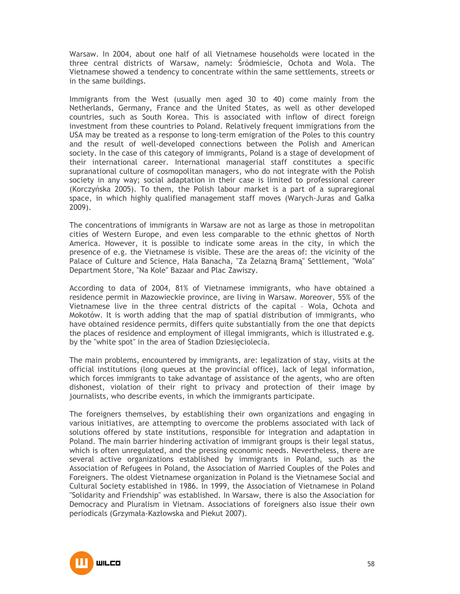Warsaw. In 2004, about one half of all Vietnamese households were located in the three central districts of Warsaw, namely: Śródmieście, Ochota and Wola. The Vietnamese showed a tendency to concentrate within the same settlements, streets or in the same buildings.

Immigrants from the West (usually men aged 30 to 40) come mainly from the Netherlands, Germany, France and the United States, as well as other developed countries, such as South Korea. This is associated with inflow of direct foreign investment from these countries to Poland. Relatively frequent immigrations from the USA may be treated as a response to long-term emigration of the Poles to this country and the result of well-developed connections between the Polish and American society. In the case of this category of immigrants, Poland is a stage of development of their international career. International managerial staff constitutes a specific supranational culture of cosmopolitan managers, who do not integrate with the Polish society in any way; social adaptation in their case is limited to professional career (Korczyńska 2005). To them, the Polish labour market is a part of a supraregional space, in which highly qualified management staff moves (Warych-Juras and Gałka 2009).

The concentrations of immigrants in Warsaw are not as large as those in metropolitan cities of Western Europe, and even less comparable to the ethnic ghettos of North America. However, it is possible to indicate some areas in the city, in which the presence of e.g. the Vietnamese is visible. These are the areas of: the vicinity of the Palace of Culture and Science, Hala Banacha, "Za śelazną Bramą" Settlement, "Wola" Department Store, "Na Kole" Bazaar and Plac Zawiszy.

According to data of 2004, 81% of Vietnamese immigrants, who have obtained a residence permit in Mazowieckie province, are living in Warsaw. Moreover, 55% of the Vietnamese live in the three central districts of the capital – Wola, Ochota and Mokotów. It is worth adding that the map of spatial distribution of immigrants, who have obtained residence permits, differs quite substantially from the one that depicts the places of residence and employment of illegal immigrants, which is illustrated e.g. by the "white spot" in the area of Stadion Dziesięciolecia.

The main problems, encountered by immigrants, are: legalization of stay, visits at the official institutions (long queues at the provincial office), lack of legal information, which forces immigrants to take advantage of assistance of the agents, who are often dishonest, violation of their right to privacy and protection of their image by journalists, who describe events, in which the immigrants participate.

The foreigners themselves, by establishing their own organizations and engaging in various initiatives, are attempting to overcome the problems associated with lack of solutions offered by state institutions, responsible for integration and adaptation in Poland. The main barrier hindering activation of immigrant groups is their legal status, which is often unregulated, and the pressing economic needs. Nevertheless, there are several active organizations established by immigrants in Poland, such as the Association of Refugees in Poland, the Association of Married Couples of the Poles and Foreigners. The oldest Vietnamese organization in Poland is the Vietnamese Social and Cultural Society established in 1986. In 1999, the Association of Vietnamese in Poland "Solidarity and Friendship" was established. In Warsaw, there is also the Association for Democracy and Pluralism in Vietnam. Associations of foreigners also issue their own periodicals (Grzymała-Kazłowska and Piekut 2007).

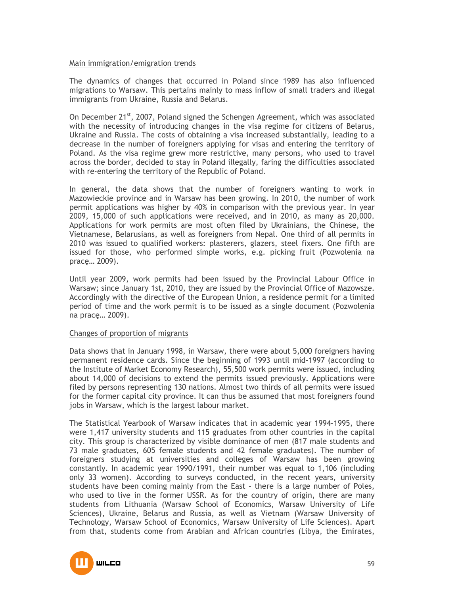### Main immigration/emigration trends

The dynamics of changes that occurred in Poland since 1989 has also influenced migrations to Warsaw. This pertains mainly to mass inflow of small traders and illegal immigrants from Ukraine, Russia and Belarus.

On December  $21^{st}$ , 2007, Poland signed the Schengen Agreement, which was associated with the necessity of introducing changes in the visa regime for citizens of Belarus, Ukraine and Russia. The costs of obtaining a visa increased substantially, leading to a decrease in the number of foreigners applying for visas and entering the territory of Poland. As the visa regime grew more restrictive, many persons, who used to travel across the border, decided to stay in Poland illegally, faring the difficulties associated with re-entering the territory of the Republic of Poland.

In general, the data shows that the number of foreigners wanting to work in Mazowieckie province and in Warsaw has been growing. In 2010, the number of work permit applications was higher by 40% in comparison with the previous year. In year 2009, 15,000 of such applications were received, and in 2010, as many as 20,000. Applications for work permits are most often filed by Ukrainians, the Chinese, the Vietnamese, Belarusians, as well as foreigners from Nepal. One third of all permits in 2010 was issued to qualified workers: plasterers, glazers, steel fixers. One fifth are issued for those, who performed simple works, e.g. picking fruit (Pozwolenia na pracę… 2009).

Until year 2009, work permits had been issued by the Provincial Labour Office in Warsaw; since January 1st, 2010, they are issued by the Provincial Office of Mazowsze. Accordingly with the directive of the European Union, a residence permit for a limited period of time and the work permit is to be issued as a single document (Pozwolenia na pracę… 2009).

### Changes of proportion of migrants

Data shows that in January 1998, in Warsaw, there were about 5,000 foreigners having permanent residence cards. Since the beginning of 1993 until mid-1997 (according to the Institute of Market Economy Research), 55,500 work permits were issued, including about 14,000 of decisions to extend the permits issued previously. Applications were filed by persons representing 130 nations. Almost two thirds of all permits were issued for the former capital city province. It can thus be assumed that most foreigners found jobs in Warsaw, which is the largest labour market.

The Statistical Yearbook of Warsaw indicates that in academic year 1994–1995, there were 1,417 university students and 115 graduates from other countries in the capital city. This group is characterized by visible dominance of men (817 male students and 73 male graduates, 605 female students and 42 female graduates). The number of foreigners studying at universities and colleges of Warsaw has been growing constantly. In academic year 1990/1991, their number was equal to 1,106 (including only 33 women). According to surveys conducted, in the recent years, university students have been coming mainly from the East – there is a large number of Poles, who used to live in the former USSR. As for the country of origin, there are many students from Lithuania (Warsaw School of Economics, Warsaw University of Life Sciences), Ukraine, Belarus and Russia, as well as Vietnam (Warsaw University of Technology, Warsaw School of Economics, Warsaw University of Life Sciences). Apart from that, students come from Arabian and African countries (Libya, the Emirates,

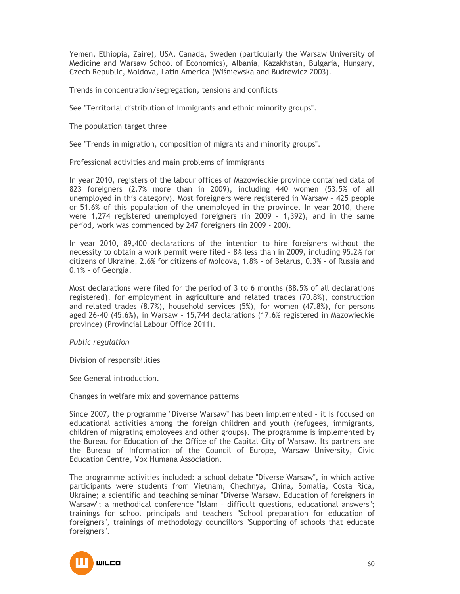Yemen, Ethiopia, Zaire), USA, Canada, Sweden (particularly the Warsaw University of Medicine and Warsaw School of Economics), Albania, Kazakhstan, Bulgaria, Hungary, Czech Republic, Moldova, Latin America (Wiśniewska and Budrewicz 2003).

### Trends in concentration/segregation, tensions and conflicts

See "Territorial distribution of immigrants and ethnic minority groups".

#### The population target three

See "Trends in migration, composition of migrants and minority groups".

#### Professional activities and main problems of immigrants

In year 2010, registers of the labour offices of Mazowieckie province contained data of 823 foreigners (2.7% more than in 2009), including 440 women (53.5% of all unemployed in this category). Most foreigners were registered in Warsaw – 425 people or 51.6% of this population of the unemployed in the province. In year 2010, there were 1,274 registered unemployed foreigners (in 2009 – 1,392), and in the same period, work was commenced by 247 foreigners (in 2009 - 200).

In year 2010, 89,400 declarations of the intention to hire foreigners without the necessity to obtain a work permit were filed – 8% less than in 2009, including 95.2% for citizens of Ukraine, 2.6% for citizens of Moldova, 1.8% - of Belarus, 0.3% - of Russia and 0.1% - of Georgia.

Most declarations were filed for the period of 3 to 6 months (88.5% of all declarations registered), for employment in agriculture and related trades (70.8%), construction and related trades (8.7%), household services (5%), for women (47.8%), for persons aged 26-40 (45.6%), in Warsaw – 15,744 declarations (17.6% registered in Mazowieckie province) (Provincial Labour Office 2011).

### *Public regulation*

#### Division of responsibilities

See General introduction.

#### Changes in welfare mix and governance patterns

Since 2007, the programme "Diverse Warsaw" has been implemented – it is focused on educational activities among the foreign children and youth (refugees, immigrants, children of migrating employees and other groups). The programme is implemented by the Bureau for Education of the Office of the Capital City of Warsaw. Its partners are the Bureau of Information of the Council of Europe, Warsaw University, Civic Education Centre, Vox Humana Association.

The programme activities included: a school debate "Diverse Warsaw", in which active participants were students from Vietnam, Chechnya, China, Somalia, Costa Rica, Ukraine; a scientific and teaching seminar "Diverse Warsaw. Education of foreigners in Warsaw"; a methodical conference "Islam – difficult questions, educational answers"; trainings for school principals and teachers "School preparation for education of foreigners", trainings of methodology councillors "Supporting of schools that educate foreigners".

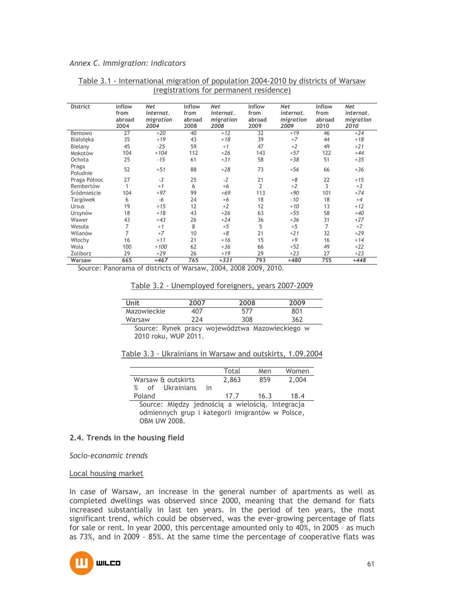#### *Annex C. Immigration: indicators*

| <b>District</b> | Inflow          | <b>Net</b> | Inflow | <b>Net</b> | Inflow | <b>Net</b> | Inflow | <b>Net</b> |
|-----------------|-----------------|------------|--------|------------|--------|------------|--------|------------|
|                 | from            | internat.  | from   | internat.  | from   | internat.  | from   | internat.  |
|                 | abroad          | migration  | abroad | migration  | abroad | migration  | abroad | migration  |
|                 | 2004            | 2004       | 2008   | 2008       | 2009   | 2009       | 2010   | 2010       |
| Bemowo          | $\overline{27}$ | $+20$      | 40     | $+12$      | 32     | $+19$      | 46     | $+24$      |
| Białołeka       | 35              | $+19$      | 43     | $+18$      | 39     | $+7$       | 44     | $+18$      |
| Bielany         | 45              | $-25$      | 59     | $+1$       | 47     | $+2$       | 49     | $+21$      |
| Mokotów         | 104             | $+104$     | 112    | $+26$      | 143    | $+57$      | 122    | $+44$      |
| Ochota          | 25              | $-15$      | 61     | $+31$      | 58     | $+38$      | 51     | $+35$      |
| Praga           | 52              | $+51$      | 88     | $+28$      | 73     | $+56$      | 66     | $+36$      |
| Południe        |                 |            |        |            |        |            |        |            |
| Praga Północ    | 27              | $-3$       | 25     | $-2$       | 21     | $+8$       | 22     | $+15$      |
| Rembertów       | $\mathbf{1}$    | $+1$       | 6      | $+6$       | 2      | $+2$       | 3      | $+3$       |
| Śródmieście     | 104             | $+97$      | 99     | $+69$      | 113    | $+90$      | 101    | $+74$      |
| Targówek        | 6               | $-6$       | 24     | $+6$       | 18     | $-10$      | 18     | $+4$       |
| Ursus           | 19              | $+15$      | 12     | $+2$       | 12     | $+10$      | 13     | $+12$      |
| Ursynów         | 18              | $+18$      | 43     | $+26$      | 63     | $+55$      | 58     | $+40$      |
| Wawer           | 43              | $+43$      | 26     | $+24$      | 36     | $+36$      | 31     | $+27$      |
| Wesoła          | 7               | $+1$       | 8      | $+5$       | 5      | $+5$       | 7      | $+7$       |
| Wilanów         | 7               | $+7$       | 10     | $+8$       | 21     | $+21$      | 32     | $+29$      |
| Włochy          | 16              | $+11$      | 21     | $+16$      | 15     | $+9$       | 16     | $+14$      |
| Wola            | 100             | $+100$     | 62     | $+36$      | 66     | $+52$      | 49     | $+22$      |
| Žoliborz        | 29              | $+29$      | 26     | $+19$      | 29     | $+23$      | 27     | $+23$      |
| Warsaw          | 665             | $+467$     | 765    | $+331$     | 793    | $+480$     | 755    | $+448$     |

### Table 3.1 - International migration of population 2004-2010 by districts of Warsaw (registrations for permanent residence)

Source: Panorama of districts of Warsaw, 2004, 2008 2009, 2010.

Table 3.2 - Unemployed foreigners, years 2007-2009

| <b>Unit</b> | 2007 | 2008 | 2009 |
|-------------|------|------|------|
| Mazowieckie | 407  | 577  | 801  |
| Warsaw      | 224  | 308  | 362  |

Source: Rynek pracy województwa Mazowieckiego w 2010 roku, WUP 2011.

| Table 3.3 - Ukrainians in Warsaw and outskirts, 1.09.2004 |  |
|-----------------------------------------------------------|--|
|-----------------------------------------------------------|--|

|                                                  |    | Total | Men  | Women |
|--------------------------------------------------|----|-------|------|-------|
| Warsaw & outskirts                               |    | 2.863 | 859  | 2.004 |
| Ukrainians<br>$\%$<br>of                         | ın |       |      |       |
| Poland                                           |    | 17.7  | 16.3 | 18.4  |
| $\sim$ $\sim$ $\sim$ $\sim$ $\sim$ $\sim$ $\sim$ |    |       |      |       |

Source: Między jednością a wielością. Integracja odmiennych grup i kategorii imigrantów w Polsce, OBM UW 2008.

### **2.4. Trends in the housing field**

*Socio-economic trends* 

#### Local housing market

In case of Warsaw, an increase in the general number of apartments as well as completed dwellings was observed since 2000, meaning that the demand for flats increased substantially in last ten years. In the period of ten years, the most significant trend, which could be observed, was the ever-growing percentage of flats for sale or rent. In year 2000, this percentage amounted only to 40%, in 2005 – as much as 73%, and in 2009 – 85%. At the same time the percentage of cooperative flats was

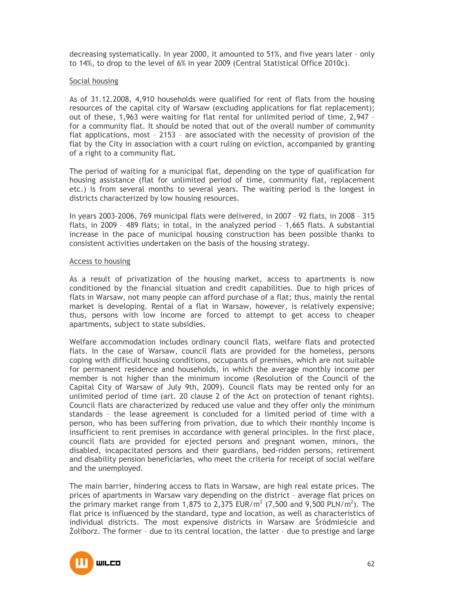decreasing systematically. In year 2000, it amounted to 51%, and five years later – only to 14%, to drop to the level of 6% in year 2009 (Central Statistical Office 2010c).

### Social housing

As of 31.12.2008, 4,910 households were qualified for rent of flats from the housing resources of the capital city of Warsaw (excluding applications for flat replacement); out of these, 1,963 were waiting for flat rental for unlimited period of time, 2,947 – for a community flat. It should be noted that out of the overall number of community flat applications, most – 2153 – are associated with the necessity of provision of the flat by the City in association with a court ruling on eviction, accompanied by granting of a right to a community flat.

The period of waiting for a municipal flat, depending on the type of qualification for housing assistance (flat for unlimited period of time, community flat, replacement etc.) is from several months to several years. The waiting period is the longest in districts characterized by low housing resources.

In years 2003-2006, 769 municipal flats were delivered, in 2007 – 92 flats, in 2008 – 315 flats, in 2009 – 489 flats; in total, in the analyzed period – 1,665 flats. A substantial increase in the pace of municipal housing construction has been possible thanks to consistent activities undertaken on the basis of the housing strategy.

### Access to housing

As a result of privatization of the housing market, access to apartments is now conditioned by the financial situation and credit capabilities. Due to high prices of flats in Warsaw, not many people can afford purchase of a flat; thus, mainly the rental market is developing. Rental of a flat in Warsaw, however, is relatively expensive; thus, persons with low income are forced to attempt to get access to cheaper apartments, subject to state subsidies.

Welfare accommodation includes ordinary council flats, welfare flats and protected flats. In the case of Warsaw, council flats are provided for the homeless, persons coping with difficult housing conditions, occupants of premises, which are not suitable for permanent residence and households, in which the average monthly income per member is not higher than the minimum income (Resolution of the Council of the Capital City of Warsaw of July 9th, 2009). Council flats may be rented only for an unlimited period of time (art. 20 clause 2 of the Act on protection of tenant rights). Council flats are characterized by reduced use value and they offer only the minimum standards – the lease agreement is concluded for a limited period of time with a person, who has been suffering from privation, due to which their monthly income is insufficient to rent premises in accordance with general principles. In the first place, council flats are provided for ejected persons and pregnant women, minors, the disabled, incapacitated persons and their guardians, bed-ridden persons, retirement and disability pension beneficiaries, who meet the criteria for receipt of social welfare and the unemployed.

The main barrier, hindering access to flats in Warsaw, are high real estate prices. The prices of apartments in Warsaw vary depending on the district – average flat prices on the primary market range from 1,875 to 2,375 EUR/m<sup>2</sup> (7,500 and 9,500 PLN/m<sup>2</sup>). The flat price is influenced by the standard, type and location, as well as characteristics of individual districts. The most expensive districts in Warsaw are Śródmieście and śoliborz. The former – due to its central location, the latter – due to prestige and large

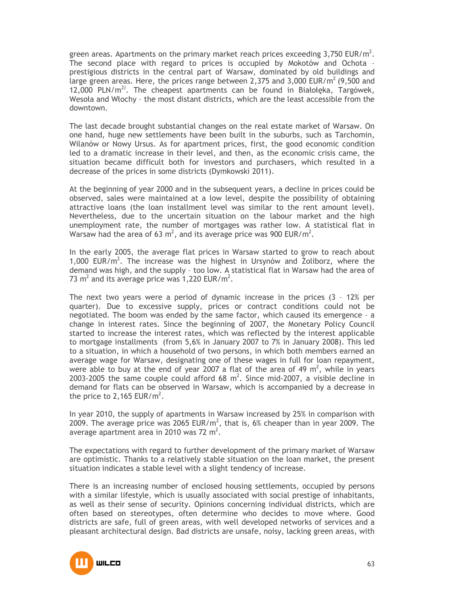green areas. Apartments on the primary market reach prices exceeding 3,750 EUR/m<sup>2</sup>. The second place with regard to prices is occupied by Mokotów and Ochota – prestigious districts in the central part of Warsaw, dominated by old buildings and large green areas. Here, the prices range between 2,375 and 3,000 EUR/ $m^2$  (9,500 and 12,000 PLN/ $m<sup>2</sup>$ . The cheapest apartments can be found in Białołeka, Targówek, Wesoła and Włochy – the most distant districts, which are the least accessible from the downtown.

The last decade brought substantial changes on the real estate market of Warsaw. On one hand, huge new settlements have been built in the suburbs, such as Tarchomin, Wilanów or Nowy Ursus. As for apartment prices, first, the good economic condition led to a dramatic increase in their level, and then, as the economic crisis came, the situation became difficult both for investors and purchasers, which resulted in a decrease of the prices in some districts (Dymkowski 2011).

At the beginning of year 2000 and in the subsequent years, a decline in prices could be observed, sales were maintained at a low level, despite the possibility of obtaining attractive loans (the loan installment level was similar to the rent amount level). Nevertheless, due to the uncertain situation on the labour market and the high unemployment rate, the number of mortgages was rather low. A statistical flat in Warsaw had the area of 63 m<sup>2</sup>, and its average price was 900 EUR/m<sup>2</sup>.

In the early 2005, the average flat prices in Warsaw started to grow to reach about 1,000 EUR/ $m^2$ . The increase was the highest in Ursynów and  $\overline{2}$ oliborz, where the demand was high, and the supply – too low. A statistical flat in Warsaw had the area of 73  $m^2$  and its average price was 1,220 EUR/ $m^2$ .

The next two years were a period of dynamic increase in the prices (3 – 12% per quarter). Due to excessive supply, prices or contract conditions could not be negotiated. The boom was ended by the same factor, which caused its emergence – a change in interest rates. Since the beginning of 2007, the Monetary Policy Council started to increase the interest rates, which was reflected by the interest applicable to mortgage installments (from 5,6% in January 2007 to 7% in January 2008). This led to a situation, in which a household of two persons, in which both members earned an average wage for Warsaw, designating one of these wages in full for loan repayment, were able to buy at the end of year 2007 a flat of the area of 49  $m^2$ , while in years 2003-2005 the same couple could afford 68  $m^2$ . Since mid-2007, a visible decline in demand for flats can be observed in Warsaw, which is accompanied by a decrease in the price to 2,165 EUR/ $m^2$ .

In year 2010, the supply of apartments in Warsaw increased by 25% in comparison with 2009. The average price was 2065 EUR/m<sup>2</sup>, that is, 6% cheaper than in year 2009. The average apartment area in 2010 was 72 m<sup>2</sup>.

The expectations with regard to further development of the primary market of Warsaw are optimistic. Thanks to a relatively stable situation on the loan market, the present situation indicates a stable level with a slight tendency of increase.

There is an increasing number of enclosed housing settlements, occupied by persons with a similar lifestyle, which is usually associated with social prestige of inhabitants, as well as their sense of security. Opinions concerning individual districts, which are often based on stereotypes, often determine who decides to move where. Good districts are safe, full of green areas, with well developed networks of services and a pleasant architectural design. Bad districts are unsafe, noisy, lacking green areas, with

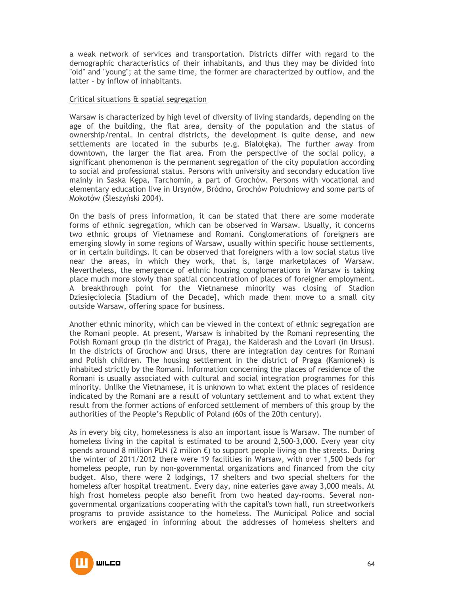a weak network of services and transportation. Districts differ with regard to the demographic characteristics of their inhabitants, and thus they may be divided into "old" and "young"; at the same time, the former are characterized by outflow, and the latter – by inflow of inhabitants.

### Critical situations & spatial segregation

Warsaw is characterized by high level of diversity of living standards, depending on the age of the building, the flat area, density of the population and the status of ownership/rental. In central districts, the development is quite dense, and new settlements are located in the suburbs (e.g. Białołęka). The further away from downtown, the larger the flat area. From the perspective of the social policy, a significant phenomenon is the permanent segregation of the city population according to social and professional status. Persons with university and secondary education live mainly in Saska Kępa, Tarchomin, a part of Grochów. Persons with vocational and elementary education live in Ursynów, Bródno, Grochów Południowy and some parts of Mokotów (Śleszyński 2004).

On the basis of press information, it can be stated that there are some moderate forms of ethnic segregation, which can be observed in Warsaw. Usually, it concerns two ethnic groups of Vietnamese and Romani. Conglomerations of foreigners are emerging slowly in some regions of Warsaw, usually within specific house settlements, or in certain buildings. It can be observed that foreigners with a low social status live near the areas, in which they work, that is, large marketplaces of Warsaw. Nevertheless, the emergence of ethnic housing conglomerations in Warsaw is taking place much more slowly than spatial concentration of places of foreigner employment. A breakthrough point for the Vietnamese minority was closing of Stadion Dziesięciolecia [Stadium of the Decade], which made them move to a small city outside Warsaw, offering space for business.

Another ethnic minority, which can be viewed in the context of ethnic segregation are the Romani people. At present, Warsaw is inhabited by the Romani representing the Polish Romani group (in the district of Praga), the Kalderash and the Lovari (in Ursus). In the districts of Grochow and Ursus, there are integration day centres for Romani and Polish children. The housing settlement in the district of Praga (Kamionek) is inhabited strictly by the Romani. Information concerning the places of residence of the Romani is usually associated with cultural and social integration programmes for this minority. Unlike the Vietnamese, it is unknown to what extent the places of residence indicated by the Romani are a result of voluntary settlement and to what extent they result from the former actions of enforced settlement of members of this group by the authorities of the People's Republic of Poland (60s of the 20th century).

As in every big city, homelessness is also an important issue is Warsaw. The number of homeless living in the capital is estimated to be around 2,500-3,000. Every year city spends around 8 million PLN (2 milion  $\epsilon$ ) to support people living on the streets. During the winter of 2011/2012 there were 19 facilities in Warsaw, with over 1,500 beds for homeless people, run by non-governmental organizations and financed from the city budget. Also, there were 2 lodgings, 17 shelters and two special shelters for the homeless after hospital treatment. Every day, nine eateries gave away 3,000 meals. At high frost homeless people also benefit from two heated day-rooms. Several nongovernmental organizations cooperating with the capital's town hall, run streetworkers programs to provide assistance to the homeless. The Municipal Police and social workers are engaged in informing about the addresses of homeless shelters and

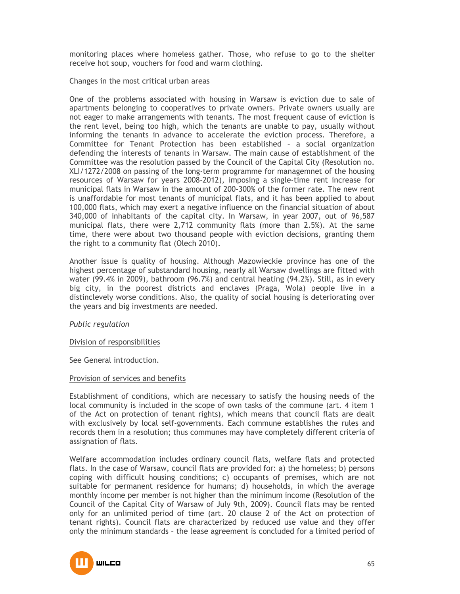monitoring places where homeless gather. Those, who refuse to go to the shelter receive hot soup, vouchers for food and warm clothing.

### Changes in the most critical urban areas

One of the problems associated with housing in Warsaw is eviction due to sale of apartments belonging to cooperatives to private owners. Private owners usually are not eager to make arrangements with tenants. The most frequent cause of eviction is the rent level, being too high, which the tenants are unable to pay, usually without informing the tenants in advance to accelerate the eviction process. Therefore, a Committee for Tenant Protection has been established – a social organization defending the interests of tenants in Warsaw. The main cause of establishment of the Committee was the resolution passed by the Council of the Capital City (Resolution no. XLI/1272/2008 on passing of the long-term programme for managemnet of the housing resources of Warsaw for years 2008-2012), imposing a single-time rent increase for municipal flats in Warsaw in the amount of 200-300% of the former rate. The new rent is unaffordable for most tenants of municipal flats, and it has been applied to about 100,000 flats, which may exert a negative influence on the financial situation of about 340,000 of inhabitants of the capital city. In Warsaw, in year 2007, out of 96,587 municipal flats, there were 2,712 community flats (more than 2.5%). At the same time, there were about two thousand people with eviction decisions, granting them the right to a community flat (Olech 2010).

Another issue is quality of housing. Although Mazowieckie province has one of the highest percentage of substandard housing, nearly all Warsaw dwellings are fitted with water (99.4% in 2009), bathroom (96.7%) and central heating (94.2%). Still, as in every big city, in the poorest districts and enclaves (Praga, Wola) people live in a distinclevely worse conditions. Also, the quality of social housing is deteriorating over the years and big investments are needed.

*Public regulation* 

### Division of responsibilities

See General introduction.

### Provision of services and benefits

Establishment of conditions, which are necessary to satisfy the housing needs of the local community is included in the scope of own tasks of the commune (art. 4 item 1 of the Act on protection of tenant rights), which means that council flats are dealt with exclusively by local self-governments. Each commune establishes the rules and records them in a resolution; thus communes may have completely different criteria of assignation of flats.

Welfare accommodation includes ordinary council flats, welfare flats and protected flats. In the case of Warsaw, council flats are provided for: a) the homeless; b) persons coping with difficult housing conditions; c) occupants of premises, which are not suitable for permanent residence for humans; d) households, in which the average monthly income per member is not higher than the minimum income (Resolution of the Council of the Capital City of Warsaw of July 9th, 2009). Council flats may be rented only for an unlimited period of time (art. 20 clause 2 of the Act on protection of tenant rights). Council flats are characterized by reduced use value and they offer only the minimum standards – the lease agreement is concluded for a limited period of

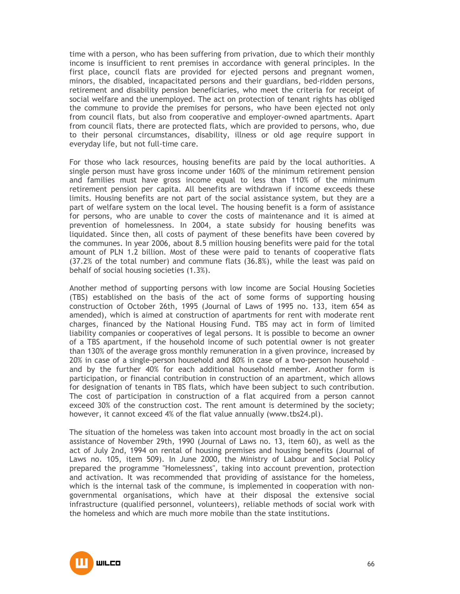time with a person, who has been suffering from privation, due to which their monthly income is insufficient to rent premises in accordance with general principles. In the first place, council flats are provided for ejected persons and pregnant women, minors, the disabled, incapacitated persons and their guardians, bed-ridden persons, retirement and disability pension beneficiaries, who meet the criteria for receipt of social welfare and the unemployed. The act on protection of tenant rights has obliged the commune to provide the premises for persons, who have been ejected not only from council flats, but also from cooperative and employer-owned apartments. Apart from council flats, there are protected flats, which are provided to persons, who, due to their personal circumstances, disability, illness or old age require support in everyday life, but not full-time care.

For those who lack resources, housing benefits are paid by the local authorities. A single person must have gross income under 160% of the minimum retirement pension and families must have gross income equal to less than 110% of the minimum retirement pension per capita. All benefits are withdrawn if income exceeds these limits. Housing benefits are not part of the social assistance system, but they are a part of welfare system on the local level. The housing benefit is a form of assistance for persons, who are unable to cover the costs of maintenance and it is aimed at prevention of homelessness. In 2004, a state subsidy for housing benefits was liquidated. Since then, all costs of payment of these benefits have been covered by the communes. In year 2006, about 8.5 million housing benefits were paid for the total amount of PLN 1.2 billion. Most of these were paid to tenants of cooperative flats (37.2% of the total number) and commune flats (36.8%), while the least was paid on behalf of social housing societies (1.3%).

Another method of supporting persons with low income are Social Housing Societies (TBS) established on the basis of the act of some forms of supporting housing construction of October 26th, 1995 (Journal of Laws of 1995 no. 133, item 654 as amended), which is aimed at construction of apartments for rent with moderate rent charges, financed by the National Housing Fund. TBS may act in form of limited liability companies or cooperatives of legal persons. It is possible to become an owner of a TBS apartment, if the household income of such potential owner is not greater than 130% of the average gross monthly remuneration in a given province, increased by 20% in case of a single-person household and 80% in case of a two-person household – and by the further 40% for each additional household member. Another form is participation, or financial contribution in construction of an apartment, which allows for designation of tenants in TBS flats, which have been subject to such contribution. The cost of participation in construction of a flat acquired from a person cannot exceed 30% of the construction cost. The rent amount is determined by the society; however, it cannot exceed 4% of the flat value annually (www.tbs24.pl).

The situation of the homeless was taken into account most broadly in the act on social assistance of November 29th, 1990 (Journal of Laws no. 13, item 60), as well as the act of July 2nd, 1994 on rental of housing premises and housing benefits (Journal of Laws no. 105, item 509). In June 2000, the Ministry of Labour and Social Policy prepared the programme "Homelessness", taking into account prevention, protection and activation. It was recommended that providing of assistance for the homeless, which is the internal task of the commune, is implemented in cooperation with nongovernmental organisations, which have at their disposal the extensive social infrastructure (qualified personnel, volunteers), reliable methods of social work with the homeless and which are much more mobile than the state institutions.

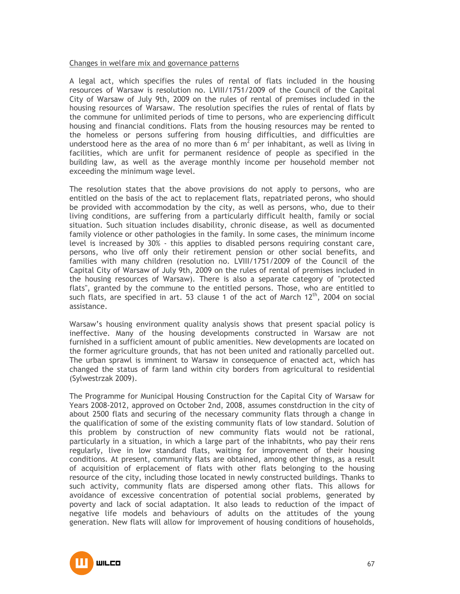### Changes in welfare mix and governance patterns

A legal act, which specifies the rules of rental of flats included in the housing resources of Warsaw is resolution no. LVIII/1751/2009 of the Council of the Capital City of Warsaw of July 9th, 2009 on the rules of rental of premises included in the housing resources of Warsaw. The resolution specifies the rules of rental of flats by the commune for unlimited periods of time to persons, who are experiencing difficult housing and financial conditions. Flats from the housing resources may be rented to the homeless or persons suffering from housing difficulties, and difficulties are understood here as the area of no more than 6  $m^2$  per inhabitant, as well as living in facilities, which are unfit for permanent residence of people as specified in the building law, as well as the average monthly income per household member not exceeding the minimum wage level.

The resolution states that the above provisions do not apply to persons, who are entitled on the basis of the act to replacement flats, repatriated perons, who should be provided with accommodation by the city, as well as persons, who, due to their living conditions, are suffering from a particularly difficult health, family or social situation. Such situation includes disability, chronic disease, as well as documented family violence or other pathologies in the family. In some cases, the minimum income level is increased by 30% - this applies to disabled persons requiring constant care, persons, who live off only their retirement pension or other social benefits, and families with many children (resolution no. LVIII/1751/2009 of the Council of the Capital City of Warsaw of July 9th, 2009 on the rules of rental of premises included in the housing resources of Warsaw). There is also a separate category of "protected flats", granted by the commune to the entitled persons. Those, who are entitled to such flats, are specified in art. 53 clause 1 of the act of March  $12<sup>th</sup>$ , 2004 on social assistance.

Warsaw's housing environment quality analysis shows that present spacial policy is ineffective. Many of the housing developments constructed in Warsaw are not furnished in a sufficient amount of public amenities. New developments are located on the former agriculture grounds, that has not been united and rationally parcelled out. The urban sprawl is imminent to Warsaw in consequence of enacted act, which has changed the status of farm land within city borders from agricultural to residential (Sylwestrzak 2009).

The Programme for Municipal Housing Construction for the Capital City of Warsaw for Years 2008-2012, approved on October 2nd, 2008, assumes constdruction in the city of about 2500 flats and securing of the necessary community flats through a change in the qualification of some of the existing community flats of low standard. Solution of this problem by construction of new community flats would not be rational, particularly in a situation, in which a large part of the inhabitnts, who pay their rens regularly, live in low standard flats, waiting for improvement of their housing conditions. At present, community flats are obtained, among other things, as a result of acquisition of erplacement of flats with other flats belonging to the housing resource of the city, including those located in newly constructed buildings. Thanks to such activity, community flats are dispersed among other flats. This allows for avoidance of excessive concentration of potential social problems, generated by poverty and lack of social adaptation. It also leads to reduction of the impact of negative life models and behaviours of adults on the attitudes of the young generation. New flats will allow for improvement of housing conditions of households,

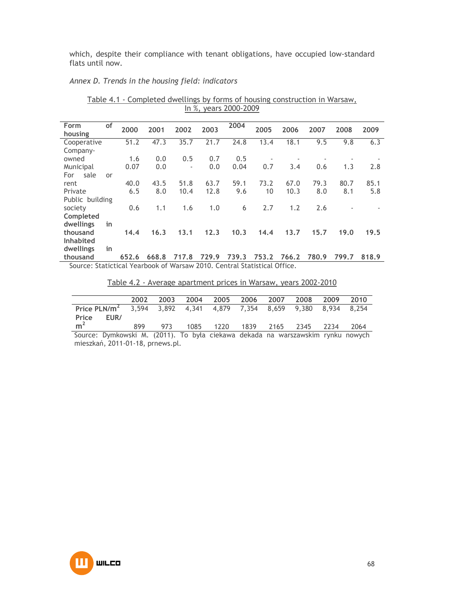which, despite their compliance with tenant obligations, have occupied low-standard flats until now.

# *Annex D. Trends in the housing field: indicators*

| Form<br>housing                                                          | of | 2000  | 2001  | 2002                     | 2003  | 2004  | 2005  | 2006  | 2007  | 2008  | 2009  |
|--------------------------------------------------------------------------|----|-------|-------|--------------------------|-------|-------|-------|-------|-------|-------|-------|
|                                                                          |    | 51.2  | 47.3  | 35.7                     | 21.7  | 24.8  | 13.4  | 18.1  | 9.5   | 9.8   | 6.3   |
| Cooperative                                                              |    |       |       |                          |       |       |       |       |       |       |       |
| Company-                                                                 |    |       |       |                          |       |       |       |       |       |       |       |
| owned                                                                    |    | 1.6   | 0.0   | 0.5                      | 0.7   | 0.5   |       |       |       |       |       |
| Municipal                                                                |    | 0.07  | 0.0   | $\overline{\phantom{a}}$ | 0.0   | 0.04  | 0.7   | 3.4   | 0.6   | 1.3   | 2.8   |
| sale<br>For                                                              | or |       |       |                          |       |       |       |       |       |       |       |
| rent                                                                     |    | 40.0  | 43.5  | 51.8                     | 63.7  | 59.1  | 73.2  | 67.0  | 79.3  | 80.7  | 85.1  |
| Private                                                                  |    | 6.5   | 8.0   | 10.4                     | 12.8  | 9.6   | 10    | 10.3  | 8.0   | 8.1   | 5.8   |
| Public building                                                          |    |       |       |                          |       |       |       |       |       |       |       |
| society                                                                  |    | 0.6   | 1.1   | 1.6                      | 1.0   | 6     | 2.7   | 1.2   | 2.6   |       |       |
| Completed                                                                |    |       |       |                          |       |       |       |       |       |       |       |
| dwellings                                                                | in |       |       |                          |       |       |       |       |       |       |       |
| thousand                                                                 |    | 14.4  | 16.3  | 13.1                     | 12.3  | 10.3  | 14.4  | 13.7  | 15.7  | 19.0  | 19.5  |
| <b>Inhabited</b>                                                         |    |       |       |                          |       |       |       |       |       |       |       |
| dwellings                                                                | in |       |       |                          |       |       |       |       |       |       |       |
|                                                                          |    |       |       |                          |       |       |       |       |       |       |       |
| thousand                                                                 |    | 652.6 | 668.8 | 717.8                    | 729.9 | 739.3 | 753.2 | 766.2 | 780.9 | 799.7 | 818.9 |
| Source: Statictical Yearbook of Warsaw 2010. Central Statistical Office. |    |       |       |                          |       |       |       |       |       |       |       |

Table 4.1 - Completed dwellings by forms of housing construction in Warsaw, In %, years 2000-2009

Table 4.2 - Average apartment prices in Warsaw, years 2002-2010

|                |      | 2002 |     |  |  | 2003 2004 2005 2006 2007 2008 2009 2010                                      |      |
|----------------|------|------|-----|--|--|------------------------------------------------------------------------------|------|
|                |      |      |     |  |  |                                                                              |      |
|                |      |      |     |  |  | Price PLN/ $m^2$ 3,594 3,892 4,341 4,879 7,354 8,659 9,380 8,934 8,254       |      |
| Price          | EUR/ |      |     |  |  |                                                                              |      |
| m <sup>2</sup> |      | 899  | 973 |  |  | 1085 1220 1839 2165 2345 2234                                                | 2064 |
|                |      |      |     |  |  | Course Dumboughi M (2011) To bulg sidesus deleads no warroughim runky nouveb |      |

Source: Dymkowski M. (2011). To była ciekawa dekada na warszawskim rynku nowych mieszkań, 2011-01-18, prnews.pl.

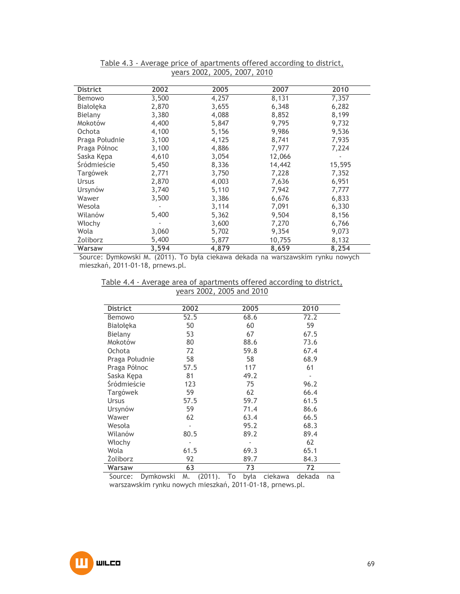| <b>District</b> | 2002  | 2005  | 2007   | 2010   |
|-----------------|-------|-------|--------|--------|
| Bemowo          | 3,500 | 4,257 | 8,131  | 7,357  |
| Białołęka       | 2,870 | 3,655 | 6,348  | 6,282  |
| Bielany         | 3,380 | 4,088 | 8,852  | 8,199  |
| Mokotów         | 4,400 | 5,847 | 9,795  | 9,732  |
| Ochota          | 4,100 | 5,156 | 9,986  | 9,536  |
| Praga Południe  | 3,100 | 4,125 | 8,741  | 7,935  |
| Praga Północ    | 3,100 | 4,886 | 7,977  | 7,224  |
| Saska Kępa      | 4,610 | 3,054 | 12,066 |        |
| Śródmieście     | 5,450 | 8,336 | 14,442 | 15,595 |
| Targówek        | 2,771 | 3,750 | 7,228  | 7,352  |
| <b>Ursus</b>    | 2,870 | 4,003 | 7,636  | 6,951  |
| Ursynów         | 3,740 | 5,110 | 7,942  | 7,777  |
| Wawer           | 3,500 | 3,386 | 6,676  | 6,833  |
| Wesoła          |       | 3,114 | 7,091  | 6,330  |
| Wilanów         | 5,400 | 5,362 | 9,504  | 8,156  |
| Włochy          |       | 3,600 | 7,270  | 6,766  |
| Wola            | 3,060 | 5,702 | 9,354  | 9,073  |
| <b>Zoliborz</b> | 5,400 | 5,877 | 10,755 | 8,132  |
| Warsaw          | 3,594 | 4,879 | 8,659  | 8,254  |

### Table 4.3 - Average price of apartments offered according to district, years 2002, 2005, 2007, 2010

Source: Dymkowski M. (2011). To była ciekawa dekada na warszawskim rynku nowych mieszkań, 2011-01-18, prnews.pl.

| Table 4.4 - Average area of apartments offered according to district, |                           |  |  |
|-----------------------------------------------------------------------|---------------------------|--|--|
|                                                                       | years 2002, 2005 and 2010 |  |  |

| <b>District</b> | 2002 | 2005 | 2010 |
|-----------------|------|------|------|
|                 | 52.5 | 68.6 | 72.2 |
| Bemowo          |      |      |      |
| Białołęka       | 50   | 60   | 59   |
| Bielany         | 53   | 67   | 67.5 |
| Mokotów         | 80   | 88.6 | 73.6 |
| Ochota          | 72   | 59.8 | 67.4 |
| Praga Południe  | 58   | 58   | 68.9 |
| Praga Północ    | 57.5 | 117  | 61   |
| Saska Kępa      | 81   | 49.2 |      |
| Śródmieście     | 123  | 75   | 96.2 |
| Targówek        | 59   | 62   | 66.4 |
| Ursus           | 57.5 | 59.7 | 61.5 |
| Ursynów         | 59   | 71.4 | 86.6 |
| Wawer           | 62   | 63.4 | 66.5 |
| Wesoła          |      | 95.2 | 68.3 |
| Wilanów         | 80.5 | 89.2 | 89.4 |
| Włochy          |      | ÷    | 62   |
| Wola            | 61.5 | 69.3 | 65.1 |
| Zoliborz        | 92   | 89.7 | 84.3 |
| Warsaw          | 63   | 73   | 72   |

Source: Dymkowski M. (2011). To była ciekawa dekada na warszawskim rynku nowych mieszkań, 2011-01-18, prnews.pl.

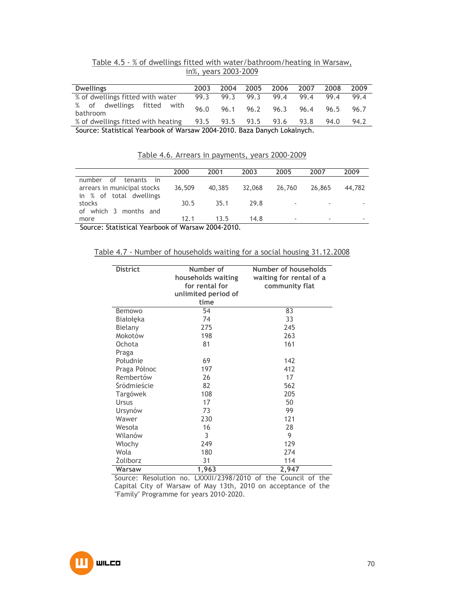| Table 4.5 - % of dwellings fitted with water/bathroom/heating in Warsaw, |  |  |                      |  |  |
|--------------------------------------------------------------------------|--|--|----------------------|--|--|
|                                                                          |  |  | in%, years 2003-2009 |  |  |

| <b>Dwellings</b>                       | 2003 | 2004 | 2005 | 2006                     | 2007           | 2008 | 2009 |
|----------------------------------------|------|------|------|--------------------------|----------------|------|------|
| % of dwellings fitted with water       | 99.3 | 99.3 | 99.3 | 99.4                     | 99.4           | 99.4 | 99.4 |
| % of dwellings fitted with<br>bathroom | 96.0 | 96.1 | 96.2 |                          | 96.3 96.4 96.5 |      | 96.7 |
| % of dwellings fitted with heating     |      |      |      | 93.5 93.5 93.5 93.6 93.8 |                | 94.0 | 94.2 |

Source: Statistical Yearbook of Warsaw 2004-2010. Baza Danych Lokalnych.

Table 4.6. Arrears in payments, years 2000-2009

|                                                                                      | 2000   | 2001   | 2003   | 2005   | 2007   | 2009   |
|--------------------------------------------------------------------------------------|--------|--------|--------|--------|--------|--------|
| of<br>tenants in<br>number<br>arrears in municipal stocks<br>in % of total dwellings | 36,509 | 40,385 | 32,068 | 26,760 | 26,865 | 44,782 |
| stocks<br>of which 3 months and                                                      | 30.5   | 35.1   | 29.8   |        | ٠      |        |
| more                                                                                 | 12.1   | 13.5   | 14.8   |        | ٠      |        |

Source: Statistical Yearbook of Warsaw 2004-2010.

Table 4.7 - Number of households waiting for a social housing 31.12.2008

| <b>District</b> | Number of<br>households waiting<br>for rental for<br>unlimited period of | Number of households<br>waiting for rental of a<br>community flat |
|-----------------|--------------------------------------------------------------------------|-------------------------------------------------------------------|
|                 | time                                                                     |                                                                   |
| Bemowo          | 54                                                                       | 83                                                                |
| Białołęka       | 74                                                                       | 33                                                                |
| Bielany         | 275                                                                      | 245                                                               |
| Mokotów         | 198                                                                      | 263                                                               |
| Ochota          | 81                                                                       | 161                                                               |
| Praga           |                                                                          |                                                                   |
| Południe        | 69                                                                       | 142                                                               |
| Praga Północ    | 197                                                                      | 412                                                               |
| Rembertów       | 26                                                                       | 17                                                                |
| Śródmieście     | 82                                                                       | 562                                                               |
| Targówek        | 108                                                                      | 205                                                               |
| <b>Ursus</b>    | 17                                                                       | 50                                                                |
| Ursynów         | 73                                                                       | 99                                                                |
| Wawer           | 230                                                                      | 121                                                               |
| Wesoła          | 16                                                                       | 28                                                                |
| Wilanów         | 3                                                                        | 9                                                                 |
| Włochy          | 249                                                                      | 129                                                               |
| Wola            | 180                                                                      | 274                                                               |
| <b>Zoliborz</b> | 31                                                                       | 114                                                               |
| Warsaw          | 1,963                                                                    | 2,947                                                             |

Source: Resolution no. LXXXII/2398/2010 of the Council of the Capital City of Warsaw of May 13th, 2010 on acceptance of the "Family" Programme for years 2010-2020.

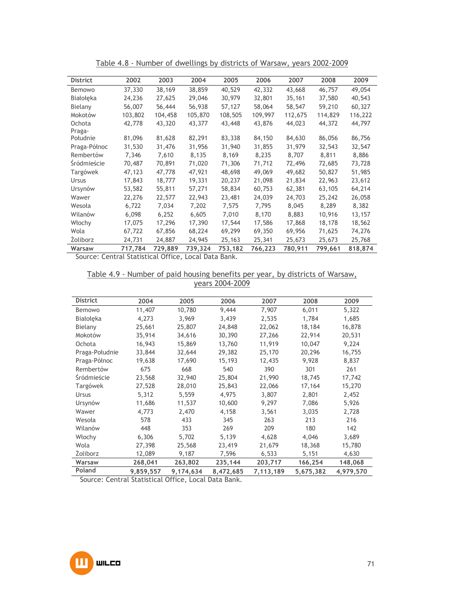| <b>District</b> | 2002    | 2003    | 2004    | 2005    | 2006    | 2007    | 2008    | 2009    |
|-----------------|---------|---------|---------|---------|---------|---------|---------|---------|
| Bemowo          | 37,330  | 38,169  | 38,859  | 40,529  | 42,332  | 43,668  | 46,757  | 49,054  |
| Białołeka       | 24,236  | 27,625  | 29,046  | 30,979  | 32,801  | 35,161  | 37,580  | 40,543  |
| Bielany         | 56,007  | 56,444  | 56,938  | 57,127  | 58,064  | 58,547  | 59,210  | 60,327  |
| Mokotów         | 103,802 | 104,458 | 105,870 | 108,505 | 109,997 | 112,675 | 114,829 | 116,222 |
| Ochota          | 42,778  | 43,320  | 43,377  | 43,448  | 43,876  | 44,023  | 44,372  | 44,797  |
| Praga-          |         |         |         |         |         |         |         |         |
| Południe        | 81,096  | 81,628  | 82,291  | 83,338  | 84,150  | 84,630  | 86,056  | 86,756  |
| Praga-Północ    | 31,530  | 31,476  | 31,956  | 31,940  | 31,855  | 31,979  | 32,543  | 32,547  |
| Rembertów       | 7,346   | 7,610   | 8,135   | 8,169   | 8,235   | 8,707   | 8,811   | 8,886   |
| Śródmieście     | 70,487  | 70,891  | 71,020  | 71,306  | 71,712  | 72,496  | 72,685  | 73,728  |
| Targówek        | 47,123  | 47,778  | 47,921  | 48,698  | 49,069  | 49,682  | 50,827  | 51,985  |
| Ursus           | 17,843  | 18,777  | 19,331  | 20,237  | 21,098  | 21,834  | 22,963  | 23,612  |
| Ursynów         | 53,582  | 55,811  | 57,271  | 58,834  | 60,753  | 62,381  | 63,105  | 64,214  |
| Wawer           | 22,276  | 22,577  | 22,943  | 23,481  | 24,039  | 24,703  | 25,242  | 26,058  |
| Wesoła          | 6,722   | 7,034   | 7,202   | 7,575   | 7,795   | 8,045   | 8,289   | 8,382   |
| Wilanów         | 6,098   | 6,252   | 6,605   | 7,010   | 8,170   | 8,883   | 10,916  | 13,157  |
| Włochy          | 17,075  | 17,296  | 17,390  | 17,544  | 17,586  | 17,868  | 18,178  | 18,562  |
| Wola            | 67,722  | 67,856  | 68,224  | 69,299  | 69,350  | 69,956  | 71,625  | 74,276  |
| <b>Zoliborz</b> | 24,731  | 24,887  | 24,945  | 25,163  | 25,341  | 25,673  | 25,673  | 25,768  |
| Warsaw          | 717,784 | 729,889 | 739,324 | 753,182 | 766,223 | 780,911 | 799,661 | 818,874 |

Table 4.8 - Number of dwellings by districts of Warsaw, years 2002-2009

Source: Central Statistical Office, Local Data Bank.

Table 4.9 - Number of paid housing benefits per year, by districts of Warsaw, years 2004-2009

| <b>District</b> | 2004      | 2005      | 2006      | 2007      | 2008      | 2009      |
|-----------------|-----------|-----------|-----------|-----------|-----------|-----------|
| Bemowo          | 11,407    | 10,780    | 9,444     | 7,907     | 6,011     | 5,322     |
| Białołeka       | 4,273     | 3,969     | 3,439     | 2,535     | 1,784     | 1,685     |
| Bielany         | 25,661    | 25,807    | 24,848    | 22,062    | 18,184    | 16,878    |
| Mokotów         | 35,914    | 34,616    | 30,390    | 27,266    | 22,914    | 20,531    |
| Ochota          | 16,943    | 15,869    | 13,760    | 11,919    | 10,047    | 9,224     |
| Praga-Południe  | 33,844    | 32,644    | 29,382    | 25,170    | 20,296    | 16,755    |
| Praga-Północ    | 19,638    | 17,690    | 15,193    | 12,435    | 9,928     | 8,837     |
| Rembertów       | 675       | 668       | 540       | 390       | 301       | 261       |
| Śródmieście     | 23,568    | 32,940    | 25,804    | 21,990    | 18,745    | 17,742    |
| Targówek        | 27,528    | 28,010    | 25,843    | 22,066    | 17,164    | 15,270    |
| Ursus           | 5,312     | 5,559     | 4,975     | 3,807     | 2,801     | 2,452     |
| Ursynów         | 11,686    | 11,537    | 10,600    | 9,297     | 7,086     | 5,926     |
| Wawer           | 4,773     | 2,470     | 4,158     | 3,561     | 3,035     | 2,728     |
| Wesoła          | 578       | 433       | 345       | 263       | 213       | 216       |
| Wilanów         | 448       | 353       | 269       | 209       | 180       | 142       |
| Włochy          | 6,306     | 5,702     | 5,139     | 4,628     | 4,046     | 3,689     |
| Wola            | 27,398    | 25,568    | 23,419    | 21,679    | 18,368    | 15,780    |
| Żoliborz        | 12,089    | 9,187     | 7,596     | 6,533     | 5,151     | 4,630     |
| Warsaw          | 268,041   | 263,802   | 235,144   | 203,717   | 166,254   | 148,068   |
| Poland          | 9,859,557 | 9,174,634 | 8,472,685 | 7,113,189 | 5,675,382 | 4,979,570 |

Source: Central Statistical Office, Local Data Bank.

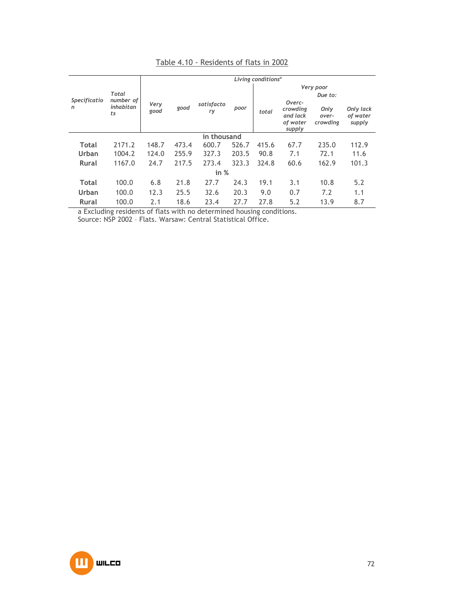|                   |                              | Living conditions <sup>a</sup> |       |                  |       |           |                                                      |                           |                                 |  |  |
|-------------------|------------------------------|--------------------------------|-------|------------------|-------|-----------|------------------------------------------------------|---------------------------|---------------------------------|--|--|
|                   |                              |                                |       |                  |       | Very poor |                                                      |                           |                                 |  |  |
|                   | Total                        |                                |       |                  |       |           |                                                      | Due to:                   |                                 |  |  |
| Specificatio<br>n | number of<br>inhabitan<br>ts | Very<br>good                   | good  | satisfacto<br>ry | poor  | total     | Overc-<br>crowding<br>and lack<br>of water<br>supply | Only<br>over-<br>crowding | Only lack<br>of water<br>supply |  |  |
|                   | in thousand                  |                                |       |                  |       |           |                                                      |                           |                                 |  |  |
| <b>Total</b>      | 2171.2                       | 148.7                          | 473.4 | 600.7            | 526.7 | 415.6     | 67.7                                                 | 235.0                     | 112.9                           |  |  |
| Urban             | 1004.2                       | 124.0                          | 255.9 | 327.3            | 203.5 | 90.8      | 7.1                                                  | 72.1                      | 11.6                            |  |  |
| <b>Rural</b>      | 1167.0                       | 24.7                           | 217.5 | 273.4            | 323.3 | 324.8     | 60.6                                                 | 162.9                     | 101.3                           |  |  |
|                   |                              |                                |       | in $%$           |       |           |                                                      |                           |                                 |  |  |
| <b>Total</b>      | 100.0                        | 6.8                            | 21.8  | 27.7             | 24.3  | 19.1      | 3.1                                                  | 10.8                      | 5.2                             |  |  |
| Urban             | 100.0                        | 12.3                           | 25.5  | 32.6             | 20.3  | 9.0       | 0.7                                                  | 7.2                       | 1.1                             |  |  |
| <b>Rural</b>      | 100.0                        | 2.1                            | 18.6  | 23.4             | 27.7  | 27.8      | 5.2                                                  | 13.9                      | 8.7                             |  |  |

# Table 4.10 - Residents of flats in 2002

a Excluding residents of flats with no determined housing conditions.

Source: NSP 2002 – Flats. Warsaw: Central Statistical Office.

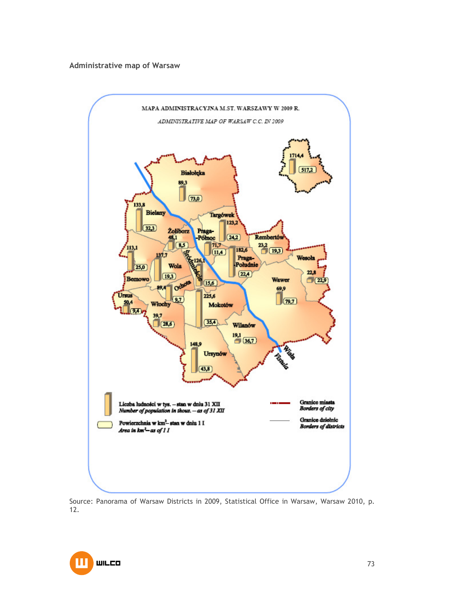### **Administrative map of Warsaw**



Source: Panorama of Warsaw Districts in 2009, Statistical Office in Warsaw, Warsaw 2010, p. 12.

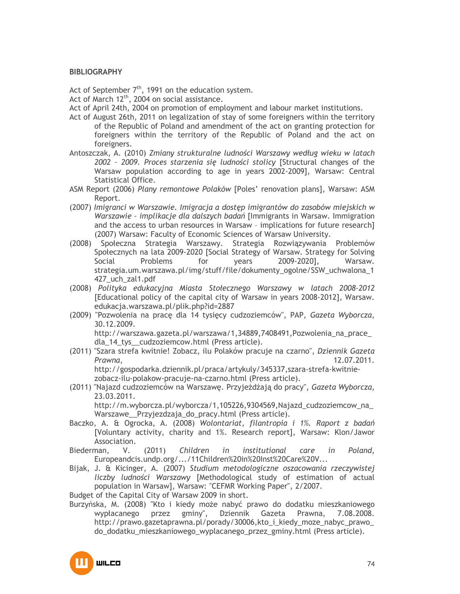### **BIBLIOGRAPHY**

Act of September  $7<sup>th</sup>$ , 1991 on the education system.

Act of March 12<sup>th</sup>, 2004 on social assistance.

- Act of April 24th, 2004 on promotion of employment and labour market institutions.
- Act of August 26th, 2011 on legalization of stay of some foreigners within the territory of the Republic of Poland and amendment of the act on granting protection for foreigners within the territory of the Republic of Poland and the act on foreigners.
- Antoszczak, A. (2010) *Zmiany strukturalne ludności Warszawy według wieku w latach 2002 – 2009. Proces starzenia się ludności stolicy* [Structural changes of the Warsaw population according to age in years 2002-2009], Warsaw: Central Statistical Office.
- ASM Report (2006) *Plany remontowe Polaków* [Poles' renovation plans], Warsaw: ASM Report.
- (2007) *Imigranci w Warszawie. Imigracja a dostęp imigrantów do zasobów miejskich w Warszawie – implikacje dla dalszych badań* [Immigrants in Warsaw. Immigration and the access to urban resources in Warsaw – implications for future research] (2007) Warsaw: Faculty of Economic Sciences of Warsaw University.
- (2008) Społeczna Strategia Warszawy. Strategia Rozwiązywania Problemów Społecznych na lata 2009-2020 [Social Strategy of Warsaw. Strategy for Solving Social Problems for years 2009-2020], Warsaw. strategia.um.warszawa.pl/img/stuff/file/dokumenty\_ogolne/SSW\_uchwalona\_1 427\_uch\_zal1.pdf
- (2008) *Polityka edukacyjna Miasta Stołecznego Warszawy w latach 2008–2012* [Educational policy of the capital city of Warsaw in years 2008-2012], Warsaw. edukacja.warszawa.pl/plik.php?id=2887
- (2009) "Pozwolenia na pracę dla 14 tysięcy cudzoziemców", PAP, *Gazeta Wyborcza*, 30.12.2009. http://warszawa.gazeta.pl/warszawa/1,34889,7408491,Pozwolenia\_na\_prace\_

dla\_14\_tys\_\_cudzoziemcow.html (Press article).

- (2011) "Szara strefa kwitnie! Zobacz, ilu Polaków pracuje na czarno", *Dziennik Gazeta Prawna*, 12.07.2011. http://gospodarka.dziennik.pl/praca/artykuly/345337,szara-strefa-kwitniezobacz-ilu-polakow-pracuje-na-czarno.html (Press article).
- (2011) "Najazd cudzoziemców na Warszawę. Przyjeżdżają do pracy", *Gazeta Wyborcza*, 23.03.2011.

http://m.wyborcza.pl/wyborcza/1,105226,9304569,Najazd\_cudzoziemcow\_na\_ Warszawe Przyjezdzaja do pracy.html (Press article).

- Baczko, A. & Ogrocka, A. (2008) *Wolontariat, filantropia i 1%. Raport z badań* [Voluntary activity, charity and 1%. Research report], Warsaw: Klon/Jawor Association.
- Biederman, V. (2011) *Children in institutional care in Poland*, Europeandcis.undp.org/.../11Children%20in%20Inst%20Care%20V...
- Bijak, J. & Kicinger, A. (2007) *Studium metodologiczne oszacowania rzeczywistej liczby ludności Warszawy* [Methodological study of estimation of actual population in Warsaw], Warsaw: "CEFMR Working Paper", 2/2007.

Budget of the Capital City of Warsaw 2009 in short.

Burzyńska, M. (2008) "Kto i kiedy może nabyć prawo do dodatku mieszkaniowego wypłacanego przez gminy", Dziennik Gazeta Prawna, 7.08.2008. http://prawo.gazetaprawna.pl/porady/30006,kto\_i\_kiedy\_moze\_nabyc\_prawo\_ do\_dodatku\_mieszkaniowego\_wyplacanego\_przez\_gminy.html (Press article).

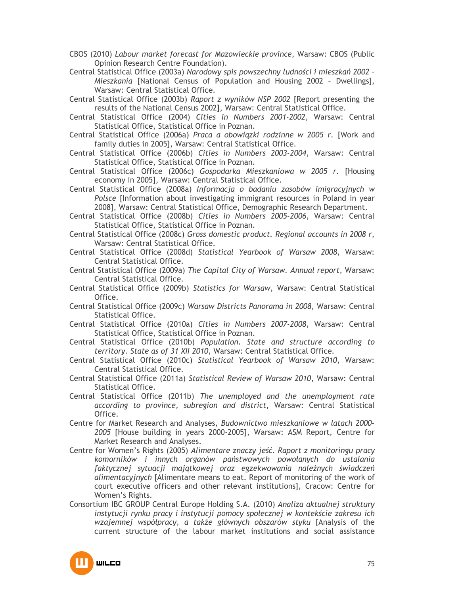- CBOS (2010) *Labour market forecast for Mazowieckie province*, Warsaw: CBOS (Public Opinion Research Centre Foundation).
- Central Statistical Office (2003a) *Narodowy spis powszechny ludności i mieszkań 2002 – Mieszkania* [National Census of Population and Housing 2002 – Dwellings], Warsaw: Central Statistical Office.
- Central Statistical Office (2003b) *Raport z wyników NSP 2002* [Report presenting the results of the National Census 2002], Warsaw: Central Statistical Office.
- Central Statistical Office (2004) *Cities in Numbers 2001-2002*, Warsaw: Central Statistical Office, Statistical Office in Poznan.
- Central Statistical Office (2006a) *Praca a obowiązki rodzinne w 2005 r.* [Work and family duties in 2005], Warsaw: Central Statistical Office.
- Central Statistical Office (2006b) *Cities in Numbers 2003-2004*, Warsaw: Central Statistical Office, Statistical Office in Poznan.
- Central Statistical Office (2006c) *Gospodarka Mieszkaniowa w 2005 r.* [Housing economy in 2005], Warsaw: Central Statistical Office.
- Central Statistical Office (2008a) *Informacja o badaniu zasobów imigracyjnych w Polsce* [Information about investigating immigrant resources in Poland in year 2008], Warsaw: Central Statistical Office, Demographic Research Department.
- Central Statistical Office (2008b) *Cities in Numbers 2005-2006*, Warsaw: Central Statistical Office, Statistical Office in Poznan.
- Central Statistical Office (2008c) *Gross domestic product. Regional accounts in 2008 r*, Warsaw: Central Statistical Office.
- Central Statistical Office (2008d) *Statistical Yearbook of Warsaw 2008*, Warsaw: Central Statistical Office.
- Central Statistical Office (2009a) *The Capital City of Warsaw. Annual report*, Warsaw: Central Statistical Office.
- Central Statistical Office (2009b) *Statistics for Warsaw*, Warsaw: Central Statistical Office.
- Central Statistical Office (2009c) *Warsaw Districts Panorama in 2008*, Warsaw: Central Statistical Office.
- Central Statistical Office (2010a) *Cities in Numbers 2007-2008*, Warsaw: Central Statistical Office, Statistical Office in Poznan.
- Central Statistical Office (2010b) *Population. State and structure according to territory. State as of 31 XII 2010*, Warsaw: Central Statistical Office.
- Central Statistical Office (2010c) *Statistical Yearbook of Warsaw 2010*, Warsaw: Central Statistical Office.
- Central Statistical Office (2011a) *Statistical Review of Warsaw 2010*, Warsaw: Central Statistical Office.
- Central Statistical Office (2011b) *The unemployed and the unemployment rate according to province, subregion and district*, Warsaw: Central Statistical Office.
- Centre for Market Research and Analyses, *Budownictwo mieszkaniowe w latach 2000- 2005* [House building in years 2000-2005], Warsaw: ASM Report, Centre for Market Research and Analyses.
- Centre for Women's Rights (2005) *Alimentare znaczy jeść. Raport z monitoringu pracy komorników i innych organów państwowych powołanych do ustalania*  faktycznej sytuacji majątkowej oraz egzekwowania należnych świadczeń *alimentacyjnych* [Alimentare means to eat. Report of monitoring of the work of court executive officers and other relevant institutions], Cracow: Centre for Women's Rights.
- Consortium IBC GROUP Central Europe Holding S.A. (2010) *Analiza aktualnej struktury instytucji rynku pracy i instytucji pomocy społecznej w kontekście zakresu ich*  wzajemnej współpracy, a także głównych obszarów styku [Analysis of the current structure of the labour market institutions and social assistance

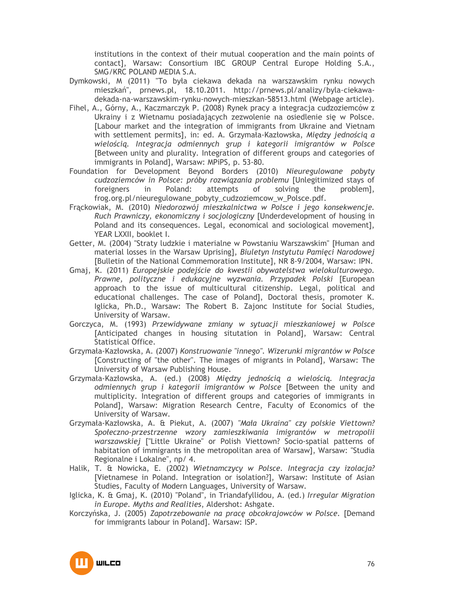institutions in the context of their mutual cooperation and the main points of contact], Warsaw: Consortium IBC GROUP Central Europe Holding S.A., SMG/KRC POLAND MEDIA S.A.

- Dymkowski, M (2011) "To była ciekawa dekada na warszawskim rynku nowych mieszkań", prnews.pl, 18.10.2011. http://prnews.pl/analizy/byla-ciekawadekada-na-warszawskim-rynku-nowych-mieszkan-58513.html (Webpage article).
- Fihel, A., Górny, A., Kaczmarczyk P. (2008) Rynek pracy a integracja cudzoziemców z Ukrainy i z Wietnamu posiadających zezwolenie na osiedlenie się w Polsce. [Labour market and the integration of immigrants from Ukraine and Vietnam with settlement permits], in: ed. A. Grzymała-Kazłowska, *Między jednością a wielością. Integracja odmiennych grup i kategorii imigrantów w Polsce* [Between unity and plurality. Integration of different groups and categories of immigrants in Poland], Warsaw: MPiPS, p. 53-80.
- Foundation for Development Beyond Borders (2010) *Nieuregulowane pobyty cudzoziemców in Polsce: próby rozwiązania problemu* [Unlegitimized stays of foreigners in Poland: attempts of solving the problem], frog.org.pl/nieuregulowane\_pobyty\_cudzoziemcow\_w\_Polsce.pdf.
- Frąckowiak, M. (2010) *Niedorozwój mieszkalnictwa w Polsce i jego konsekwencje. Ruch Prawniczy, ekonomiczny i socjologiczny* [Underdevelopment of housing in Poland and its consequences. Legal, economical and sociological movement], YEAR LXXII, booklet I.
- Getter, M. (2004) "Straty ludzkie i materialne w Powstaniu Warszawskim" [Human and material losses in the Warsaw Uprising], *Biuletyn Instytutu Pamięci Narodowej* [Bulletin of the National Commemoration Institute], NR 8-9/2004, Warsaw: IPN.
- Gmaj, K. (2011) *Europejskie podejście do kwestii obywatelstwa wielokulturowego. Prawne, polityczne i edukacyjne wyzwania. Przypadek Polski* [European approach to the issue of multicultural citizenship. Legal, political and educational challenges. The case of Poland], Doctoral thesis, promoter K. Iglicka, Ph.D., Warsaw: The Robert B. Zajonc Institute for Social Studies, University of Warsaw.
- Gorczyca, M. (1993) *Przewidywane zmiany w sytuacji mieszkaniowej w Polsce* [Anticipated changes in housing situtation in Poland], Warsaw: Central Statistical Office.
- Grzymała-Kazłowska, A. (2007) *Konstruowanie "innego". Wizerunki migrantów w Polsce* [Constructing of "the other". The images of migrants in Poland], Warsaw: The University of Warsaw Publishing House.
- Grzymała-Kazłowska, A. (ed.) (2008) *Między jednością a wielością. Integracja odmiennych grup i kategorii imigrantów w Polsce* [Between the unity and multiplicity. Integration of different groups and categories of immigrants in Poland], Warsaw: Migration Research Centre, Faculty of Economics of the University of Warsaw.
- Grzymała-Kazłowska, A. & Piekut, A. (2007) *"Mała Ukraina" czy polskie Viettown? Społeczno-przestrzenne wzory zamieszkiwania imigrantów w metropolii warszawskiej* ["Little Ukraine" or Polish Viettown? Socio-spatial patterns of habitation of immigrants in the metropolitan area of Warsaw], Warsaw: "Studia Regionalne i Lokalne", np/ 4.
- Halik, T. & Nowicka, E. (2002) *Wietnamczycy w Polsce. Integracja czy izolacja?* [Vietnamese in Poland. Integration or isolation?], Warsaw: Institute of Asian Studies, Faculty of Modern Languages, University of Warsaw.
- Iglicka, K. & Gmaj, K. (2010) "Poland", in Triandafyllidou, A. (ed.) *Irregular Migration in Europe. Myths and Realities*, Aldershot: Ashgate.
- Korczyńska, J. (2005) *Zapotrzebowanie na pracę obcokrajowców w Polsce.* [Demand for immigrants labour in Poland]. Warsaw: ISP.

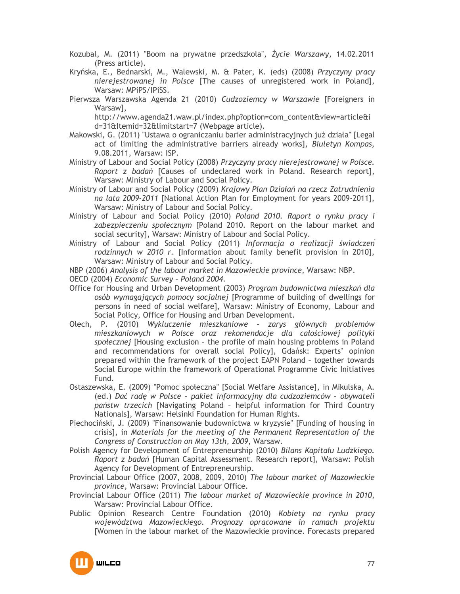Kozubal, M. (2011) "Boom na prywatne przedszkola", *śycie Warszawy*, 14.02.2011 (Press article).

Kryńska, E., Bednarski, M., Walewski, M. & Pater, K. (eds) (2008) *Przyczyny pracy nierejestrowanej in Polsce* [The causes of unregistered work in Poland], Warsaw: MPiPS/IPiSS.

Pierwsza Warszawska Agenda 21 (2010) *Cudzoziemcy w Warszawie* [Foreigners in Warsaw],

http://www.agenda21.waw.pl/index.php?option=com\_content&view=article&i d=31&Itemid=32&limitstart=7 (Webpage article).

- Makowski, G. (2011) "Ustawa o ograniczaniu barier administracyjnych już działa" [Legal act of limiting the administrative barriers already works], *Biuletyn Kompas*, 9.08.2011, Warsaw: ISP.
- Ministry of Labour and Social Policy (2008) *Przyczyny pracy nierejestrowanej w Polsce. Raport z badań* [Causes of undeclared work in Poland. Research report], Warsaw: Ministry of Labour and Social Policy.
- Ministry of Labour and Social Policy (2009) *Krajowy Plan Działań na rzecz Zatrudnienia na lata 2009-2011* [National Action Plan for Employment for years 2009-2011], Warsaw: Ministry of Labour and Social Policy.
- Ministry of Labour and Social Policy (2010) *Poland 2010. Raport o rynku pracy i zabezpieczeniu społecznym* [Poland 2010. Report on the labour market and social security], Warsaw: Ministry of Labour and Social Policy.
- Ministry of Labour and Social Policy (2011) *Informacja o realizacji świadczen rodzinnych w 2010 r.* [Information about family benefit provision in 2010], Warsaw: Ministry of Labour and Social Policy.

NBP (2006) *Analysis of the labour market in Mazowieckie province*, Warsaw: NBP.

- OECD (2004) *Economic Survey Poland 2004*.
- Office for Housing and Urban Development (2003) *Program budownictwa mieszkań dla osób wymagających pomocy socjalnej* [Programme of building of dwellings for persons in need of social welfare], Warsaw: Ministry of Economy, Labour and Social Policy, Office for Housing and Urban Development.
- Olech, P. (2010) *Wykluczenie mieszkaniowe zarys głównych problemów mieszkaniowych w Polsce oraz rekomendacje dla całościowej polityki społecznej* [Housing exclusion – the profile of main housing problems in Poland and recommendations for overall social Policy], Gdańsk: Experts' opinion prepared within the framework of the project EAPN Poland – together towards Social Europe within the framework of Operational Programme Civic Initiatives Fund.
- Ostaszewska, E. (2009) "Pomoc społeczna" [Social Welfare Assistance], in Mikulska, A. (ed.) *Dać radę w Polsce – pakiet informacyjny dla cudzoziemców – obywateli państw trzecich* [Navigating Poland – helpful information for Third Country Nationals], Warsaw: Helsinki Foundation for Human Rights.
- Piechociński, J. (2009) "Finansowanie budownictwa w kryzysie" [Funding of housing in crisis], in *Materials for the meeting of the Permanent Representation of the Congress of Construction on May 13th, 2009*, Warsaw.
- Polish Agency for Development of Entrepreneurship (2010) *Bilans Kapitału Ludzkiego. Raport z badań* [Human Capital Assessment. Research report], Warsaw: Polish Agency for Development of Entrepreneurship.
- Provincial Labour Office (2007, 2008, 2009, 2010) *The labour market of Mazowieckie province*, Warsaw: Provincial Labour Office.
- Provincial Labour Office (2011) *The labour market of Mazowieckie province in 2010*, Warsaw: Provincial Labour Office.
- Public Opinion Research Centre Foundation (2010) *Kobiety na rynku pracy województwa Mazowieckiego. Prognozy opracowane in ramach projektu* [Women in the labour market of the Mazowieckie province. Forecasts prepared

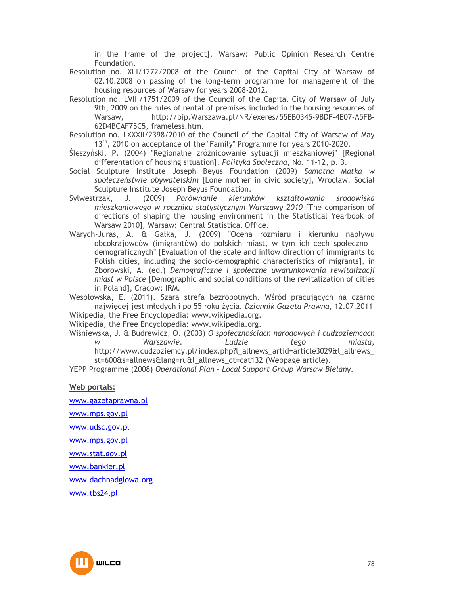in the frame of the project], Warsaw: Public Opinion Research Centre Foundation.

Resolution no. XLI/1272/2008 of the Council of the Capital City of Warsaw of 02.10.2008 on passing of the long-term programme for management of the housing resources of Warsaw for years 2008-2012.

- Resolution no. LVIII/1751/2009 of the Council of the Capital City of Warsaw of July 9th, 2009 on the rules of rental of premises included in the housing resources of Warsaw, http://bip.Warszawa.pl/NR/exeres/55EB0345-9BDF-4E07-A5FB-62D4BCAF75C5, frameless.htm.
- Resolution no. LXXXII/2398/2010 of the Council of the Capital City of Warsaw of May 13<sup>th</sup>, 2010 on acceptance of the "Family" Programme for years 2010-2020.
- Śleszyński, P. (2004) "Regionalne zróżnicowanie sytuacji mieszkaniowej" [Regional differentation of housing situation], *Polityka Społeczna*, No. 11-12, p. 3.
- Social Sculpture Institute Joseph Beyus Foundation (2009) *Samotna Matka w społeczeństwie obywatelskim* [Lone mother in civic society], Wrocław: Social Sculpture Institute Joseph Beyus Foundation.<br>Letrak, J. (2009) Porównanie kierunków
- Sylwestrzak, J. (2009) *Porównanie kierunków kształtowania środowiska mieszkaniowego w roczniku statystycznym Warszawy 2010* [The comparison of directions of shaping the housing environment in the Statistical Yearbook of Warsaw 2010], Warsaw: Central Statistical Office.
- Warych-Juras, A. & Gałka, J. (2009) "Ocena rozmiaru i kierunku napływu obcokrajowców (imigrantów) do polskich miast, w tym ich cech społeczno – demograficznych" [Evaluation of the scale and inflow direction of immigrants to Polish cities, including the socio-demographic characteristics of migrants], in Zborowski, A. (ed.) *Demograficzne i społeczne uwarunkowania rewitalizacji miast w Polsce* [Demographic and social conditions of the revitalization of cities in Poland], Cracow: IRM.
- Wesołowska, E. (2011). Szara strefa bezrobotnych. Wśród pracujących na czarno najwięcej jest młodych i po 55 roku Ŝycia. *Dziennik Gazeta Prawna*, 12.07.2011 Wikipedia, the Free Encyclopedia: www.wikipedia.org.

Wikipedia, the Free Encyclopedia: www.wikipedia.org.

Wiśniewska, J. & Budrewicz, O. (2003) *O społecznościach narodowych i cudzoziemcach w Warszawie. Ludzie tego miasta*, http://www.cudzoziemcy.pl/index.php?l\_allnews\_artid=article3029&l\_allnews st=600&s=allnews&lang=ru&l\_allnews\_ct=cat132 (Webpage article).

YEPP Programme (2008) *Operational Plan – Local Support Group Warsaw Bielany*.

**Web portals:**

www.gazetaprawna.pl

www.mps.gov.pl

www.udsc.gov.pl

www.mps.gov.pl

www.stat.gov.pl

www.bankier.pl

www.dachnadglowa.org

www.tbs24.pl

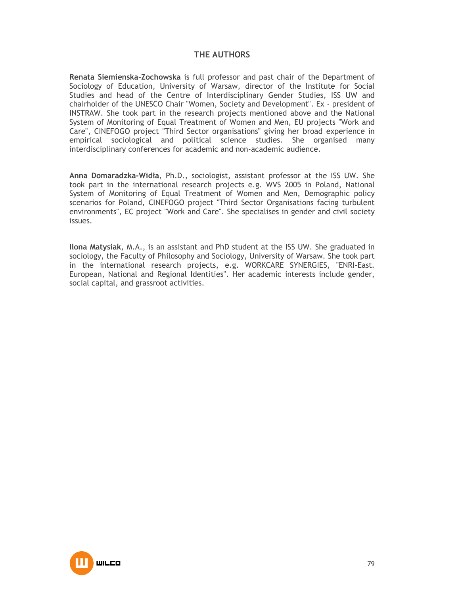# **THE AUTHORS**

**Renata Siemienska-Zochowska** is full professor and past chair of the Department of Sociology of Education, University of Warsaw, director of the Institute for Social Studies and head of the Centre of Interdisciplinary Gender Studies, ISS UW and chairholder of the UNESCO Chair "Women, Society and Development". Ex - president of INSTRAW. She took part in the research projects mentioned above and the National System of Monitoring of Equal Treatment of Women and Men, EU projects "Work and Care", CINEFOGO project "Third Sector organisations" giving her broad experience in empirical sociological and political science studies. She organised many interdisciplinary conferences for academic and non-academic audience.

**Anna Domaradzka-Widła**, Ph.D., sociologist, assistant professor at the ISS UW. She took part in the international research projects e.g. WVS 2005 in Poland, National System of Monitoring of Equal Treatment of Women and Men, Demographic policy scenarios for Poland, CINEFOGO project "Third Sector Organisations facing turbulent environments", EC project "Work and Care". She specialises in gender and civil society issues.

**Ilona Matysiak**, M.A., is an assistant and PhD student at the ISS UW. She graduated in sociology, the Faculty of Philosophy and Sociology, University of Warsaw. She took part in the international research projects, e.g. WORKCARE SYNERGIES, "ENRI-East. European, National and Regional Identities". Her academic interests include gender, social capital, and grassroot activities.